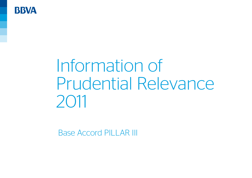

# Information of Prudential Relevance 2011

Base Accord PILLAR III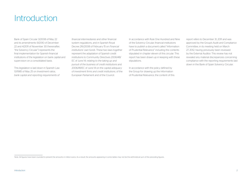## **Introduction**

Bank of Spain Circular 3/2008 of May 22 and its amendments 9/2010 of December 22 and 4/2011 of November 30 (hereinafter, "the Solvency Circular") represents the final implementation for Spanish financial institutions of the legislation on bank capital and supervision on a consolidated basis.

This legislation is laid down in Spanish Law 13/1985 of May 25 on *Investment ratios, bank capital and reporting requirements of*  *financial intermediaries* and other financial system regulations, and in Spanish Royal Decree 216/2008 of February 15 on *Financial institutions' own funds*. These two laws together represent the adaptation of Spanish credit institutions to Community Directives 2006/48/ EC of June 14, r*elating to the taking up and pursuit of the business of credit institutions* and 2006/49/EC of June 14 on the *capital adequacy of investment firms and credit institutions*, of the European Parliament and of the Council.

In accordance with Rule One Hundred and Nine of the Solvency Circular, financial institutions have to publish a document called "Information of Prudential Relevance" including the contents stipulated in chapter eleven of this circular. This report has been drawn up in keeping with these stipulations.

In accordance with the policy defined by the Group for drawing up the Information of Prudential Relevance, the content of this

report refers to December 31, 2011 and was approved by the Group's Audit and Compliance Committee, in its meeting held on March 27, 2012, having previously been reviewed by the External Auditor. This review has not revealed any material discrepancies concerning compliance with the reporting requirements laid down in the Bank of Spain Solvency Circular.

Note: All figures have been rounded to present the amounts in million euros. As a result, the amounts appearing in some tables may not be the arithmetical sum of the preceding figures.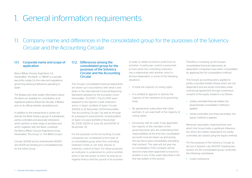## 1. General information requirements

## 1.1. Company name and differences in the consolidated group for the purposes of the Solvency Circular and the Accounting Circular

#### 1.1.1. Corporate name and scope of application

Banco Bilbao Vizcaya Argentaria, S.A. (hereinafter, "the Bank" or "BBVA") is a privatelaw entity subject to the rules and regulations governing banking institutions operating in Spain.

The Bylaws and other public information about the Bank are available for consultation at its registered address (Plaza San Nicolás, 4 Bilbao) and on its official website: www.bbva.com.

In addition to the transactions it carries out directly, the Bank heads a group of subsidiaries, jointly-controlled and associate institutions which perform a wide range of activities and which, together with the Bank, constitute the Banco Bilbao Vizcaya Argentaria Group (hereinafter, "the Group" or "the BBVA Group").

Circular 3/2008 and its amendments 9/2010 and 4/2011 are binding at a consolidated level for the entire Group.

#### 1.1.2. Differences among the consolidated group for the purposes of the Solvency Circular and the Accounting **Circular**

The Group's consolidated financial statements are drawn up in accordance with what is laid down in the International Financial Reporting Standards adopted by the European Union (hereinafter, "EU-IFRS"). The EU-IFRS were adapted to the Spanish credit institution sector in Spain via Bank of Spain Circular 4/2004 of 22 December 2004 (hereinafter, "the Accounting Circular") as well as through its subsequent amendments, including Bank of Spain Circulars 6/2008 of November 26, 2008, 3/2010 of June 29, and 8/2010 of November 30.

For the purposes of the Accounting Circular, companies are considered to form part of a consolidated group when the controlling institution holds or can hold, directly or indirectly, control of them. For these purposes, an institution is understood to control another when it has the power to direct its policies as regards finance and the pursuit of its business in order to obtain economic profit from its activities. In particular, control is presumed to exist when the controlling institution has a relationship with another, which is termed dependent, in some of the following situations:

- It holds the majority of voting rights.
- It is entitled to appoint or dismiss the majority of the members of its governing body.
- By agreements subscribed with other partners, it can avail itself of the majority of voting rights.
- Exclusively with its votes, it has appointed the majority of the members of the governing body who are undertaking their responsibilities at the time the consolidated accounts must be drawn up and during the two fiscal years immediately preceding that moment. This case will not give rise to consolidation if the company whose directors have been appointed is bound to another in any of the cases described in the first two bullets of this section.

Therefore, in drawing up the Group's consolidated financial statements, all dependent companies have been consolidated by applying the full consolidation method.

The Group's accounting policy applied to jointly-controlled entities (those which are not dependent and are jointly-controlled under contractual agreement through unanimous consent of the equity holders) is as follows:

- Jointly-controlled financial entities: the proportionate consolidation method is applied.
- Jointly-controlled non-financial entities: the equity method is applied.

Moreover, associates, meaning those over which the Group holds a significant influence but which are neither dependent nor jointlycontrolled, are valued using the equity method.

For the purposes of the Solvency Circular, as set out in Spanish Law 36/2007, heading two, section 3.4, the consolidated group comprises the following subsidiaries:

• Credit institutions.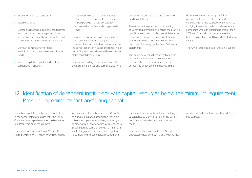• Investment services companies.

- Open-end funds.
- Companies managing mutual funds, together with companies managing pension funds, whose sole purpose is the administration and management of the aforementioned funds.
- Companies managing mortgage securitization funds and asset securitization funds.
- Venture capital companies and venture capital fund managers.

• Institutions whose main activity is holding shares or investments, unless they are mixed-portfolio financial corporations supervised at the financial conglomerate  $|P|$ 

Likewise, the special-purpose entities whose main activity implies a prolongation of the business of any of the institutions included in the consolidation, or includes the rendering of back-office services to these, will also form part of the consolidated group.

However, according to the provisions of this law, insurance entities and some service firms do not form part of consolidated groups of credit institutions.

Therefore, for the purposes of calculating solvency requirements, and hence the drawing up of this Information of Prudential Relevance, the perimeter of consolidated institutions is different from the perimeter defined for the purposes of drawing up the Group's financial statements.

The outcome of the difference between the two regulations is that some institutions, mainly real-estate, insurance and service companies, which are consolidated in the

Group's annual accounts by the full or proportionate consolidation method, are consolidated for the purposes of Solvency by applying the equity method; while insurance companies where the holding is greater than 20%, and financial institutions where the holding is greater than 10% are deducted from capital.

The Annex presents a list of these institutions.

## 1.2. Identification of dependent institutions with capital resources below the minimum requirement. Possible impediments for transferring capital

There is no institution in the Group not included in the consolidated group under the Solvency Circular whose capital resources are below the regulatory minimum requirement.

The Group operates in Spain, Mexico, the United States and 30 other countries, largely

in Europe and Latin America. The Group's banking subsidiaries around the world are subject to supervision and regulation by a number of regulatory bodies with respect to issues such as compliance with a minimum level of regulatory capital. The obligation to comply with these capital requirements

may affect the capacity of these banking subsidiaries to transfer funds to the parent company via dividends, loans or other means.

In some jurisdictions in which the Group operates, the law lays down that dividends may only be paid with the funds legally available for this purpose.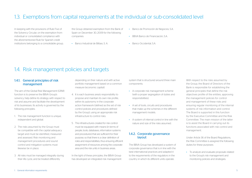### 1.3. Exemptions from capital requirements at the individual or sub-consolidated level

In keeping with the provisions of Rule Five of the Solvency Circular, on the exemption from individual or consolidated compliance with the aforementioned Rule for Spanish credit institutions belonging to a consolidable group, the Group obtained exemption from the Bank of Spain on December 30, 2009 for the following companies:

• Banco Industrial de Bilbao, S. A.

- Banco de Promoción de Negocios, S.A.
- BBVA Banco de Financiación, S.A.
- Banco Occidental, S.A.

## 1.4. Risk management policies and targets

#### 1.4.1. General principles of risk management

The aim of the Global Risk Management (GRM) function is to preserve the BBVA Group's solvency, help define its strategy with respect to risk and assume and facilitate the development of its businesses. Its activity is governed by the following principles:

- 1. The risk management function is unique, independent and global.
- 2. The risks assumed by the Group must be compatible with the capital adequacy target and must be identified, measured and assessed. Risk monitoring and management procedures and sound control and mitigation systems must likewise be in place.
- 3. All risks must be managed integrally during their life cycle, and be treated differently

depending on their nature and with active portfolio management based on a common measure (economic capital).

- 4. It is each business area's responsibility to propose and maintain its own risk profile, within its autonomy in the corporate action framework (defined as the set of risk control policies and procedures defined by the Group), using an appropriate risk infrastructure to control risks.
- 5. The infrastructures created for risk control must be equipped with means (in terms of people, tools, databases, information systems and procedures) that are sufficient for their purpose, so that there is a clear definition of roles and responsibilities, thus ensuring efficient assignment of resources among the corporate area and the risk units in business areas.

In the light of these principles, the BBVA Group has developed an integrated risk management system that is structured around three main components:

- A corporate risk management scheme (with a proper segregation of duties and responsibilities).
- A set of tools, circuits and procedures that make up the schemes in the different management models.
- A system of internal control in line with the nature and size of the risks assumed.

#### 1.4.2. Corporate governance layout

The BBVA Group has developed a system of corporate governance that is in line with the best international practices and adapted it to the requirements of the regulators in the country in which its different units operate.

With respect to the risks assumed by the Group, the Board of Directors of the Bank is responsible for establishing the general principles that define the risk objectives profile of the entities, approving the management policies for control and management of these risks and ensuring regular monitoring of the internal systems of risk information and control. The Board is supported in this function by the Executive Committee and the Risk Committee. The main mission of the latter is to assist the Board in carrying out its functions associated with risk control and management.

Under Article 36 of the Board Regulations, the Risk Committee is assigned the following duties for these purposes:

• To analyze and evaluate proposals related to the Group's risk management and monitoring policies and strategies.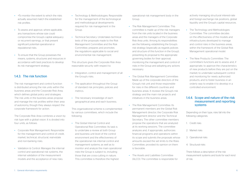- +To monitor the extent to which the risks actually assumed match the established risk profiles.
- To assess and approve, where applicable, any transactions whose size could compromise the Group's capital adequacy or recurrent earnings, or that present significant potential operational or reputational risks.
- To ensure that the Group possesses the means, systems, structures and resources in accordance with best practices to develop its risk management strategy.

#### 143. The risk function

The risk management and control function is distributed among the risk units within the business areas and the Corporate Risk Area, which defines global policy and strategies. The risk units in the business areas propose and manage the risk profiles within their area of autonomy, though they always respect the corporate framework for action.

The Corporate Risk Area combines a vision by risk type with a global vision. It is divided into four units, as follows:

- Corporate Risk Management: Responsible for the management and control of credit, market, technical, structural, real-estate and non-banking risks.
- Validation & Control: Manages the internal control and operational risk systems, the internal validation of the measurement models and the acceptance of new risks.
- Technology & Methodologies: Responsible for the management of the technological and methodological developments required for risk management in the Group.
- Technical Secretary: Undertakes technical tests of the proposals made to the Risk Management Committee and the Risk Committee; prepares and promotes the regulations applicable to social and environmental risk management.

This structure gives the Corporate Risk Area reasonable security with respect to:

- Integration, control and management of all the Group's risks.
- The application throughout the Group of standard risk principles, policies and metrics.
- The necessary knowledge of each geographical area and each business.

This organizational scheme is complemented by various committees, which include the following:

• The Global Internal Control and Operational Risk Committee: Its task is to undertake a review at both Group and business unit level of the control environment and the effectiveness of the operational risk internal control and management systems; as well as to monitor and analyze the main operational risks the Group is subject to, including those that are cross-cutting in nature. This committee is therefore the highest

operational risk management body in the Group

- The Risk Management Committee: This committee is made up of the risk managers from the risk units located in the business areas and the managers of the Corporate Risk Area units. Among its responsibilities are the following: establishing the Group's risk strategy (especially as regards policies and structure of this function in the Group), presenting its proposal to the appropriate governing bodies for their approval, monitoring the management and control of risks in the Group and adopting any actions necessary.
- The Global Risk Management Committee: Made up of the corporate directors of the Group's risk unit and those responsible for risks in the different countries and business areas. It reviews the Group's risk strategy and the main risk projects and initiatives in the business areas.
- The Risk Management Committee: Its permanent members are the Global Risk Management director, the Corporate Risk Management director and the Technical Secretary. The other committee members propose the operations that are analyzed at its working sessions. The committee analyzes and, if appropriate, authorizes financial programs and operations within its scope and submits the proposals whose amounts exceed the set limits to the Risks Committee, provided its opinion on them is favorable.
- The Assets and Liabilities Committee (ALCO): The committee is responsible for

actively managing structural interest-rate and foreign-exchange risk positions, global liquidity and the Group's capital resources.

- The Technology and Methodologies Committee: The committee decides on the effectiveness of the models and infrastructures developed to manage and control risks in the business areas, within the framework of the Global Risk Management operational model.
- The New Products Committee: The committee's functions are to assess and, if appropriate, to approve the characteristics of new products before they are put on the market; to undertake subsequent control and monitoring for newly authorized products; and to foster business in an orderly way to enable it to develop in a controlled environment.

#### 1.4.4. Scope and nature of the risk measurement and reporting systems

Depending on their type, risks fall into the following categories:

1. Credit risks

- 2. Market risks
- 3. Operational risks
- 4. Structural risks

There follows a description of the risk measurement systems and tools for each kind of risk.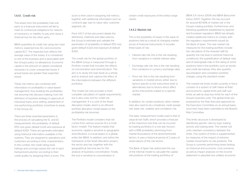#### 1441 Credit risk

This arises from the probability that one party to a financial instrument will fail to meet its contractual obligations for reasons of insolvency or inability to pay and cause a financial loss for the other party.

BBVA quantifies its credit risk using two main metrics: expected loss (EL) and economic capital (EC). The expected loss reflects the average value of the losses. It is considered a cost of the business and is associated with the Group's policy on allowances. Economic capital is the amount of capital considered necessary to cover unexpected losses if actual losses are greater than expected losses.

These risk metrics are combined with information on profitability in value-based management, thus building the profitabilityrisk binomial into decision-making, from the definition of business strategy to approval of individual loans, price setting, assessment of non-performing portfolios, incentives to areas in the Group, etc.

There are three essential parameters in the process of calculating the EL and EC measurements: the probability of default (PD), loss given default (LGD) and exposure at default (EAD). These are generally estimated using historical information available in the systems. They are assigned to operations and customers according to their characteristics. In this context, the credit rating tools (ratings and scorings) assess the risk in each transaction/customer according to their credit quality by assigning them a score. This

score is then used in assigning risk metrics, together with additional information such as contracts age, loan to value ratio, customer segment, etc.

Point 4.51.7 of this document details the definitions, methods and data used by the Group to estimate and validate the parameters of probability of default (PD), loss given default (LGD) and exposure at default (EAD).

The credit risk for the global portfolio of the BBVA Group is measured through a Portfolio model that includes the effects of concentration and diversification. The aim is to study the loan book as a whole, and to analyze and capture the effect of the interrelations between the different portfolios.

This model not only provides a more complete calculation of capital requirements, but is also a key tool for credit risk management. It is a core of the Asset Allocation model, which is an efficient portfolio allocation model based on the profitability-risk binomial.

The Portfolio model considers that risk comes from various sources (it is a multifactor model). This feature implies that economic capital is sensitive to geographic diversification, a crucial aspect in a global entity like BBVA. In addition, and within the framework of the Asset Allocation project, the sector axis has, together with the geographical, become key for the analysis of business concentration. Finally, the tool is sensitive to concentration in

certain credit exposures of the entity's large clients.

#### 1442 Market risk

This is the possibility of losses in the value of positions held as a result of changing market prices of financial instruments. It includes three types of risk:

- Interest rate risk: this is the risk resulting from variations in market interest rates.
- Exchange rate risk: this is the risk resulting from variations in currency exchange rates.
- Price risk: this is the risk resulting from variations in market prices, either due to factors specific to the instrument itself, or alternatively due to factors which affect all the instruments traded on a specific market.

In addition, for certain positions, other market risks also need to be considered: credit spread risk, basis risk, volatility and correlation risk.

The basic measurement model used is that of value-at-risk (VaR), which provides a forecast of the maximum loss that can be incurred by trading portfolios in a one-day horizon, with a 99% probability, stemming from market fluctuations of the aforementioned factors. It uses a historical period of 2 years of observations of the risk factors.

The Bank of Spain has authorized the use of the internal model to calculate the capital risk positions of the trading portfolios of

BBVA S.A. (since 2004) and BBVA Bancomer (since 2007). Together, the two account for around 80-90% of market risk in the Group's trading portfolio. Furthermore, and following guidelines established by Spanish and European regulators, BBVA has already created additional metrics to comply with the regulatory requirements issued by the Bank of Spain. The new market risk measures for the trading portfolio include the calculation of the stressed VaR (to quantify the risk level in extreme historical conditions), the quantification of default risks, and of downgrade risks in the rating of some positions held in the portfolio, such as bonds and credit derivatives; they also quantify securitization and correlation portfolio charges, using the standard model.

The market-risk limits model currently in force consists of a system of VaR (Value at Risk) and economic capital limits and VaR sublimits, as well as stop-loss limits for each of the Group's business units. The global limits are proposed by the Risk Area and approved by the Executive Committee on an annual basis, once they have been submitted to the Board's Risk Committee.

This limits structure is developed by identifying specific risks by type, trading activity and trading desk. The market risk units maintain consistency between the limits. This system of limits is supplemented by measures of the impact of extreme market movements on risk positions. The Group is currently performing stress testing on historical and economic crisis scenarios, as well as impact analyses on the income statement in plausible but unlikely economic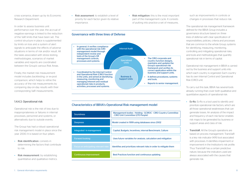crisis scenarios, drawn up by its Economic Research Department.

In order to assess business unit performance over the year, the accrual of negative earnings is linked to the reduction of the VaR limits that have been set. The control structure in place is supplemented by limits on loss and a system of alert signals to anticipate the effects of adverse situations in terms of risk and/or result. All the tasks associated with stress testing, methodologies, scenarios of market variables and reports are coordinated between the Group's various Risk Areas.

Finally, the market risk measurement model includes *backtesting,* or ex-post comparison*,* which helps to refine the accuracy of the risk measurements by comparing day-on-day results with their corresponding VaR measurements.

#### 1.4.4.3. Operational risk

Operational risk is the risk of loss due to inappropriateness or failures in internal processes, personnel and systems, or alternatively due to outside events.

The Group has had a robust operational risk management model in place since the year 2000. It is based on four pillars:

- Risk identification: consists in determining the factors that contribute to risk.
- Risk measurement: by establishing quantitative and qualitative metrics.

• Risk assessment: to establish a level of priority for each factor given its relative importance.

Governance with three lines of Defense

• Risk mitigation: this is the most important part of the management cycle. It consists of putting into practice a set of measures,

such as improvements in controls or changes in processes that reduce risk.

The operational risk management framework defined for the BBVA Group includes a governance structure based on: three lines of defense with clear specification of responsibilities; policies, criteria and processes that are common to the whole Group; systems for identifying, measuring, monitoring, controlling and mitigating operational risks; and tools and methodologies that quantify operational risk in terms of capital.

Operational risk management in BBVA is carried out by the business and support units into which each country is organized. Each country has its own Internal Control and Operational Risk (CIRO) unit.

To carry out this task, BBVA has several tools already running that cover both qualitative and quantitative aspects of operational risk:

- **Ev-Ro**. Ev-Ro is a tool used to identify and prioritize operational risk factors, which are all those operational weaknesses that can generate losses. An analysis of the impact and frequency of each risk factor enables risk maps to be generated by business or support areas and class of risk.
- **TransVaR.** All the Group's operations are based on process management. TransVaR is a key risk indicator (KRI) tool associated with processes. It identifies impairment or improvement in the Institution's risk profile. Thus TransVaR has a certain predictive nature, because the indicators used are always associated with the causes that generate risk.

#### • In general, it verifies compliance with the operational risk (OR) Internal Audit

management model through independent review and tests of the Group's OR management controls, processes and systems. • The CIRO corporate and country function designs, maintains and updates the Group's operational risk framework and verifies its correct application within the business and support units. It defines procedures, systems and tools. • Reports to senior management. **Specialized** Business & Support Units • Coordinated by the Internal Control and Operational Risk (CIRO) function in the units, and aimed at identifying, measuring, monitoring and managing inherent and residual operational risks in products, activities, processes and systems.

#### Characteristics of BBVA's Operational Risk management model

| <b>Soundness</b>                     | Management bodies - Holding - GCIROC - CIRO Country Committee<br>- CIRO Unit Committee (270 People) |
|--------------------------------------|-----------------------------------------------------------------------------------------------------|
| <b>Deepness</b>                      | Model created in 1999 using databases since 2002                                                    |
| Integrated in management             | Capital, Budgets, Incentives, internal Benchmark, Culture                                           |
| <b>Forward looking</b>               | Uses future variables for analysis, calculation and mitigation                                      |
| Focus on anticipating relevant risks | Identifies and prioritizes relevant risks in order to mitigate them                                 |
| Continuous improvement               | Best Practices function and continuous updating                                                     |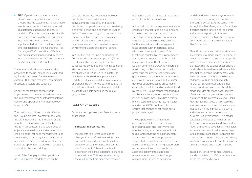• SIRO. Operational risk events nearly always have a negative impact on the Group's income statements. To keep these events under control, they are recorded in a database called SIRO. To ensure reliability, 95% of its inputs are fed directly from accounting data through automatic interfaces. The internal SIRO data are supplemented with information from an external database at the Operational Risk Exchange (ORX) consortium. ORX is a non-profit association founded by twelve international banks in 2002 and currently has 53 members in 18 countries.

The operational risk events are classified according to the risk categories established by Basel II: processes, fraud (internal and external), IT, human resources, commercial practices, disasters and suppliers.

As part of the feature of continuous improvement of the operational risk model, the implementation of an integrated internal control and operational risk methodology began in 2011.

This methodology links risks identified in the Group's process inventory model with the organizational units, and identifies and prioritizes residual risks and links them to the Bank's processes. It also establishes an objective risk level for each risk type, thus enabling gaps that need management to be identified by comparing it with the residual risk level. The Group has developed a new corporate application to provide the required support for this methodology.

Most of the Group quantifies operational risk using internal models based on the

Loss Distribution Approach methodology: distribution of losses determined by convoluting the frequency and severity distribution of operational events, considering a one-year period and a confidence level of 99.9%. The methodology to calculate capital using internal models involves databases of internal operational events, external databases, scenarios and several business environment factors and internal control.

In 2010, the Bank of Spain authorized the Advanced Measurement Approach (AMA) to calculate the capital requirements, consolidated by operational risk in Spain and Mexico, where most of the Group's assets are allocated. BBVA is, up to this date, the only Bank authorized to apply advanced models to calculate capital requirements by operational risk. While the basic model is still applied exceptionally, the standard model is used to calculate capital in the rest of geographies.

#### 1444 Structural risks

Below is a description of the different types of structural risk:

#### • Structural interest-rate risk

Movements in interest rates lead to changes in a bank's net interest income and book value, which constitute a key source of asset and liability interest-rate risk. The extent of these impacts will depend on the bank's exposure to changes in interest rates. This exposure is mainly the result of the time difference between

the repricing and maturities of the different products on the banking book.

A financial institution's exposure to adverse changes in market rates is a risk inherent in the banking business, while at the same time representing an opportunity to generate value. This is why asset and liability interest-rate risk management takes on particular importance, above all in the current environment. This function is handled by the Balance-Sheet Management unit, within the Financial Management area. The Asset and Liability Committee (ALCO) is in charge of maximizing the Bank's economic value, preserving the net interest income and guaranteeing the generation of recurrent earnings. In pursuance of this, the ALCO develops strategies based on its market expectations, within the risk profile defined by the BBVA Group's management bodies and balance the expected results and the level of risk assumed. BBVA has a transfer pricing system that centralizes its interestrate risk on ALCO's books and helps to ensure that balance-sheet risk is being properly managed.

The Corporate Risk Management area is responsible for controlling and monitoring asset and liability interestrate risk, acting as an independent unit to guarantee that the risk management and control functions are properly segregated. This policy is in line with the Basel Committee on Banking Supervision recommendations. It constructs the asset and liability interest-rate risk measurements used by the Group's management, as well as designing

models and measurement systems and developing monitoring, information and control systems. At the same time, through the Risk Management Committee it carries out the function of risk control and analysis reporting to the main governing bodies, such as the Executive Committee and the Board of Directors' Risk Committee.

BBVA Group has a sophisticated structural interest-rate risk model made up of a set of metrics and tools that enable its risk profile to be monitored precisely. For accurately characterizing the balance sheet, analysis models have been developed to establish assumptions dealing fundamentally with early loan amortization and the behavior of deposits with no explicit maturity. As well as risk with respect to parallel movements from cash-flow mismatch, the model includes other additional sources of risk such as changes in the slope and curvature of the interest rate curve. Global Risk Management does this by applying a simulation model of interest-rate curves that quantify risks in probabilistic terms and takes into account currency and business unit diversification. This model calculates the Group's earnings at risk (EaR) and economic capital, defined as the maximum adverse deviations in net interest income and economic value, respectively, for a particular confidence level and time horizon. The model is subjected periodically to internal validation, with backtesting of the simulation model and the assumptions.

In addition, sensitivity is measured to a standard deviation of 100 basis points for all the market yield curves.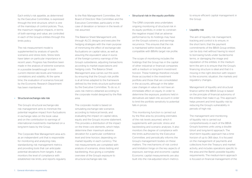Each entity's risk appetite, as determined by the Executive Committee, is expressed through the limit structure, which is one of the mainstays of control policies. Thus, the maximum negative impacts, in terms of both earnings and value, are controlled in each of the Group's entities through this limits policy.

The risk measurement model is supplemented by analysis of specific scenarios and stress tests. Stress tests have taken on particular importance in recent years. Progress has therefore been made in the analysis of extreme scenarios in a possible breakthrough in both current interest-rate levels and historical correlations and volatility. At the same time, the evaluation of scenarios forecast by the Economic Research Department has been maintained.

#### • Structural exchange-rate risk

The Group's structural exchange-rate risk management aims to minimize the potential negative impact from fluctuations in exchange rates on the book value and on the contribution to earnings of international investments maintained on a long-term basis by the Group.

The Corporate Risk Management area acts as an independent unit that is responsible for monitoring and analyzing risks, standardizing risk management metrics and providing tools that can anticipate potential deviations from targets. It also monitors the level of compliance with established risk limits, and reports regularly to the Risk Management Committee, the Board of Directors' Risk Committee and the Executive Committee, particularly in the case of deviation or tension in the levels of risk assumed.

The Balance Sheet Management unit, through ALCO, designs and executes the hedging strategies with the main purpose of minimizing the effect of exchange-rate fluctuations on capital ratios, as well as assuring the equivalent value in euros of the foreign-currency earnings of the Group's subsidiaries, adjusting transactions according to market expectations and hedging costs. The Balance Sheet Management area carries out this work by ensuring that the Group's risk profile is at all times adapted to the framework defined by the limits structure authorized by the Executive Committee. To do so, it uses risk metrics obtained according to the corporate model designed by the Risk area.

The corporate model is based on simulating exchange-rate scenarios according to historical trends, and evaluating the impact on capital ratios, equity and the Group's income statement. This provides a distribution of the impact on the three core elements, which helps determine their maximum adverse deviation for a particular confidence level and time horizon, depending on market liquidity in each currency. The risk measurements are completed with analysis of scenarios, stress testing and backtesting, thus giving a complete overview of the Group's exposure to structural exchange-rate risk.

#### • Structural risk in the equity portfolio

The GRM corporate area undertakes ongoing monitoring of structural risk in its equity portfolio, in order to constrain the negative impact that an adverse performance by its holdings may have on the Group's solvency and earnings recurrence. This ensures that the risk is maintained within levels that are compatible with BBVA's target risk profile.

The scope of monitoring includes the holdings that the Group has in the capital of other industrial or financial companies with a medium or long-term investment horizon. These holdings therefore include those accounted in the investment portfolio and those that are consolidated in the accounts, although in the latter case changes in value do not have an immediate effect on equity. In order to determine the exposure, positions held in derivatives are taken into account in order to limit the portfolio sensitivity to potential falls in prices.

This monitoring function is carried out by the Risk area by providing estimates of the risk levels assumed, which it supplements with periodic stress and backtesting and scenario analyses. It also monitors the degree of compliance with the limits authorized by the Executive Committee, and periodically informs the Group's management bodies on these matters. The mechanisms of risk control and limitation hinge on the key aspects of exposure, earnings and economic capital. Economic capital measurements are also built into the risk-adjusted return metrics

to ensure efficient capital management in the Group.

#### • Liquidity risk

The aim of liquidity risk management, tracking and control is to ensure, in the short term, that the payment commitments of the BBVA Group entities can be duly met without having to resort to borrowing funds under burdensome terms, or damaging the image and reputation of the entities. In the medium term the aim is to ensure that the Group's financing structure is ideal and that it is moving in the right direction with respect to the economic situation, the markets and regulatory changes.

Management of liquidity and structural finance within the BBVA Group is based on the principle of financial autonomy of the entities that make it up. This approach helps prevent and limit liquidity risk by reducing the Group's vulnerability in periods of high risk.

The management and monitoring of liquidity risk is carried out comprehensively in each of the BBVA Group's business units using a double (short and long-term) approach. The short-term liquidity approach has a time horizon of up to 366 days. It is focused on the management of payments and collections from the Treasury and market activity, and includes operations specific to the area and the Bank's possible liquidity requirements. The medium-term approach is focused on financial management of the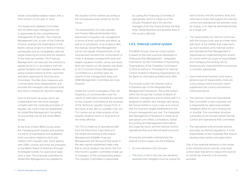whole consolidated balance sheet, with a time horizon of one year or more.

The Assets and Liabilities Committee (ALCO) within each management unit is responsible for the comprehensive management of liquidity. The Financial Management unit, as part of the Financial Division, analyzes the implications of the Bank's various projects in terms of finance and liquidity and its compatibility with the target financing structure and the situation of the financial markets. The Financial Management unit executes the resolutions agreed by ALCO in accordance with the agreed budgets and manages liquidity risk using a broad scheme of limits, sub-limits and alerts approved by the Executive Committee. The Risk Area measures and controls these limits independently and provides the managers with support tools and metrics needed for decision-making.

Each of the local risk areas, which are independent from the local manager, complies with the corporate principles of liquidity risk control that are established by Global Risk Management, the global Structural Risk unit for the entire BBVA Group.

At the level of each BBVA Group entity, the managing areas request and propose a scheme of quantitative and qualitative limits and alerts related to short and medium term liquidity risks. Once agreed with GRM, controls and limits are proposed to the Bank's Board of Directors (through its delegate bodies), for approval at least once a year. The proposals submitted by Global Risk Management are adapted to

the situation of the markets according to the risk tolerance level aimed for by the Group

The development of a new Liquidity and Finance Manual demanded strict adiustment of liquidity risk management in terms of limits, sub-limits and alerts, as well as in procedures. In accordance with the manual, Global Risk Management carries out regular measurements of risk incurred and monitors the consumption of limits. It develops management tools and adapts valuation models, carries out stress tests and reports on the liquidity risk levels to ALCO and the Group's Management Committee on a monthly basis. Its reports to the management areas and GRM Management Committee are more frequent.

Under the current Contingency Plan, the frequency of communication and the nature of information provided are decided by the Liquidity Committee at the proposal of the Technical Liquidity Group (TLG). In the event of any alert or possible crisis, the TLG carries out an initial analysis of the liquidity situation (short or long term) of the entity affected.

The TLG is made up of specialized staff from the Short-Term Cash Desk and the Global Accounting & Information Management (GA&IM), Financial Management and Structural Risk areas. If the alert signals established make clear that a critical situation has arisen, the TLG informs the Liquidity Committee (made up of managers of the corresponding areas). The Liquidity Committee is responsible

for calling the Financing Committee, if appropriate, which is made up of the Group's President and COO and the managers from the Financial Area, the Risk Area, Global Business and business area of the country affected.

#### 1.4.5. Internal control system

The BBVA Group's internal control system is based on the best practices developed in "Enterprise Risk Management – Integrated Framework" by the Committee of Sponsoring Organizations of the Treadway Commission (COSO) as well as in "Framework for Internal Control Systems in Banking Organizations" by the Bank for International Settlements (BIS).

The Group's system for internal control is therefore part of the Integrated Risk Management Framework. This is the system within the Group that involves its Board of Directors, management and its entire staff. It is designed to identify and manage risks facing the Group entities in such a way as to ensure that the business targets established by the Group's management are met. The Integrated Risk Management Framework is made up of specialized units (Risks, Compliance, Global Accounting and Management Information, and Legal Services), and the Internal Control, Operational Risk and Internal Audit functions.

Among the principles underpinning the Internal Control system are the following:

- Its core element is the "process."
- The form in which the risks are identified, assessed and mitigated must be unique for

each process; and the systems, tools and information flows that support the internal control and operational risk activities must be unique, or at least be administered fully by a single unit.

- The responsibility for internal control lies with the Group's units, and at a lower level. with each of the entities that make them up. Each business unit's Internal Control and Operational Risk Management is responsible for implementing the system of control within its scope of responsibility and managing the existing risk by proposing any improvements to processes it considers appropriate.
- Given that some business units have a global scope of responsibility, there are cross-cutting control functions which supplement the control mechanisms mentioned above.
- The Internal Control and Operational Risk Committee in each business unit is responsible for approving suitable mitigation plans for each existing risk or shortfall. This committee structure culminates at the Group's Global Internal Control and Operational Risk Committee.
- The specialized units promote policies and draw up internal regulations. It is the responsibility of the Corporate Risk Area to develop them further and apply them.

One of the essential elements in the model is the institution-level controls, a top-level control layer that aims to reduce the severity of overall risk inherent in its business activities.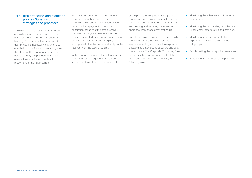#### 1.4.6. Risk protection and reduction policies. Supervision strategies and processes

The Group applies a credit risk protection and mitigation policy deriving from its business model focused on relationship banking. On this basis, the provision of guarantees is a necessary instrument but one that is not sufficient when taking risks; therefore for the Group to assume risks, it needs to verify the payment or resource generation capacity to comply with repayment of the risk incurred.

This is carried out through a prudent risk management policy which consists of analyzing the financial risk in a transaction, based on the repayment or resource generation capacity of the credit receiver, the provision of guarantees in any of the generally accepted ways (monetary, collateral or personal guarantees and hedging) appropriate to the risk borne, and lastly on the recovery risk (the asset's liquidity).

In the Group, monitoring plays a fundamental role in the risk management process and the scope of action of this function extends to

all the phases in this process (acceptance, monitoring and recovery), guaranteeing that each risk is dealt with according to its status and defining and fostering measures to appropriately manage deteriorating risk.

Each business area is responsible for initially monitoring risk quality in its business segment referring to outstanding exposure, outstanding deteriorating exposure and past due exposure. The Corporate Monitoring Area supervises this function, offering its global vision and fulfilling, amongst others, the following tasks:

- Monitoring the achievement of the asset quality targets.
- Monitoring the outstanding risks that are under watch, deteriorating and past due.
- Monitoring trends in concentration. expected loss and capital use in the main risk groups.
- Benchmarking the risk quality parameters.
- Special monitoring of sensitive portfolios.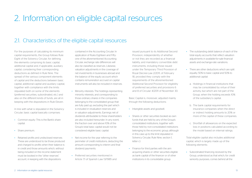## 2. Information on eligible capital resources

## 2.1. Characteristics of the eligible capital resources

For the purposes of calculating its minimum capital requirements, the Group follows Rule Eight of the Solvency Circular, for defining the elements comprising its basic capital, additional capital and, if applicable, auxiliary capital, considering their corresponding deductions as defined in Rule Nine. The spread of the various component elements of capital and the deductions between basic capital, additional capital and auxiliary capital, together with compliance with the limits stipulated both on some of the elements (preferred securities, subordinated, etc.) and also on the different kinds of funds, are all in keeping with the dispositions in Rule Eleven.

In line with what is stipulated in the Solvency Circular, basic capital basically comprises:

- Common equity: This is the Bank's share capital.
- Share premium.
- Retained profits and undisclosed reserves: These are understood to be those produced and charged to profits when their balance is in credit and those amounts which, without being included on the income statement must be booked in the "other reserves" account, in keeping with the dispositions

contained in the Accounting Circular. In application of Rules Eighteen and Fiftyone of the aforementioned Accounting Circular, exchange rate differences will also be classified as reserves. Likewise, valuation adjustments in the coverage of net investments in businesses abroad and the balance of the equity account which contains remuneration accrued on capital instruments will also be included in reserves.

- Minority interests: The holdings representing minority interests, and corresponding to those ordinary shares in the companies belonging to the consolidated group that are fully paid up, excluding the part which is included in revaluation reserves and in valuation adjustments. Earnings net of dividends attributable to these shareholders are also included hereunder. In any event, the fraction over and above 10% of the Group's total basic capital would not be considered eligible basic capital.
- Net income for the year referring to the perimeter of credit institutions, deducting the amount corresponding to interim and final dividend payments.
- Preferred securities mentioned in Article 7.1 of Spanish Law 13/1985 and

issued pursuant to its Additional Second Provision, independently of whether or not they are recorded as a financial liability, and mandatory convertible debt instruments, including those issued under the Temporary Third Provision of Royal Decree-Law 2/2011, of February 18, provided they comply with the requirements of the aforementioned Additional Second Provision for eligibility of preferred securities and provisions 6 and 8 of Circular 4/2011 of November 30.

Basic Capital is, moreover, adjusted mainly through the following deductions:

- Intangible assets and goodwill.
- Shares or other securities booked as own funds that are held by any of the Group's consolidated institutions, together with those held by non-consolidated institutions belonging to the economic group, although in this case up to the limit stipulated in Solvency Circular, Rule Nine, section 1, letter c).
- Finance for third parties with the aim acquiring shares or other securities eligible as bank capital of the financer or of other institutions in its consolidable group.
- The outstanding debit balance of each of the total equity accounts that reflect valuation adjustments in available-for-sale financial assets and exchange-rate variations.
- There are other deductions which are split equally; 50% to basic capital and 50% to additional capital:
	- a. Holdings in financial institutions that may be consolidated by virtue of their activity, but which are not part of the Group, when the holding exceeds 10% of the subsidiary's capital.
- b. The bank capital requirements for insurance companies when the direct or indirect holding amounts to 20% or more of the capital of these companies.
- c. Shortfall of allowances on the expected loss in positions calculated according to the model based on internal ratings.

Total eligible capital also includes additional capital, which is largely made up of the following elements:

• Subordinated financing received by the Group, understood as that which, for credit seniority purposes, comes behind all the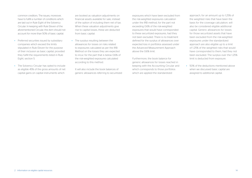common creditors. The issues, moreover have to fulfill a number of conditions which are laid out in Rule Eight of the Solvency Circular. In keeping with Rule Eleven of the aforementioned Circular, this item should not account for more than 50% of basic capital.

- Preferred securities issued by subsidiary companies which exceed the limits stipulated in Rule Eleven for the purpose of their inclusion as basic capital, provided they fulfill the requirements listed in Rule Eight, section 5.
- The Solvency Circular has opted to include as eligible 45% of the gross amounts of net capital gains on capital instruments which

are booked as valuation adjustments on financial assets available for sale, instead of the option of including them net of tax. When these valuation adjustments give rise to capital losses, these are deducted from basic capital.

• The surplus resulting between the allowances for losses on risks related to exposures calculated as per the IRB Method on the losses they are expected to incur, for the part that is below 0.6% of the risk-weighted exposures calculated according to this method.

It will also include the book balances of generic allowances referring to securitized exposures which have been excluded from the risk-weighted exposures calculation under the IRB method, for the part not exceeding 0.6% of the risk-weighted exposures that would have corresponded to these securitized exposures, had they not been excluded. There is no treatment defined for the surplus of allowances over expected loss in portfolios assessed under the Advanced Measurement Approach above the 0.6% limit.

Furthermore, the book balance for generic allowances for losses reached in keeping with the Accounting Circular and which corresponds to those portfolios which are applied the standardized

approach, for an amount up to 1.25% of the weighted risks that have been the basis for the coverage calculation, will also be considered eligible additional capital. Generic allowances for losses for those securitized assets that have been excluded from the risk-weighted exposures under the standardized approach are also eligible up to a limit of 1.25% of the weighted risks that would have corresponded to them, had they not been excluded. The surplus over the 1.25% limit is deducted from exposure.

• 50% of the deductions mentioned above when we discussed basic capital are assigned to additional capital.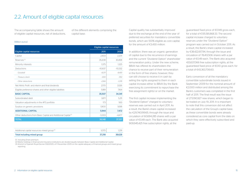| <b>TOTAL</b>                                                              | 36,148   | 37.337   |
|---------------------------------------------------------------------------|----------|----------|
| Other deductions from Basic Capital and Additional Capital <sup>(2)</sup> | $-5.303$ | $-4.477$ |
| <b>ADDITIONAL CAPITAL</b>                                                 | 5.944    | 7.472    |
| Surplus on generic provisions                                             | 1.900    | 1.698    |
| Valuation adjustments in the AFS portfolio                                | 173      | 563      |
| Subordinated debt                                                         | 3.871    | 5.211    |
| <b>BASIC CAPITAL</b>                                                      | 35.507   | 34.341   |
| Eligible preference shares and other eligible liabilities                 | 5.189    | 7.164    |

Capital 2,403 2,201 Reserves (1) 30,458  $\sim$  30,458  $\sim$  30,458  $\sim$  35,208  $\sim$  30,458  $\sim$  30,458  $\sim$  30,458  $\sim$  30,458  $\sim$  30,458  $\sim$  30,458  $\sim$  30,458  $\sim$  30,458  $\sim$  30,458  $\sim$  30,458  $\sim$  30,458  $\sim$  30,458  $\sim$  30,458  $\sim$  30,4 Minority interests 1,325 1,325 1,325 1,325 1,325 1,325 1,325 1,325 1,325 1,325 1,325 1,325 1,325 1,325 1,325 1,325 1,325 1,325 1,325 1,325 1,325 1,325 1,325 1,325 1,325 1,325 1,325 1,325 1,325 1,325 1,325 1,325 1,325 1,325 Deductions –10,837 –10,332 *- Goodwill –8,371 –8,401 - Treasury stock –300 –553 - Other deductions –2,166 –1,378* Net Attrib. Profit and interim and final dividends 2,170 2,170 3,526

| Additional capital resources mixed group <sup>(3)</sup> | 1070   |        |
|---------------------------------------------------------|--------|--------|
| Total including mixed group                             | 37.218 | 38,628 |

(1) Including Share premium.

(2) Mainly holdings in financial and insurance institutions are divided equally between Basic Capital and Additional Capital. (3) Article 6 of Spanish Royal Decree 1332/2005, of 11 November 2005 on the capital adequacy of financial groups and mixed group reporting.

Capital quality has substantially improved due to the exchange at the end of the year of preferred securities for mandatory convertible bonds, which are 100% eligible as core capital, for the amount of €3,430 million.

In addition, there was an organic generation of capital due to the recurrence of earnings and the current "Dividend Option" shareholder remuneration policy. Under the new scheme, BBVA has offered its shareholders the chance to receive part of their remuneration in the form of free shares; however, they can still choose to receive it in cash by selling the rights assigned to them in each capital increase either to BBVA (by the Bank exercising its commitment to repurchase the free assignment rights) or on the market.

The first capital increase implementing the "Dividend Option" charged to voluntary reserves was carried out in April 2011. As a result, the Bank's share capital increased by €29,740,199.65, through the issue and circulation of 60,694,285 shares with a par value of €0.49 each. The Bank also acquired 909,945,425 free subscription rights, at the

guaranteed fixed price of €0.149 gross each for a total of €135,581,868.33. The second capital increase charged to voluntary reserves under the "Dividend Option" program was carried out in October 2011. As a result, the Bank's share capital increased by €38,422,617.94, through the issue and circulation of 78,413,506 shares with a par value of €0.49 each. The Bank also acquired 433,637,066 free subscription rights, at the guaranteed fixed price of €0.10 gross each, for a total of €43,363,706.60.

Early conversion of all the mandatory convertible subordinate bonds issued in September 2009 for the nominal amount of €2,000 million and distributed among the Bank's customers was completed in the first half of 2011. The final result was the issue of 273,190,927 new shares, which began to be traded on July 19, 2011. It is important to note that this conversion did not affect the calculation of the Group's capital base, as these convertible bonds were already considered as core capital from the date on which they were effectively subscribed and paid-up.

## 2.2. Amount of eligible capital resources

The accompanying table shows the amount of eligible capital resources, net of deductions,

(Million euros)

Eligible capital resources

of the different elements comprising the capital base:

Eligible capital resources

2011 2010

#### 2. Information on eligible capital resources 15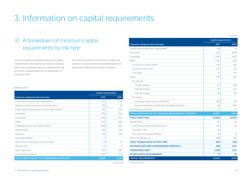## 3. Information on capital requirements

## 3.1. A breakdown of minimum capital requirements by risk type

The accompanying table shows total capital requirements itemized by credit risk, tradingbook risk, exchange rate risk, operational risk and other requirements as of December 31, 2011 and 2010.

The total amount for credit risk includes the positions in securitizations (standardized and advanced method) and equity portfolio.

#### (Million euros)

|                                                      | <b>Capital requirements</b> |        |
|------------------------------------------------------|-----------------------------|--------|
| Exposure categories and risk types                   | 2011                        | 2010   |
| Central governments and Central Banks                | 709                         | 591    |
| Regional Governments and Local Authorities           | 284                         | 94     |
| Public Sector Institutions and other Public Entities | 100                         | 106    |
| Institutions                                         | 295                         | 250    |
| Corporates                                           | 5,216                       | 4,723  |
| Retail                                               | 2,137                       | 1.632  |
| Collateralized with real estate property             | 1,588                       | 1.567  |
| Default status                                       | 639                         | 538    |
| High risk                                            | 710                         | 222    |
| <b>Guaranteed Bonds</b>                              |                             |        |
| Short term to Institutions and Corporates            | 14                          | 12     |
| Mutual funds                                         | 17                          | 4      |
| Other exposures                                      | 942                         | 980    |
| Securitization positions                             | 406                         | 425    |
| TOTAL CREDIT RISK BY THE STANDARDIZED APPROACH       | 12.559                      | 11,145 |

|                                                           | <b>Capital requirements</b> |        |
|-----------------------------------------------------------|-----------------------------|--------|
| <b>Exposure categories and risk types</b>                 | 2011                        | 2010   |
| Central governments and Central Banks                     | 45                          | 33     |
| Institutions                                              | 1,252                       | 1.066  |
| Corporates                                                | 6,139                       | 5,823  |
| Retail                                                    | 2.153                       | 1.752  |
| Secured by real estate collateral                         | 1.524                       | 1.250  |
| Qualifying revolving retail                               | 489                         | 399    |
| Other Retail                                              | 141                         | 103    |
| Equity                                                    | 706                         | 827    |
| By method:                                                |                             |        |
| Simple method                                             | 217                         | 282    |
| PD/LGD method                                             | 371                         | 427    |
| Internal models                                           | 118                         | 118    |
| By nature:                                                |                             |        |
| Exchange traded equity instruments                        | 495                         | 541    |
| Equity instruments in sufficiently diversified portfolios | 212                         | 286    |
| Securitization positions                                  | 53                          | 33     |
| TOTAL CREDIT RISK BY THE ADVANCED MEASUREMENT APPROACH    | 10,350                      | 9,534  |
| <b>TOTAL CREDIT RISK</b>                                  | 22,908                      | 20.679 |
| Standardized:                                             | 161                         | 52     |
| Price risk from fixed income positions                    | 106                         | 38     |
| Correlation risk                                          | 35                          |        |
| Price risk from equity portfolios                         | 20                          | 14     |
| Advanced: Market risk                                     | 688                         | 352    |
| <b>TOTAL TRADING-BOOK ACTIVITY RISK</b>                   | 849                         | 404    |
| EXCHANGE RATE RISK (STANDARDIZED APPROACH)                | 386                         | 1,227  |
| <b>OPERATIONAL RISK<sup>(1)</sup></b>                     | 2,348                       | 2.771  |
| <b>OTHER CAPITAL REQUIREMENTS</b>                         | 71                          | 70     |
| <b>CAPITAL REQUIREMENTS</b>                               | 26,563                      | 25,151 |

(1) See Chapter 6. *(Continued)*

*(Continued)*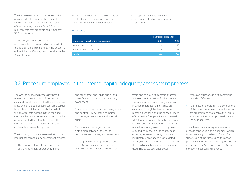The increase recorded in the consumption of capital due to risk from the financial instruments held for trading is the result of incorporating the new Basel 2.5 capital requirements that are explained in Chapter 5.2.2 of this report.

In addition, the reduction in the capital requirements for currency risk is a result of the application of rule Seventy Nine, section 2 of the Solvency Circular, on approval from the Bank of Spain.

The amounts shown in the table above on credit risk include the counterparty risk in trading-book activity as shown below:

The Group currently has no capital requirements for trading-book activity liquidation risk.

#### (Million euros)

|                                           | Capital requirements |      |  |
|-------------------------------------------|----------------------|------|--|
| Counterparty risk trading book activities | 2011                 | 2010 |  |
| Standardized approach                     | 214                  |      |  |
| Advanced measurement approach             | 749                  | 589  |  |
| <b>TOTAL</b>                              | 963                  | 760  |  |

### 3.2. Procedure employed in the internal capital adequacy assessment process

The Group's budgeting process is where it makes the calculations both for economic capital at risk allocated by the different business areas and for the capital base. Economic capital is calculated by internal models that collect the historical data existing in the Group and calculate the capital necessary for pursuit of the activity adjusted for risks inherent to it. These calculations include additional risks to those contemplated in regulatory Pillar I.

The following points are assessed within the internal capital adequacy assessment process:

• The Group's risk profile: Measurement of the risks (credit, operational, market and other asset and liability risks) and quantification of the capital necessary to cover them.

- Systems of risk governance, management and control: Review of the corporate risk management culture and internal audit.
- Capital resources target: Capital distribution between the Group's companies and the targets marked for it.
- Capital planning: A projection is made of the Group's capital base and that of its main subsidiaries for the next three

years and capital sufficiency is analyzed at the end of the period. Furthermore, a stress test is performed using a scenario in which macroeconomic values are estimated for a global-level, economic recession scenario and the consequences of this on the Group's activity (increased NPA, lower activity levels, higher volatility in the financial markets, falls in the stock market, operating losses, liquidity crises, etc.) and its impact on the capital base (income, reserves, capacity to issue equity instruments, allowances, risk-weighted assets, etc.). Estimations are also made on the possible cyclical nature of the models used. The stress scenarios cover

recession situations in sufficiently long periods (20-30 years).

• Future action program: If the conclusions of the report so require, corrective actions are programmed that enable the Bank's equity situation to be optimized in view of the risks analyzed.

The internal capital adequacy assessment process concludes with a document which is sent annually to the Bank of Spain for supervision of the targets and the action plan presented, enabling a dialogue to be set up between the Supervisor and the Group concerning capital and solvency.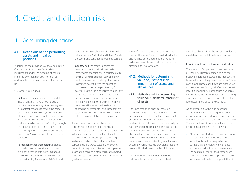## 4. Credit and dilution risk

## 4.1. Accounting definitions

#### 4.1.1. Definitions of non-performing assets and impaired positions

Pursuant to the provisions of the Accounting Circular, the Group classifies its debt instruments under the heading of Assets impaired by credit risk both for the risk attributable to the customer and for country risk:

Customer risk includes:

- Risks due to default: includes those debt instruments that have amounts due on principal, interest or any other cost agreed by contract, regardless of who the holder is or the guarantee involved, with a seasoning of more than 3 months, unless they involve write-offs; as well as those debt instruments that are classified as non-performing through the accumulation of balances rated as nonperforming through default for an amount exceeding 25% of the overall sums pending collection.
- For reasons other than default: includes those debt instruments for which there is no concurrence of the circumstances required to classify them as write-offs or non-performing for reasons of default, and

which generate doubt regarding their full reimbursement (principal and interest) under the terms and conditions agreed by contract.

• Country risk: the assets impaired for reasons of country risk will be the debt instruments of operations in countries with long-standing difficulties in servicing their debt, therefore, the possibility of recovery is deemed doubtful, with the exception of those excluded from provisioning for country risk (e.g., risks attributed to a country, regardless of the currency in which they are denominated, registered in subsidiaries located in the holder's country of residence, commercial loans with a due date not exceeding one year, etc.) and those that are to be classified as non-performing or writeoffs for risk attributable to the customer.

Those operations for which there is a concurrence of reasons for classifying a transaction as credit risk, both for risk attributable to the customer and for country risk, are to be classified under the heading corresponding to risk attributable to the customer, unless it corresponds to a worse category for country risk, without prejudice to the fact that impairment losses attributable to customer risk are covered under the item of country risk when it involves a greater requirement.

Write-off risks are those debt instruments, due or otherwise, for which an individualized analysis has concluded that their recovery is deemed remote and that they should be classified as final write-offs.

4.1.2. Methods for determining value adjustments for impairment of assets and allowances

#### 4.1.2.1. Methods used for determining value adjustments for impairment of assets

The impairment on financial assets is calculated by type of instrument and other circumstances that may affect it, taking into account the guarantees received by the holders of the instruments to assure (fully or partially) the performance of the transactions. The BBVA Group recognizes impairment charges directly against the impaired asset when the likelihood of recovery is deemed remote, and uses an offsetting or allowance account when it records provisions made to cover estimated losses on their full value.

The amount of the deterioration of debt instruments valued at their amortized cost is calculated by whether the impairment losses are determined individually or collectively.

#### Impairment losses determined individually

The amount of impairment losses recorded by these instruments coincides with the positive difference between their respective book values and the present values of future cash flows. These cash flows are discounted at the instrument's original effective interest rate. If a financial instrument has a variable interest rate, the discount rate for measuring any impairment loss is the current effective rate determined under the contract.

As an exception to the rule described above, the market value of quoted debt instruments is deemed to be a fair estimate of the present value of their future cash flows. The estimation of future cash flows for debt instruments considers the following:

• All sums expected to be recovered during the remaining life of the instrument including those that may arise from collaterals and credit enhancements, if any, (once deduction has been made of the costs required for their foreclosure and subsequent sale). Impairment losses include an estimate of the possibility of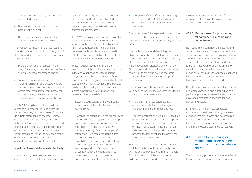collecting of the accrued, past-due and uncollected interest.

- The various types of risk to which each instrument is subject.
- The circumstances under which the collections will foreseeably take place.

With respect to impairment losses resulting from the materialization of insolvency risk of the obligors (credit risk), a debt instrument is impaired when:

- There is evidence of a reduction in the obligor's capacity to pay, whether manifestly by default or for other reasons; and/or
- Country-risk materializes, understood as the common risk among debtors who are resident in a particular country as a result of factors other than normal commercial risk, such as sovereign risk, transfer risk or risks derived from international financial activity.

The BBVA Group has developed policies, methods and procedures to calculate the losses that it may incur as a result of its credit risks, both attributable to the insolvency of counterparties and to country risk. These policies, methods and procedures are applied to the arrangement, study and documentation of debt instruments, risks and contingent commitments, as well as the detection of their deterioration and in the calculation of the amounts needed to cover their credit risk.

#### Impairment losses determined collectively

The collectively determined losses are calculated by using statistical procedures, and they are deemed equivalent to the portion of losses incurred but not yet allocated to specific transactions on the date that the accompanying consolidated financial statements are prepared.

The BBVA Group uses the concept of expected loss to quantify the cost of the credit risk and include it in the calculation of the risk-adjusted return of its transactions. The parameters necessary for its calculation are also used to calculate economic capital and to calculate BIS II regulatory capital under internal models.

These models allow us to estimate the expected loss of the credit risk of each portfolio, in the one-year period after the reporting date, considering the characteristics of the counterparty and the guarantees and collateral associated with the transactions. The expected loss is calculated taking into account three factors: exposure at default, probability of default and loss given default.

- Exposure at default (EAD) is the amount of risk exposure at the date of default by the counterparty.
- Probability of default (PD) is the probability of the counterparty failing to meet its principal and/or interest payment obligations. The probability of default is associated with the rating/scoring of each counterparty/ transaction. PD is measured using a time horizon of one year; i.e. it quantifies the probability of the counterparty defaulting in the coming year. Default is defined as amounts past due by 90 days or more, or cases in which there is no default but there are doubts as to the solvency of the counterparty (subjective doubtful assets).

• Loss given default (LGD) is the loss arising in the event of default. It depends mainly on the guarantees associated with the transaction.

The calculation of the expected loss also takes into account the adjustment to the cycle of the aforementioned factors, especially PD and LGD.

The methodology for determining the allowance for collectively determined losses seeks to identify the amounts of losses which, although incurred at the reporting date, have not yet been disclosed and which the Group knows will arise in the one-year period following the reporting date on the basis of historical experience and other specific information.

The calculation of the incurred loss and not yet disclosed, adjusts the expected loss taking into account two parameters:

- The point-in-time loss parameter is an adjustment to eliminate the through-thecycle component of the expected loss.
- The loss identification period (LIP) is the time period between the occurrence of a specific impairment event and objective evidence of impairment becoming apparent on an individual basis; in other words, the time between the loss event and the date when its occurrence is identified

However, as required by the Bank of Spain, until the Spanish regulatory authority has verified and approved these internal models for the calculation of the allowance for collective losses incurred, the losses must

also be calculated based on the information provided by the Bank of Spain related to the Spanish banking industry.

#### 4.1.2.2. Methods used for provisioning for contingent exposures and commitments

Non-performing contingent exposures and commitments, except for letters of credit and other guarantees, are to be provisioned for an amount equal to the estimation of the sums expected to be disbursed that are deemed to be non-recoverable, applying criteria of valuation prudence. When calculating the provisions criteria similar to those established for non-performing assets for reasons other than customer default are applied.

Nonetheless, those letters of credit and other guarantees provided and classified as nonperforming are to be covered at least by the coverage percentages specified for nonperforming assets.

Likewise, the inherent loss associated with letters of credit and other guarantees provided that are in force and not impaired is covered by applying similar criteria to those set out in the preceding section on impairment losses determined collectively.

#### 4.1.3. Criteria for removing or maintaining assets subject to securitization on the balance sheet

The accounting procedure for the transfer of financial assets depends on the manner in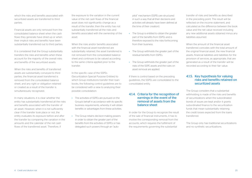which the risks and benefits associated with securitized assets are transferred to third parties.

Financial assets are only removed from the consolidated balance sheet when the cash flows they generate have dried up or when their implicit risks and benefits have been substantially transferred out to third parties.

It is considered that the Group substantially transfers the risks and benefits when these account for the majority of the overall risks and benefits of the securitized assets.

When the risks and benefits of transferred assets are substantially conveyed to third parties, the financial asset transferred is removed from the consolidated balance sheet, and any right or obligation retained or created as a result of the transfer is simultaneously recognized.

In many situations, it is clear whether the entity has substantially transferred all the risks and benefits associated with the transfer of an asset. However, when it is not sufficiently clear if the transfer took place or not, the entity evaluates its exposure before and after the transfer by comparing the variation in the amounts and the calendar of the net cash flows of the transferred asset. Therefore, if

the exposure to the variation in the current value of the net cash flows of the financial asset does not significantly change as a result of the transfer, then the entity has not substantially transferred all the risks and benefits associated with the ownership of the asset.

When the risks and/or henefits associated with the financial asset transferred are substantially retained, the asset transferred is not removed from the consolidated balance sheet and continues to be valued according to the same criteria applied prior to the transfer.

In the specific case of the SSPEs (Securitization Special Purpose Entities) to which Group institutions transfer their loanbooks, the following control guidelines are to be considered with a view to analyzing their possible consolidation:

- The activities of SSPEs are pursued on the Group's behalf in accordance with its specific business requirements, whereby it will obtain benefits or advantages from these activities.
- The Group retains decision-making powers in order to obtain the greater part of the benefits from the activities of SSPEs or has delegated such powers through an "auto-

pilot" mechanism (SSPEs are structured in such a way that all their decisions and activities will already have been defined at the time of their creation).

- The Group is entitled to obtain the greater part of the benefits from SSPEs and is therefore exposed to the risks forthcoming from their business.
- The Group withholds the greater part of the residual benefits from SSPEs.
- The Group withholds the greater part of the risks of the SSPE assets and the rules on asset removal are applied.

If there is control based on the preceding guidelines, the SSPEs are consolidated to the consolidated entity.

#### 4.1.4. Criteria for the recognition of earnings in the event of the removal of assets from the balance sheet

In order for the Group to recognize the result of the sale of financial instruments, it has to involve the corresponding removal from the accounts, which requires the fulfillment of the requirements governing the substantial

transfer of risks and benefits as described in the preceding point. The result will be reflected on the income statement, and calculated as the difference between the book value and the net value received including any new additional assets obtained minus any liabilities assumed.

When the amount of the financial asset transferred coincides with the total amount of the original financial asset, the new financial assets, financial liabilities and liabilities for the provision of services, as appropriate, that are generated as a result of the transfer will be recorded according to their fair value.

#### 4.1.5. Key hypothesis for valuing risks and benefits retained on securitized assets

The Group considers that a substantial withholding is made of the risks and benefits of securitizations when the subordinated bonds of issues are kept and/or it grants subordinated finance to the securitization funds that mean substantially retaining the credit losses expected from the loans transferred.

The Group only has traditional securitizations and no synthetic securitizations.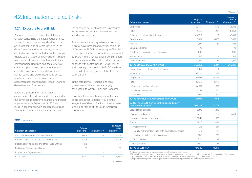*(Continued)*

## 4.2. Information on credit risks

#### 4.2.1. Exposure to credit risk

Pursuant to Rule Thirteen in the Solvency Circular concerning the capital requirements for credit risk, exposure is understood to be any asset item and all items included in the Group's memorandum accounts, involving credit risk and not deducted from the Group's eligible capital. Accordingly, inclusion is made mainly of customer lending items, with their corresponding undrawn balances, letters of credit and guarantees, debt securities and capital instruments, cash and deposits in central banks and credit institutions, assets purchased or sold under a repurchase agreement (asset and liability repos), financial derivatives and fixed assets.

Below is a presentation of the original exposure and the allowances for losses under the advanced measurement and standardized approaches as of December 31, 2011 and 2010. In accordance with section one of Rule Twenty-Eight of the Solvency Circular, only

the exposure net of allowances is presented for those exposures calculated under the standardized approach.

The increase in the original exposure to "Central governments and central banks" as of December 31, 2011, amounting to €34,296 million, is basically due to liability repos (about €22,000 million), whose capital consumption is practically zero. The rest is divided between deposits with central banks (€7,000 million) and sovereign debt, of which €4,000 million is a result of the integration of the Turkish bank Garanti.

In the category of "Regional and local governments", the increase is largely attributable to Garanti Bank and Bancomer.

Growth in the original exposure of the rest of the categories is basically due to the integration of Garanti Bank and the increased lending portfolios of the South American subsidiaries.

*(Continued)*

#### 2011 (Million euros)

| Category of exposure                                 | <b>Original</b><br>exposure <sup>(1)</sup> | Allowances <sup>(2)</sup> | <b>Exposure</b><br>net of<br>allowances <sup>(3)</sup> |
|------------------------------------------------------|--------------------------------------------|---------------------------|--------------------------------------------------------|
| Central Governments and Central Banks                | 112.419                                    | -11                       | 112.408                                                |
| Regional Governments and Local Authorities           | 12.128                                     |                           | 12.128                                                 |
| Public Sector Institutions and other Public Entities | 4.115                                      |                           | 4.114                                                  |
| Multilateral Development Banks                       | 39                                         |                           | 39                                                     |
| International Organizations                          | 12                                         |                           | 12                                                     |
| Institutions                                         | 16.293                                     | -24                       | 16.269                                                 |
|                                                      |                                            |                           |                                                        |

| Category of exposure                                                               | Original<br>exposure <sup>(1)</sup> | Allowances <sup>(2)</sup> | <b>Exposure</b><br>net of<br>allowances <sup>(3)</sup> |
|------------------------------------------------------------------------------------|-------------------------------------|---------------------------|--------------------------------------------------------|
| Corporates                                                                         | 92,579                              | $-1,576$                  | 91.003                                                 |
| Retail                                                                             | 48.151                              | $-287$                    | 47.864                                                 |
| Collateralized with real estate property                                           | 45,300                              | $-111$                    | 45.189                                                 |
| Default status                                                                     | 8.632                               | $-1.175$                  | 7.457                                                  |
| High risk                                                                          | 1,874                               | $-42$                     | 1,833                                                  |
| Guaranteed Bonds                                                                   | 78                                  |                           | 78                                                     |
| Short term to Institutions and Corporates                                          | 895                                 |                           | 895                                                    |
| Mutual funds                                                                       | 216                                 |                           | 216                                                    |
| Other Exposures                                                                    | 20.522                              | $-12$                     | 20.510                                                 |
| <b>TOTAL STANDARDIZED APPROACH</b>                                                 | 363,252                             | $-3,237$                  | 360,015                                                |
| Central Governments and Central Banks                                              | 1,909                               | $-4$                      |                                                        |
| Institutions                                                                       | 98.320                              | $-44$                     |                                                        |
| Corporates                                                                         | 156.313                             | $-3,356$                  |                                                        |
| Retail                                                                             | 82,430                              | $-1,059$                  |                                                        |
| Secured by real estate collateral                                                  | 68.859                              | $-392$                    |                                                        |
| Qualifying revolving retail                                                        | 10,374                              | $-536$                    |                                                        |
| Other retail                                                                       | 3.196                               | $-131$                    |                                                        |
| TOTAL ADVANCED MEASUREMENT APPROACH                                                | 338,972                             | $-4,464$                  |                                                        |
| <b>SUBTOTAL CREDIT RISK (securitizations and equity</b><br>positions not included) | 702,224                             | $-7,701$                  |                                                        |
| Securitization positions                                                           | 8,396                               | $-255$                    |                                                        |
| Standardized approach                                                              | 6.351                               | $-131$                    | 6.220                                                  |
| Advanced measurement approach                                                      | 2.045                               | -123                      |                                                        |
| Equity                                                                             | 6,426                               | $-433$                    |                                                        |
| Simple method                                                                      | 1.216                               | $-314$                    |                                                        |
| Equity instruments in sufficiently diversified portfolios                          | 610                                 | -27                       |                                                        |
| Exchange traded equity instruments                                                 | 606                                 | $-287$                    |                                                        |
| PD/LGD method                                                                      | 4,730                               | $-2$                      |                                                        |
| Internal models                                                                    | 480                                 | $-117$                    |                                                        |
| <b>TOTAL CREDIT RISK</b>                                                           | 717,045                             | $-8.389$                  |                                                        |

(1) Gross exposure prior to the application of risk mitigation techniques.

(2) It includes provisions for the Impairment of financial assets and other valuation adjustments, with the exception of the generic provision included in the capital base as more Additional Capital, as per Rule Eight in the Solvency Circular.

(3) Exposures are adjusted solely by provisions in the case of exposures by the standardized approach.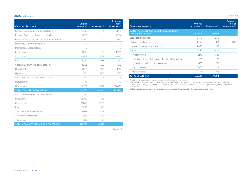#### 2010 (Million euros) *(Continued)*

| Category of exposure                                 | Original<br>exposure <sup>(1)</sup> | Allowances <sup>(2)</sup> | <b>Exposure</b><br>net of<br>allowances <sup>(3)</sup> |
|------------------------------------------------------|-------------------------------------|---------------------------|--------------------------------------------------------|
| Central Governments and Central Banks                | 78.123                              | $-5$                      | 78.118                                                 |
| Regional Governments and Local Authorities           | 6.355                               | $-1$                      | 6.354                                                  |
| Public Sector Institutions and other Public Entities | 5.350                               | $-3$                      | 5.347                                                  |
| Multilateral Development Banks                       | 51                                  |                           | 51                                                     |
| International Organizations                          | 13                                  |                           | 13 <sup>°</sup>                                        |
| Institutions                                         | 13.377                              | -59                       | 13.318                                                 |
| Corporates                                           | 83.749                              | $-569$                    | 83.180                                                 |
| Retail                                               | 38.087                              | $-168$                    | 37.920                                                 |
| Collateralized with real estate property             | 42.165                              | $-293$                    | 41.872                                                 |
| Default status                                       | 8.335                               | $-2.144$                  | 6.191                                                  |
| High risk                                            | 2.202                               | $-245$                    | 1,957                                                  |
| Short term to Institutions and Corporates            | 729                                 | $-4$                      | 725                                                    |
| Mutual funds                                         | 49                                  |                           | 49                                                     |
| Other exposures                                      | 16.052                              | $-1.372$                  | 14.680                                                 |
| <b>TOTAL STANDARDIZED APPROACH</b>                   | 294,636                             | $-4.862$                  | 289,774                                                |
| Central Governments and Central Banks                | 1.087                               | $-3$                      |                                                        |
| Institutions                                         | 95.730                              | $-52$                     |                                                        |
| Corporates                                           | 161.743                             | $-3.395$                  |                                                        |
| Retail                                               | 83.515                              | $-996$                    |                                                        |
| Secured by real estate collateral                    | 69.998                              | $-286$                    |                                                        |
| Qualifying revolving retail                          | 10,166                              | $-546$                    |                                                        |
| Other retail                                         | 3.351                               | $-164$                    |                                                        |
| TOTAL ADVANCED MEASUREMENT APPROACH                  | 342,075                             | $-4.446$                  |                                                        |

*(Continued)*

| Category of exposure                                                               | Original<br>exposure <sup>(1)</sup> | Allowances <sup>(2)</sup> | <b>Exposure</b><br>net of<br>allowances <sup>(3)</sup> |
|------------------------------------------------------------------------------------|-------------------------------------|---------------------------|--------------------------------------------------------|
| <b>SUBTOTAL CREDIT RISK (securitizations and equity</b><br>positions not included) | 636,711                             | $-9.309$                  |                                                        |
| Securitization positions                                                           | 8.456                               | $-256$                    |                                                        |
| Standardized approach                                                              | 6,021                               | $-174$                    | 5.847                                                  |
| Advanced measurement approach                                                      | 2.435                               | $-82$                     |                                                        |
| Equity                                                                             | 7.345                               | $-429$                    |                                                        |
| Simple method                                                                      | 1.473                               | $-326$                    |                                                        |
| Equity instruments in sufficiently diversified portfolios                          | 1,051                               | $-29$                     |                                                        |
| Exchange traded equity instruments                                                 | 422                                 | $-297$                    |                                                        |
| PD/LGD method                                                                      | 5,375                               |                           |                                                        |
| Internal models                                                                    | 497                                 | $-103$                    |                                                        |
| <b>TOTAL CREDIT RISK</b>                                                           | 652.512                             | $-9.994$                  |                                                        |

(1) Gross exposure prior to the application of risk mitigation techniques.

(2) It includes provisions for the Impairment of assets (financial and non-financial) and other valuation adjustments, with the exception of the generic provision included in the capital base as more Additional Capital, as per Rule Eight in the Solvency Circular.

(3) Exposures are adjusted solely by provisions in the case of exposures by the standardized approach.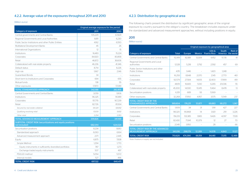#### 4.2.2. Average value of the exposures throughout 2011 and 2010

#### (Million euros)

|                                                                                    | Original average exposure for the period |                  |  |
|------------------------------------------------------------------------------------|------------------------------------------|------------------|--|
| Category of exposure                                                               | 2011                                     | 2010             |  |
| Central governments and Central Banks                                              | 105,229                                  | 67,829           |  |
| Regional Governments and Local Authorities                                         | 8,811                                    | 6,230            |  |
| Public Sector Institutions and other Public Entities                               | 4.162                                    | 6,550            |  |
| Multilateral Development Banks                                                     | 45                                       | 26               |  |
| International Organizations                                                        | $12^{12}$                                | $15\overline{)}$ |  |
| Institutions                                                                       | 16,483                                   | 15.224           |  |
| Corporates                                                                         | 84,920                                   | 80,858           |  |
| Retail                                                                             | 46,872                                   | 36,606           |  |
| Collateralized with real estate property                                           | 46,236                                   | 41,346           |  |
| Default status                                                                     | 8,714                                    | 8,226            |  |
| High risk                                                                          | 1.967                                    | 2.146            |  |
| Guaranteed Bonds                                                                   | 34                                       |                  |  |
| Short term to Institutions and Corporates                                          | 694                                      | 655              |  |
| Mutual funds                                                                       | 138                                      | 55               |  |
| Other exposures                                                                    | 17,870                                   | 17,089           |  |
| <b>TOTAL STANDARDIZED APPROACH</b>                                                 | 342,188                                  | 282,855          |  |
| Central Governments and Central Banks                                              | 3,059                                    | 1,806            |  |
| Institutions                                                                       | 96.325                                   | 90.189           |  |
| Corporates                                                                         | 157.715                                  | 167,239          |  |
| Retail                                                                             | 82,726                                   | 81,934           |  |
| Secured by real estate collateral                                                  | 69,324                                   | 68,892           |  |
| Qualifying revolving retail                                                        | 10,109                                   | 9,692            |  |
| Other retail                                                                       | 3,294                                    | 3,350            |  |
| TOTAL ADVANCED MEASUREMENT APPROACH                                                | 339,826                                  | 341,169          |  |
| <b>SUBTOTAL CREDIT RISK (securitizations and equity positions</b><br>not included) | 682,014                                  | 624,024          |  |
| Securitization positions                                                           | 8,234                                    | 8,610            |  |
| Standardized approach                                                              | 6,063                                    | 6,164            |  |
| Advanced measurement approach                                                      | 2.171                                    | 2,445            |  |
| Equity                                                                             | 6.875                                    | 7.838            |  |
| Simple Method                                                                      | 1,294                                    | 1.770            |  |
| Equity instruments in sufficiently diversified portfolios                          | 787                                      | 1.273            |  |
| Exchange traded equity instruments                                                 | 507                                      | 497              |  |
| PD/LGD method                                                                      | 5,054                                    | 5,572            |  |
| Internal models                                                                    | 527                                      | 496              |  |
| <b>TOTAL CREDIT RISK</b>                                                           | 697.122                                  | 640.471          |  |

#### 4.2.3. Distribution by geographical area

The following charts present the distribution by significant geographic areas of the original exposure by country pursuant to the obligor's country. The breakdown includes exposure under the standardized and advanced measurement approaches, without including positions in equity.

#### 2011

#### (Million euros)

|                                                                         |              | Original exposure by geographical area |               |                             |                  |                      |
|-------------------------------------------------------------------------|--------------|----------------------------------------|---------------|-----------------------------|------------------|----------------------|
| Category of exposure                                                    | <b>Total</b> | <b>Europe</b>                          | <b>Mexico</b> | USA &<br><b>Puerto Rico</b> | South<br>America | Rest of<br>the world |
| Central Governments and Central Banks                                   | 112.419      | 82.881                                 | 13,309        | 4452                        | 11.735           | 41                   |
| Regional Governments and Local<br>authorities                           | 12,128       | 5.218                                  | 3.792         | 2.592                       | 457              | 69                   |
| Public Sector Institutions and other<br><b>Public Entities</b>          | 4.115        | 1.446                                  |               | 1.420                       | 1.248            |                      |
| Institutions                                                            | 16,293       | 8.848                                  | 2.070         | 2.145                       | 2.770            | 461                  |
| Corporates                                                              | 92.579       | 27.584                                 | 14.105        | 32,400                      | 17.999           | 491                  |
| Retail                                                                  | 48.151       | 16,665                                 | 5.130         | 6.265                       | 20.036           | 55                   |
| Collateralized with real estate property                                | 45,300       | 14.930                                 | 10.415        | 11.464                      | 8.478            | 13                   |
| Securitization positions                                                | 6.351        | 689                                    | 93            | 5.569                       | $\overline{a}$   |                      |
| Other exposures                                                         | 32,268       | 17.950                                 | 4.957         | 3,575                       | 5.549            | 237                  |
| <b>TOTAL CREDIT RISK BY THE</b><br><b>STANDARDIZED APPROACH</b>         | 369,604      | 176,211                                | 53,871        | 69,883                      | 68,272           | 1,367                |
| Central Governments and Central Banks                                   | 1,909        | 34                                     | 31            | 1.191                       | 427              | 227                  |
| Institutions                                                            | 98.320       | 90.868                                 | 14            | 3.921                       | 291              | 3.226                |
| Corporates                                                              | 156.313      | 133.385                                | 1.865         | 9.426                       | 4.097            | 7.539                |
| Retail                                                                  | 82.430       | 71.941                                 | 10.379        | 12                          | 27               | 70                   |
| Securitization positions                                                | 2.045        | 1.950                                  |               | 28                          |                  | 66                   |
| <b>TOTAL CREDIT RISK BY THE ADVANCED</b><br><b>MEASUREMENT APPROACH</b> | 341.016      | 298.179                                | 12.289        | 14.578                      | 4.843            | 11.127               |
| <b>TOTAL CREDIT RISK</b>                                                | 710,620      | 474.390                                | 66,159        | 84.461                      | 73,115           | 12.495               |

Note: Positions in equity are not included.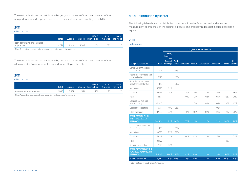The next table shows the distribution by geographical area of the book balances of the non-performing and impaired exposures of financial assets and contingent liabilities:

#### 2011

(Million euros)

|                                          | Total  | Europe |      | USA &<br>Mexico Puerto Rico | <b>South</b> | Rest of<br>America the world |
|------------------------------------------|--------|--------|------|-----------------------------|--------------|------------------------------|
| Non-performing and impaired<br>exposures | 16.071 | 11.918 | .286 |                             | LO32         | 115                          |

Note: Accounting balances solvency perimeter excluding equity positions.

The next table shows the distribution by geographical area of the book balances of the allowances for financial asset losses and for contingent liabilities.

#### 2011

#### (Million euros)

|                            | Total |       |       | USA &<br>Europe Mexico Puerto Rico America the world | South | Rest of |
|----------------------------|-------|-------|-------|------------------------------------------------------|-------|---------|
| Allowance for asset losses | 9.867 | 5.481 | 1.553 | 259                                                  | 1478  | 96      |

Note: Accounting balances solvency perimeter excluding equity positions.

#### 4.2.4. Distribution by sector

The following table shows the distribution by economic sector (standardized and advanced measurement approaches) of the original exposure. The breakdown does not include positions in equity.

#### 2011

#### (Million euros)

|                                                                                   |              | Original exposure by sector            |               |                    |       |                                  |      |        |         |
|-----------------------------------------------------------------------------------|--------------|----------------------------------------|---------------|--------------------|-------|----------------------------------|------|--------|---------|
|                                                                                   |              | EECC,<br>insurance<br>and<br>financial | <b>Public</b> |                    |       |                                  |      |        | Other   |
| Category of exposure                                                              | <b>Total</b> | brokerage                              |               | sector Agriculture |       | Industry Construction Commercial |      | Retail | sectors |
| Central Governments and<br>Central Banks                                          | 112.419      |                                        | 15.8%         |                    |       |                                  |      |        |         |
| Regional Governments and<br>Local Authorities                                     | 12.128       |                                        | 1.7%          |                    |       |                                  |      |        |         |
| <b>Public Sector Institutions</b><br>and other Public Entities                    | 4,115        |                                        | 0.6%          |                    |       |                                  |      |        |         |
| Institutions                                                                      | 16.293       | 2.3%                                   |               |                    |       |                                  |      |        |         |
| Corporates                                                                        | 92.579       | 0.4%                                   |               | 0.5%               | 1.8%  | 1.1%                             | 5.6% |        | 3.6%    |
| Retail                                                                            | 48.151       |                                        |               | 0.1%               | 0.1%  | 0.2%                             | 0.9% | 4.9%   | 0.6%    |
| Collateralized with real<br>estate property                                       | 45.300       |                                        |               |                    | 0.1%  | 0.2%                             | 0.2% | 4.8%   | 1.0%    |
| Securitization positions                                                          | 6,351        | 0.1%                                   | 0.5%          |                    |       |                                  | 0.3% |        |         |
| Other exposures                                                                   | 32,268       | 0.3%                                   |               | 0.1%               | 0.2%  | 0.2%                             | 0.3% | 0.9%   | 2.6%    |
| <b>TOTAL CREDIT RISK BY</b><br>THE STANDARDIZED<br><b>APPROACH</b>                | 369.604      | 3.2%                                   | 18.6%         | 0.7%               | 2.2%  | 1.7%                             | 7.2% | 10.6%  | 7.8%    |
| Central Governments and<br>Central Banks                                          | 1.909        |                                        | 0.3%          |                    |       |                                  |      |        |         |
| Institutions                                                                      | 98,320       | 9.9%                                   | 3.9%          |                    |       |                                  |      |        |         |
| Corporates                                                                        | 156,313      | 2.7%                                   |               | 0.1%               | 8.0%  | 1.8%                             | 2.1% |        | 7.3%    |
| Retail                                                                            | 82.430       |                                        |               |                    |       |                                  |      | 11.6%  |         |
| Securitization positions                                                          | 2,045        | 0.3%                                   |               |                    |       |                                  |      |        |         |
| <b>TOTAL CREDIT RISK BY THE</b><br><b>ADVANCED MEASUREMENT</b><br><b>APPROACH</b> | 341.016      | 12.9%                                  | 4.2%          | 0.1%               | 8.0%  | 1.8%                             | 2.1% | 11.6%  | 7.3%    |
| <b>TOTAL CREDIT RISK</b>                                                          | 710.620      | 16.1%                                  | 22.8%         | 0.8%               | 10.1% | 3.5%                             | 9.4% | 22.2%  | 15.1%   |

Note: Positions in equity are not included.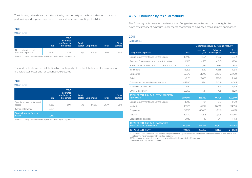The following table shows the distribution by counterparty of the book balances of the nonperforming and impaired exposures of financial assets and contingent liabilities.

#### 2011

#### (Million euros)

|                                          | Total  | EECC.<br><i>insurance</i><br>and financial<br>brokerage | <b>Public</b><br>sector | Corporates | Retail | Other<br>sectors |
|------------------------------------------|--------|---------------------------------------------------------|-------------------------|------------|--------|------------------|
| Non-performing and<br>impaired exposures | 16.071 | 4.2%                                                    | 05%                     | 58.7%      | 297%   | 6.8%             |

Note: Accounting balances solvency perimeter excluding equity positions.

The next table shows the distribution by counterparty of the book balances of allowances for financial asset losses and for contingent exposures:

#### 2011

#### (Million euros)

|                                            | <b>Total</b> | EECC.<br>insurance<br>and financial<br>brokerage | <b>Public</b><br>sector | Corporates | Retail | Other<br><b>sectors</b> |
|--------------------------------------------|--------------|--------------------------------------------------|-------------------------|------------|--------|-------------------------|
| Specific allowance for asset<br>losses     | 6.583        | 5.9%                                             | 1.1%                    | 56.3%      | 26.7%  | 9.9%                    |
| Generic allowance                          | 3,284        |                                                  |                         |            |        |                         |
| <b>Total allowance for asset</b><br>losses | 9.867        |                                                  |                         |            |        |                         |

Note: Accounting balances solvency perimeter excluding equity positions.

#### 4.2.5. Distribution by residual maturity

The following table presents the distribution of original exposure by residual maturity, broken down by category of exposure under the standardized and advanced measurement approaches:

#### 2011

#### (Million euros)

|                                                                         |              | Original exposure by residual maturity |                                 |                 |  |
|-------------------------------------------------------------------------|--------------|----------------------------------------|---------------------------------|-----------------|--|
| Category of exposure                                                    | <b>Total</b> | Less than<br>1 year                    | <b>Between</b><br>1 and 5 years | Over<br>5 years |  |
| Central Governments and Central Banks                                   | 112.419      | 71.574                                 | 27.332                          | 13.512          |  |
| Regional Governments and Local Authorities                              | 12.128       | 4.253                                  | 4.645                           | 3.230           |  |
| Public, Sector Institutions and other Public Entities                   | 4.115        | 1.536                                  | 1.601                           | 978             |  |
| Institutions                                                            | 16.293       | 6.110                                  | 6.885                           | 3.298           |  |
| Corporates                                                              | 92.579       | 31.090                                 | 38.010                          | 23.480          |  |
| Retail                                                                  | 48.151       | 17.820                                 | 19.148                          | 11.183          |  |
| Collateralized with real estate property                                | 45,300       | 1.841                                  | 3.049                           | 40.411          |  |
| Securitization positions                                                | 6.351        | 7                                      | 624                             | 5.721           |  |
| Other Exposures <sup>(1)</sup>                                          | 32.268       | 1.151                                  | 435                             | 1.529           |  |
| <b>TOTAL CREDIT RISK BY THE STANDARDIZED</b><br><b>APPROACH</b>         | 369,604      | 135.382                                | 101.728                         | 103.340         |  |
| Central Governments and Central Banks                                   | 1.909        | 101                                    | 370                             | 1.439           |  |
| Institutions                                                            | 98.320       | 45.361                                 | 28.562                          | 24.396          |  |
| Corporates                                                              | 156.313      | 60.820                                 | 47.319                          | 48.174          |  |
| Retail <sup>(2)</sup>                                                   | 82.430       | 10.515                                 | 2.608                           | 69.307          |  |
| Securitization positions                                                | 2.045        | 48                                     | 544                             | 1.453           |  |
| <b>TOTAL CREDIT RISK BY THE ADVANCED</b><br><b>MEASUREMENT APPROACH</b> | 341.016      | 116.845                                | 79.402                          | 144,768         |  |
| <b>TOTAL CREDIT RISK (3)</b>                                            | 710,620      | 252,227                                | 181.130                         | 248,108         |  |

(1) The item "Other Exposures" includes the category of Other Exposures (mainly fixed assets and cash). In view of their nature, this category is not broken down by residual maturity.

(2) The balance set as less than a year is largely attributable to cards in the Mexico area.

(3) Positions in equity are not included.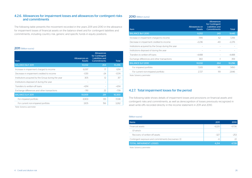#### 4.2.6. Allowances for impairment losses and allowances for contingent risks and commitments

The following table presents the movement recorded in the years 2011 and 2010 in the allowance for impairment losses of financial assets on the balance sheet and for contingent liabilities and commitments, including country risk, generic and specific funds in equity positions.

#### 2011 (Million euros)

| <b>Item</b>                                        | <b>Allowances on</b><br><b>Assets</b> | <b>Allowances</b><br>for Contingent<br><b>Liabilities and</b><br><b>Commitments</b> | <b>Total</b> |
|----------------------------------------------------|---------------------------------------|-------------------------------------------------------------------------------------|--------------|
| <b>BALANCE BoY 2011</b>                            | 10.032                                | 264                                                                                 | 10.296       |
| Increase in impairment charged to income           | 6.097                                 | 17                                                                                  | 6.114        |
| Decrease in impairment credited to income          | $-1.551$                              | $-24$                                                                               | $-1.574$     |
| Institutions acquired by the Group during the year | 305                                   | 12                                                                                  | 317          |
| Institutions disposed of during the year           | $\overline{\phantom{0}}$              | $\overline{\phantom{a}}$                                                            |              |
| Transfers to written-off loans                     | $-4.114$                              | $\overline{\phantom{0}}$                                                            | $-4.114$     |
| Exchange differences and other transactions        | $-761$                                | 22                                                                                  | $-739$       |
| <b>BALANCE EoY 2011</b>                            | 10,009                                | 291                                                                                 | 10,300       |
| For impaired portfolio                             | 6.903                                 | 135                                                                                 | 7.038        |
| For current non-impaired portfolio                 | 3.105                                 | 156                                                                                 | 3.262        |

Note: Solvency perimeter.

#### 2010 (Million euros)

| <b>Item</b>                                        | Allowances on<br><b>Assets</b> | <b>Allowances</b><br>for Contingent<br>Liabilities and<br><b>Commitments</b> | <b>Total</b> |
|----------------------------------------------------|--------------------------------|------------------------------------------------------------------------------|--------------|
| <b>BALANCE BoY 2010</b>                            | 9.202                          | 243                                                                          | 9.445        |
| Increase in impairment charged to income           | 7.195                          | 62                                                                           | 7.256        |
| Decrease in impairment credited to income          | $-2.236$                       | $-40$                                                                        | $-2.276$     |
| Institutions acquired by the Group during the year | $\overline{\phantom{0}}$       |                                                                              |              |
| Institutions disposed of during the year           | $\overline{\phantom{0}}$       |                                                                              |              |
| Transfers to written-off loans                     | $-4.488$                       |                                                                              | $-4.488$     |
| Exchange differences and other transactions        | 360                            | $-1$                                                                         | 359          |
| <b>BALANCE EoY 2010</b>                            | 10.032                         | 264                                                                          | 10.296       |
| For impaired portfolio                             | 7.305                          | 145                                                                          | 7.450        |
| For current non-impaired portfolio                 | 2.727                          | 119                                                                          | 2.846        |

Note: Solvency perimeter.

#### 4.2.7. Total impairment losses for the period

The following table shows details of impairment losses and provisions on financial assets and contingent risks and commitments, as well as derecognition of losses previously recognized in asset write-offs recorded directly in the income statement in 2011 and 2010.

#### (Million euros)

| <b>Items</b>                                         | 2011   | 2010   |
|------------------------------------------------------|--------|--------|
| Financial assets                                     | 4.22C  | 4.706  |
| Of which:                                            |        |        |
| Recovery of written-off assets                       | $-327$ | $-253$ |
| Contingent exposure and commitments [recoveries (-)] | -6     |        |
| <b>TOTAL IMPAIRMENT LOSSES</b>                       | 4.214  | 4.728  |

Note: Solvency perimeter.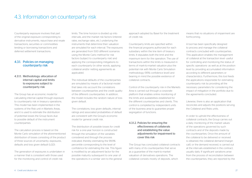## 4.3. Information on counterparty risk

Counterparty exposure involves that part of the original exposure corresponding to derivative instruments, repurchase and resale transactions, securities or commodities lending or borrowing transactions and deferred settlement transactions.

#### 4.3.1. Policies on managing counterparty risk

#### 4.3.1.1. Methodology: allocation of internal capital and limits to exposures subject to counterparty risk

The Group has an economic model for calculating internal capital through exposure to counterparty risk in treasury operations. This model has been implemented in the systems of the Risk unit in Markets Areas, and it is used to estimate the distribution of potential losses the Group faces due to possible default of the instrument counterparties.

The calculation process is based on the Monte Carlo simulation of the aforementioned distribution of losses consisting of the product of three sources of uncertainty: exposures, defaults and loss given default (LGD).

The generation of exposures is undertaken in a manner that is consistent with those used for the monitoring and control of credit risk

limits. The time horizon is divided up into intervals, and the market risk factors (interest rates, exchange rates, etc.) underlying the instruments that determine their valuation are simulated for each interval. The exposures are generated from 500 different scenarios using the Monte Carlo method for risk factors (subject to counterparty risk) and applying the corresponding mitigations to each counterparty (in other words, applying collateral and/or netting agreements as applicable).

The individual defaults of the counterparties are simulated by means of a factorial model that takes into account the correlations between counterparties and the credit quality of the different counterparties. In addition, the model includes the random nature of loss given default.

The correlations, loss given defaults, internal ratings and associated probabilities of default are consistent with the Group's economic model for general credit risk.

The distribution of possible losses for credit risk for a one-year horizon is constructed through the simulation of the variables considered and through the process indicated, thereby estimating the 99.9% percentile corresponding to the level of confidence for estimating the risk. This figure is modified by an adjustment factor for the possible maturity subsequent to one year of the operations in a similar vein to the general approach adopted by Basel for the treatment of credit risk.

Counterparty limits are specified within the financial programs authorized for each subsidiary within the line item of treasury limits. It stipulates both the limit and the maximum term for the operation. The use of transactions within the limits is measured in terms of mark-to-market valuation plus the potential risk with Monte Carlo Simulation methodology (95% confidence level) and bearing in mind the possible existence of collateral contracts.

Control of the counterparty risk in the Markets Area is carried out through a corporate platform that enables online monitoring of the limits and availabilities established for the different counterparties and clients. This control is completed by independent units of the business area to guarantee proper segregation of functions.

#### 4.3.1.2. Policies for ensuring the effectiveness of collaterals and establishing the value adjustments for impairment to cover this risk

The Group has concluded collateral contracts with many of its counterparties that serve as a guarantee of the mark-to-market valuation of derivatives operations. The collateral consists mostly of deposits, which

means that no situations of impairment are forthcoming.

A tool has been specifically designed to process and manage the collateral contracts concluded with counterparties. This application enables the management of collateral at the transaction level -useful for controlling and monitoring the status of specific operations- as well as at the position level by providing accumulated information according to different parameters or characteristics. Furthermore, this tool feeds the applications responsible for estimating counterparty risk by providing all the necessary parameters for considering the impact of mitigation in the portfolio due to the agreements concluded.

Likewise, there is also an application that reconciles and adjusts the positions serving the Collateral and Risks units.

In order to uphold the effectiveness of collateral contracts, the Group carries out a daily monitoring of the market values of the operations governed by such contracts and of the deposits made by the counterparties. Once the amount of the collateral to be delivered or received is obtained, the collateral demand (margin call), or the demand received, is carried out at the intervals established in the contract usually daily. If significant variations arise from the process of reconciliation between the counterparties, they are reported by the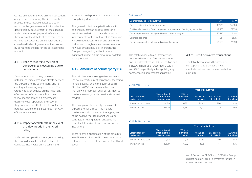Collateral unit to the Risks unit for subsequent analysis and monitoring. Within the control process, the Collateral unit issues a daily report on the guarantees which includes the description by counterparty of the exposure and collateral, making special reference to those guarantee deficits at or beyond the set warning levels. Collateral insufficiencies are considered to be of greater credit exposure by consuming the line for the corresponding amount.

#### 4.3.1.3. Policies regarding the risk of adverse effects occurring due to correlations

Derivatives contracts may give rise to potential adverse correlation effects between the exposure to the counterparty and its credit quality (wrong-way-exposures). The Group has strict policies on the treatment of exposures of this nature. First, they follow specific admission processes for each individual operation; and second, they compute the effects of risk, not for the potential value of the exposure but for 100% of its nominal value.

#### 4.3.1.4. Impact of collaterals in the event of a downgrade in their credit rating

In derivatives operations, as a general policy, the Group does not conclude collateral contracts that involve an increase in the

amount to be deposited in the event of the Group being downgraded.

The general criterion applied to date with banking counterparties is to establish a zero threshold within collateral contracts, independently of the mutual rating (provision will be made as collateral of any difference that arises through mark-to-market valuation, however small it may be). Therefore, the Group's downgrading will not have a significant impact on the amount of collateral to be provided.

#### 4.3.2. Amounts of counterparty risk

The calculation of the original exposure for the counterparty risk of derivatives, according to Rule Seventy-one in the Bank of Spain Circular 3/2008, can be made by means of the following methods: original risk, mark-tomarket valuation, standardized and internal models.

The Group calculates solely the value of exposure to risk through the mark-tomarket method obtained as the aggregate of the positive mark-to-market value after contractual netting agreements plus the potential future risk of each transaction or instrument.

There follows a specification of the amounts in million euros involved in the counterparty risk of derivatives as at December 31, 2011 and 2010:

#### (Million euros)

| Counterparty risk of derivatives                                           | 2011   | 2010   |
|----------------------------------------------------------------------------|--------|--------|
| Gross positive fair value of the contracts                                 | 49.989 | 34.084 |
| Positive effects arising from compensation agreements (netting agreements) | 42.565 | 31.338 |
| Credit exposure after netting and before collateral assigned               | 32.636 | 25.182 |
| Collateral assigned                                                        | 4.081  | 2.825  |
| Credit exposure after netting and collateral assigned                      | 28.555 | 22.358 |

The total exposure to counterparty risk, composed basically of repo transactions and OTC derivatives, is €109,581 million and €85,336 million, as of December 31, 2011 and 2010 respectively, after applying any compensation agreements applicable.

#### 4.3.2.1. Credit derivative transactions

The table below shows the amounts corresponding to transactions with credit derivatives used in intermediation activities:

#### 2011 (Million euros)

|                                  |                                                        | <b>Types of derivatives</b>     |                             |                                  |                      |  |  |  |
|----------------------------------|--------------------------------------------------------|---------------------------------|-----------------------------|----------------------------------|----------------------|--|--|--|
| Classification of<br>derivatives | <b>Total notional</b><br>amount of the<br>transactions | (CDS) on<br>individual<br>names | (CDSI) on<br><i>indexes</i> | <b>Baskets Nth</b><br>to default | (CDO) on<br>tranches |  |  |  |
| Protection purchased             | 44.159                                                 | 16.232                          | 26.313                      | 986                              | 628                  |  |  |  |
| Protection sold                  | 43.422                                                 | 16.630                          | 26.122                      | 10                               | 659                  |  |  |  |

#### 2010 (Million euros)

|                                         |                                                        | <b>Types of derivatives</b>     |                             |                                  |                      |  |  |
|-----------------------------------------|--------------------------------------------------------|---------------------------------|-----------------------------|----------------------------------|----------------------|--|--|
| Classification of<br><b>derivatives</b> | <b>Total notional</b><br>amount of the<br>transactions | (CDS) on<br>individual<br>names | (CDSI) on<br><i>indexes</i> | <b>Baskets Nth</b><br>to default | (CDO) on<br>tranches |  |  |
| Protection purchased                    | 37.198                                                 | 17.011                          | 18.982                      | 519                              | 685                  |  |  |
| Protection sold                         | 35.827                                                 | 16272                           | 18.875                      | 44                               | 635                  |  |  |

As of December 31, 2011 and 2010 the Group did not hold any credit derivatives for use in its own lending portfolio.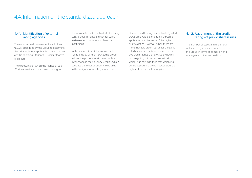## 4.4. Information on the standardized approach

#### 4.4.1. Identification of external rating agencies

The external credit assessment institutions (ECAIs) appointed by the Group to determine the risk weightings applicable to its exposures are the following: Standard & Poor's, Moody's and Fitch.

The exposures for which the ratings of each ECAI are used are those corresponding to

the wholesale portfolios, basically involving central governments and central banks in developed countries, and financial institutions.

In those cases in which a counterparty has ratings by different ECAIs, the Group follows the procedure laid down in Rule Twenty-one in the Solvency Circular, which specifies the order of priority to be used in the assignment of ratings. When two

different credit ratings made by designated ECAIs are available for a rated exposure, application is to be made of the higher risk weighting. However, when there are more than two credit ratings for the same rated exposure, use is to be made of the two credit ratings that provide the lowest risk weightings. If the two lowest risk weightings coincide, then that weighting will be applied; if they do not coincide, the higher of the two will be applied.

#### 4.4.2. Assignment of the credit ratings of public share issues

The number of cases and the amount of these assignments is not relevant for the Group in terms of admission and management of issuer credit risk.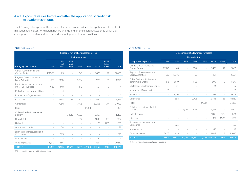#### 4.4.3. Exposure values before and after the application of credit risk mitigation techniques

The following tables present the amounts for net exposure, prior to the application of credit risk mitigation techniques, for different risk weightings and for the different categories of risk that correspond to the standardized method, excluding securitization positions:

#### 2011 (Million euros)

|                                                         | Exposure net of allowances for losses |                          |                          |                          |                          |                |                          |              |
|---------------------------------------------------------|---------------------------------------|--------------------------|--------------------------|--------------------------|--------------------------|----------------|--------------------------|--------------|
|                                                         |                                       |                          |                          | <b>Risk weighting</b>    |                          |                |                          |              |
| Category of exposure                                    | 0%                                    | 5%<br>and<br>20%         | 22%<br>and<br>35%        | 50%                      | 75%                      | 100%           | 110%-<br>150%-<br>300%   | <b>Total</b> |
| Central Governments and<br>Central Banks                | 101.800                               | 915                      | $\overline{a}$           | 1.945                    |                          | 7.670          | 78                       | 112,408      |
| Regional Governments and<br>Local Authorities           | 689                                   | 5,160                    | $\overline{a}$           | 3,934                    |                          | 2,315          | 30                       | 12,128       |
| Public Sector Institutions and<br>other Public Entities | 680                                   | 1.918                    |                          | 813                      |                          | 701            | 3                        | 4.114        |
| Multilateral Development Banks                          | 3                                     | 14                       |                          |                          |                          | 22             | $\overline{a}$           | 39           |
| International Organizations                             | 12                                    | $\overline{a}$           | $\overline{\phantom{a}}$ | $\overline{a}$           | $\overline{\phantom{a}}$ | $\overline{a}$ | $\overline{\phantom{a}}$ | 12           |
| Institutions                                            | $\overline{a}$                        | 14.368                   | 59                       | 202                      | $\overline{\phantom{a}}$ | 1.641          | $\overline{a}$           | 16,269       |
| Corporates                                              | $\overline{a}$                        | 4.871                    | $\overline{a}$           | 3.475                    | $\overline{a}$           | 82.266         | 391                      | 91,003       |
| Retail                                                  |                                       |                          |                          | $\overline{\phantom{0}}$ | 47.864                   |                |                          | 47.864       |
| Collateralized with real estate<br>property             | $\overline{a}$                        | $\overline{a}$           | 34,513                   | 4.689                    |                          | 5,987          |                          | 45,189       |
| Default status                                          | $\overline{a}$                        | $\overline{a}$           | $\overline{a}$           | 712                      | $\overline{a}$           | 4.896          | 1,850                    | 7.457        |
| High risk                                               | $\overline{a}$                        | $\overline{\phantom{a}}$ | $\overline{a}$           |                          |                          | 95             | 1.738                    | 1.833        |
| Guaranteed bonds                                        | $\overline{a}$                        | 78                       | $\overline{a}$           | $\overline{\phantom{0}}$ | $\overline{\phantom{a}}$ | $\overline{a}$ | $\overline{a}$           | 78           |
| Short term to Institutions and<br>Corporates            | $\overline{a}$                        | 895                      |                          |                          |                          |                | $\overline{a}$           | 895          |
| Mutual funds                                            | $\overline{a}$                        | $\overline{a}$           | $\overline{a}$           |                          | $\overline{\phantom{a}}$ | 216            | $\overline{a}$           | 216          |
| Other exposures                                         | 8.249                                 | 886                      |                          |                          | $\overline{\phantom{0}}$ | 11,361         | 13                       | 20,510       |
| <b>TOTAL<sup>(1)</sup></b>                              | 111,433                               | 29,105                   | 34,572                   | 15,771                   | 47,864                   | 117,169        | 4,101                    | 360,015      |

#### 2010 (Million euros)

|                                                         | <b>Exposure net of allowances for losses</b> |                          |                          |                       |                          |                          |                          |              |
|---------------------------------------------------------|----------------------------------------------|--------------------------|--------------------------|-----------------------|--------------------------|--------------------------|--------------------------|--------------|
|                                                         |                                              |                          |                          | <b>Risk weighting</b> |                          |                          |                          |              |
| Category of exposure                                    | 0%                                           | 20%                      | 35%                      | 50%                   | 75%                      | 100%                     | 150%                     | <b>Total</b> |
| Central Governments and<br>Central Banks                | 67,946                                       | 1.145                    | $\overline{a}$           | 3,581                 |                          | 5.425                    | 22                       | 78,118       |
| Regional Governments and<br><b>Local Authorities</b>    | 557                                          | 5.646                    |                          | 50                    | $\overline{a}$           | 101                      | $\overline{a}$           | 6,354        |
| Public Sector Institutions and<br>other Public Entities | 518                                          | 3.810                    | $\overline{a}$           | 506                   | $\overline{a}$           | 509                      | 3                        | 5,347        |
| Multilateral Development Banks                          |                                              | 24                       |                          | 3                     |                          | 24                       |                          | 51           |
| International Organizations                             | 13                                           | $\overline{a}$           | $\overline{\phantom{a}}$ | $\overline{a}$        | $\overline{\phantom{0}}$ | $\overline{\phantom{0}}$ | $\overline{\phantom{a}}$ | 13           |
| Institutions                                            | $\overline{a}$                               | 11.176                   | $\overline{a}$           | 1.223                 | $\overline{a}$           | 918                      | $\overline{a}$           | 13.318       |
| Corporates                                              | $\overline{a}$                               | 6,511                    | $\overline{a}$           | 2.798                 | $\overline{a}$           | 73.786                   | 86                       | 83.180       |
| Retail                                                  | $\overline{\phantom{a}}$                     |                          |                          | $\overline{a}$        | 37.920                   |                          | $\overline{a}$           | 37,920       |
| Collateralized with real estate<br>property             |                                              |                          | 29.014                   | 6.135                 |                          | 6.723                    |                          | 41.872       |
| Default status                                          |                                              | $\overline{\phantom{a}}$ | $\overline{a}$           | 85                    | $\overline{a}$           | 4,892                    | 1,213                    | 6,191        |
| High risk                                               |                                              |                          |                          | 1                     | $\overline{a}$           | 157                      | 1.800                    | 1,957        |
| Short term to Institutions and<br>Corporates            | $\overline{a}$                               | 725                      |                          |                       |                          |                          |                          | 725          |
| Mutual funds                                            |                                              |                          |                          |                       | $\overline{a}$           | 49                       | $\overline{a}$           | 49           |
| Other exposures                                         | 2,065                                        | 810                      | $\overline{a}$           |                       | $\overline{a}$           | 11,802                   | 3                        | 14,680       |
| <b>TOTAL<sup>(1)</sup></b>                              | 71,099                                       | 29,847                   | 29,014                   | 14,382                |                          | 37,920 104,386           | 3,126                    | 289,774      |

(1) It does not include securitization positions.

(1) It does not include securitization positions.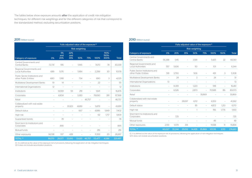The tables below show exposure amounts **after** the application of credit risk mitigation techniques, for different risk weightings and for the different categories of risk that correspond to the standardized method, excluding securitization positions.

#### 2011 (Million euros)

|                                                         | Fully adjusted value of the exposure <sup>(1)</sup> |                  |                          |                          |                          |                |                          |              |
|---------------------------------------------------------|-----------------------------------------------------|------------------|--------------------------|--------------------------|--------------------------|----------------|--------------------------|--------------|
|                                                         |                                                     |                  |                          | <b>Risk weighting</b>    |                          |                |                          |              |
| Category of exposure                                    | 0%                                                  | 5%<br>and<br>20% | 22%<br>and<br>35%        | 50%                      | 75%                      | 100%           | 110%-<br>150%-<br>300%   | <b>Total</b> |
| Central Governments and<br>Central Banks                | 72.731                                              | 916              | $\overline{a}$           | 1.945                    | $\overline{a}$           | 7.670          | 78                       | 83,339       |
| Regional Governments and<br>Local Authorities           | 689                                                 | 5.176            | $\overline{a}$           | 1,984                    | $\overline{a}$           | 2,299          | 30                       | 10,178       |
| Public Sector Institutions and<br>other Public Entities | 680                                                 | 1,918            | $\overline{a}$           | 734                      |                          | 690            | 3                        | 4,025        |
| Multilateral Development Banks                          | 19                                                  | 14               | $\overline{a}$           | $\overline{a}$           | $\overline{a}$           | 22             | $\overline{a}$           | 55           |
| International Organizations                             | 12                                                  | $\overline{a}$   |                          |                          |                          |                | $\overline{a}$           | 12           |
| Institutions                                            | $\overline{a}$                                      | 14,559           | 59                       | 218                      | $\overline{a}$           | 1.641          | $\overline{a}$           | 16,476       |
| Corporates                                              | $\overline{a}$                                      | 4.904            | $\overline{\phantom{m}}$ | 3,383                    | $\overline{a}$           | 78,690         | 391                      | 87,368       |
| Retail                                                  | $\overline{a}$                                      |                  |                          |                          | 46,757                   |                |                          | 46,757       |
| Collateralized with real estate<br>property             |                                                     |                  | 33.323                   | 4.689                    | $\overline{a}$           | 5.879          |                          | 43.891       |
| Default status                                          | $\overline{a}$                                      | $\overline{a}$   | $\overline{a}$           | 667                      | $\overline{a}$           | 4.886          | 1.849                    | 7,402        |
| High risk                                               | $\overline{a}$                                      | $\overline{a}$   | $\overline{\phantom{a}}$ | $\overline{\phantom{a}}$ | $\overline{\phantom{a}}$ | 92             | 1,717                    | 1.809        |
| Guaranteed bonds                                        | $\overline{a}$                                      | 78               | $\overline{a}$           |                          | $\overline{\phantom{a}}$ | $\overline{a}$ | $\overline{\phantom{a}}$ | 78           |
| Short term to Institutions and<br>Corporates            | $\overline{a}$                                      | 895              |                          |                          |                          |                |                          | 895          |
| Mutual funds                                            | $\overline{\phantom{0}}$                            | $\overline{a}$   |                          |                          | $\overline{a}$           | 216            | $\overline{\phantom{0}}$ | 216          |
| Other exposures                                         | 14,038                                              | 1.117            | 428                      |                          | $\overline{\phantom{0}}$ | 11,393         | 20                       | 26,997       |
| TOTAL <sup>(2)</sup>                                    | 88,170                                              | 29,577           | 33,810                   | 13.620                   | 46.757                   | 113,477        | 4,086                    | 329,497      |

(1) It is defined as the value of the exposure net of provisions, following the application of risk mitigation techniques. (b) it is defined as the value of the exposure net

#### 2010 (Million euros)

|                                                         | Fully adjusted value of the exposure <sup>(1)</sup> |                |                |                          |                          |                |                          |              |
|---------------------------------------------------------|-----------------------------------------------------|----------------|----------------|--------------------------|--------------------------|----------------|--------------------------|--------------|
|                                                         |                                                     |                |                | <b>Risk weighting</b>    |                          |                |                          |              |
| Category of exposure                                    | 0%                                                  | 20%            | 35%            | 50%                      | 75%                      | 100%           | 150%                     | <b>Total</b> |
| Central Governments and<br>Central Banks                | 56,388                                              | 1,145          | $\overline{a}$ | 3,581                    |                          | 5.425          | 22                       | 66,561       |
| Regional Governments and<br><b>Local Authorities</b>    | 557                                                 | 5,636          |                | 50                       | $\overline{a}$           | 101            | $\overline{a}$           | 6,344        |
| Public Sector Institutions and<br>other Public Entities | 518                                                 | 3.790          | $\overline{a}$ | 506                      | $\overline{\phantom{0}}$ | 491            | 3                        | 5,308        |
| Multilateral Development Banks                          | $\overline{a}$                                      | 24             | $\overline{a}$ | 3                        | $\overline{a}$           | 24             | $\overline{\phantom{0}}$ | 51           |
| International Organizations                             | 13                                                  | $\overline{a}$ | $\overline{a}$ | $\overline{a}$           | $\overline{a}$           | $\overline{a}$ | $\overline{a}$           | 13           |
| Institutions                                            | $\overline{a}$                                      | 14,319         | $\overline{a}$ | 1,223                    | $\overline{a}$           | 918            | $\overline{a}$           | 16,461       |
| Corporates                                              | $\overline{a}$                                      | 6,526          | $\overline{a}$ | 2.873                    | $\overline{a}$           | 70.588         | 86                       | 80,073       |
| Retail                                                  | $\overline{\phantom{0}}$                            |                |                | $\overline{\phantom{0}}$ | 35,869                   |                | $\overline{a}$           | 35.869       |
| Collateralized with real estate<br>property             |                                                     | $\overline{a}$ | 28.697         | 6.112                    |                          | 6.553          | $\overline{a}$           | 41,362       |
| Default status                                          |                                                     |                | $\overline{a}$ | 85                       | $\overline{a}$           | 4,872          | 1,213                    | 6,170        |
| High risk                                               |                                                     |                | $\overline{a}$ | 1                        | $\overline{a}$           | 156            | 1,776                    | 1,933        |
| Short term to Institutions and<br>Corporates            | $\overline{a}$                                      | 725            |                |                          |                          |                |                          | 725          |
| Mutual funds                                            | $\overline{a}$                                      |                |                | $\overline{a}$           | $\overline{\phantom{a}}$ | 49             | $\overline{\phantom{0}}$ | 49           |
| Other exposures                                         | 2,551                                               | 1,079          | 314            |                          | $\overline{a}$           | 11,938         | 11                       | 15,894       |
| TOTAL <sup>(2)</sup>                                    | 60.027                                              | 33.244         | 29.012         | 14.435                   | 35,869                   | 101.116        | 3.110                    | 276.813      |

(1) It is defined as the value of the exposure net of provisions, following the application of risk mitigation techniques. (2) It does not include securitization positions.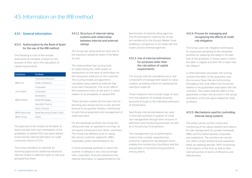## 4.5. Information on the IRB method

#### 4.5.1. General information

#### 4.5.1.1. Authorization by the Bank of Spain for the use of the IRB method

The following is a list of the models authorized by the Bank of Spain for the purpose of their use in the calculation of capital requirements.

| Institution          | Portfolio                       |
|----------------------|---------------------------------|
|                      | Financial Institutions          |
| <b>BBVA S.A</b>      | Public Institutions             |
|                      | Corporates                      |
| Uno-E Bank           | Corporates                      |
|                      | Developers                      |
| <b>BBVA</b> Ireland  | Retail Mortgages                |
|                      | Specialist Finance              |
|                      | Autos Finanzia                  |
| <b>BBVA Bancomer</b> | Retail Revolving (Credit Cards) |
| BBVA Group           | Equity                          |

The approval of the models by the Bank of Spain includes both own estimations of the probability of default (PD), loss given default (LGD) and the internal estimation of credit conversion factors (CCFs).

The Group maintains its calendar for receiving approval for additional advanced internal models in different types of risks and geographical areas.

#### 4.5.1.2. Structure of internal rating systems and relationship between internal and external ratings

The Group has rating tools for each one of the exposure categories listed in the Basel Accord.

The retail portfolio has scoring tools for determining the credit quality of transactions on the basis of information on the transaction itself and on the customer. The scoring models are algorithms calculated using statistical methods that score each transaction. This score reflects the transaction's level of risk and is in direct relation to its probability of default (PD).

These decision models are the basic tool for deciding who should receive a loan and the amount to be granted, thereby contributing to both the arrangement and management of retail-type loans.

For the wholesale portfolio, the Group has rating tools that, as opposed to scorings, do not assess transactions but rather, customers. The Group has different tools for rating the various customer segments: SMEs, corporates, public administrations, etc.

In those wholesale portfolios in which the number of defaults is very low (sovereign risks, corporates, financial institutions) the internal information is supplemented by the benchmarks of external rating agencies. The PD estimations made by the Group are transferred to the Group's Master Scale, enabling a comparison to be made with the scales used by external agencies.

#### 4.5.1.3. Use of internal estimations for purposes other than the calculation of capital requirements

The Group's internal calculations are a vital component of management based on value creation, providing criteria for assessing the risk-return trade-off.

These measures have a broad range of uses, from the adoption of strategic business decisions through to the individual admission of transactions.

Specifically, internal estimations are used in everyday business in support of credit risk management through their inclusion in admission and monitoring processes, as well as in the pricing of transactions.

The management use of performance metrics that consider expected loss, economic capital and risk-adjusted return enables the monitoring of portfolios and the assessment of non-performing positions, among others.

#### 4.5.1.4. Process for managing and recognizing the effects of credit risk mitigation

The Group uses risk mitigation techniques for exposures pertaining to the wholesale portfolio by replacing the obligor's PD with that of the guarantor, in those cases in which the latter is eligible and their PD is lower than the obligor's.

In retail admission processes, the scoring contains the effect of the guarantor, and the recovery flows that are forthcoming throughout the cycle reflect the recoveries related to the guarantees associated with the contracts. This means that the effect of the guarantees is taken into account in the actual estimation of the loss given default for retail portfolios.

#### 4.5.1.5. Mechanisms used for controlling internal rating systems

The entity carries out the control and monitoring of the rating systems and metrics for risk management for private individuals, SMEs and the self-employed, corporates and institutions. The activities are carried out, within certain analytical and qualitative fields, by realizing periodic 360º monitoring of all impacts of the tools as well as their internal function in terms of efficiency and effectiveness.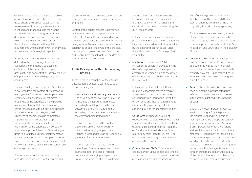Global understanding of the systems allows action plans to be established, with a followup to ensure their proper execution. The weaknesses of the rating systems are thus identified and managed. The monitoring function is the main driving force of new developments and evolving maintenance, which allow the business interests of the entity to be aligned with regulatory requirements within a framework of analytical, technical and technological capacities.

Analysis, in the methodological sphere, is defined as the monitoring of the predictive capabilities of the models, backtesting calibration of the parameters, proper granularity and concentration, sample stability of input, as well as traceability, integrity and consistency.

The use of rating systems by the different areas is overseen from the context of integration in management. This context defines parameter sensitivity tests, stress-tests of estimates, proper use of the parameters in the portfolio management to facilitate decision-making, control of exposure without rating, risk policies and the framework for delegating tasks, structures of decision-making committees, implementation risk evaluation, proper technological environment, evaluation of the inclusion of the parameters in corporate applications, proper follow-up of the training of users to guarantee its proper implementation and full comprehension, follow-up of the correct structure and quality of documentation, as well as all other activities that ensure the correct use of management metrics.

Furthermore, access to the internal rating repository is based on IT system-authorized profiles ensuring that only the customer loan management supervisors can see the scoring and rating.

Control of the capital process is performed by Risk units that are independent of the units that calculate the scoring and rating and which, therefore, are users of the internal rating system. These control mechanisms are established at different levels of the process, such as at input, execution and final outputs, and involve both the integrity of the data and their accuracy and correctness.

#### 4.5.1.6. Description of the internal rating process

There follows a description of the internal classification processes according to each customer category:

• Central banks and central governments: The assignment of sovereign risk ratings is made by the Risk units nominated accordingly, which periodically analyze customers of this nature, rating them according to the parameters included in the corresponding rating model.

This model comprises different tools depending on the type of country: developed, emerging or peripheral. Ratings in local and foreign currencies are generated for these three tools.

In general, the rating is obtained through the ratings of external agencies, if these exist, except for the case of foreign currencies in emerging and peripheral countries in which a ratio is established

among the scores granted to each country for country risk and the empirical PD of the rating agencies, which enable the classification of these countries using the BBVA master scale.

In the case of emerging countries with presence of BBVA subsidiaries, the rating in local currency is adjusted to that obtained by the emerging countries' tool under the authorization of the Sovereign Risk Committee.

• Institutions: The rating of Public Institutions is generally provided by the risk units responsible for their approval, on a yearly basis, coinciding with the review of customer risk or with the reporting of their accounts.

In the case of Financial Institutions, the Risk unit responsible makes a regular assessment of this type of customer, continuously monitoring their evolution on domestic and international markets. External ratings are a key factor in assigning ratings for financial institutions.

- Corporates: Includes the rating of exposures with corporate business groups. The result is influenced by both qualitative (business positioning, financial flexibility, etc.) and quantitative indicators (size of group by sales, debt levels, etc.). The responsibility for rating lies with the units approving the exposure.
- Companies and SMEs: This includes exposures with SMEs, specialized lending and collection rights. Company customers are classified according to which one of

the different segments in this portfolio they belong to. The responsibility for the assessment may befall either the Units originating the risk or those approving it.

For the assessment and arrangement *of* specialized lending, the Group has chosen to apply the supervisory slotting criteria approach, as featured in the Basel Accord of June 2004 and in the Solvency Circular.

- **Developers:** The rating of developers classifies property projects and associated operations, as well as the risk of client developers who are not associated with property projects. Its use makes it easier to monitor and rate projects during their execution phase.
- Retail: This has been broken down into each one of the exposure categories referred to by the correlations foreseen in the sections defined in the Solvency Circular.

One of the most important processes in which scoring is fully integrated at the highest level and in all decisionmaking areas is the Group's process for approving retail transactions. Scoring is an important factor for the analysis and resolution of transactions and it is a mandatory requirement to include it in decision-making on risk in those segments for which it has been designed. In the process of marketing and approving retail transactions, the manager is responsible for marketing management, the quality of the risk and the return, in other words, he carries out an integrated customer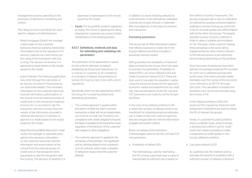management process, attending to the processes of admission, monitoring and control.

The rating process is as follows for each specific category of retail exposure:

- Retail mortgages (Spain): the manager collects data on the customer (personal, financial, banking relationship information) and on the operation (LTV, amount, maturity, etc.) and carries out the rating of the transaction with the scoring. The decision of whether it is approved is made based on the results issued by the model.
- Autos Finanzia: The financing application may enter through the call center or be directly recorded in Finanzianet by our authorized dealers. The necessary information on the customer (personal, financial information, authorization of the consult from the external bureau of credit) and on the transaction (maturity, amount, etc.) is recorded to rate the transaction with the scoring. Once the validity of the information provided is obtained, the decision of whether to approve it is made based on the results issued by the model.
- Retail Revolving (BBVA Bancomer credit cards): the manager or specialist party gathers the necessary information on the customer (personal, financial information and authorization of the consult from the external bureau of credit) and on the transaction (limit requested) to rate the transaction with the scoring. The decision of whether it is

approved is made based on the results issued by the model.

• Equity. For its portfolio position registered as equity, the Group is applying the rating obtained for customers as a result of their classification in the lending process.

#### 4.5.1.7. Definitions, methods and data for estimating and validating risk parameters

The estimation of the parameters is based on the uniform definition of default established at Group level. Specifically, for a contract or customer to be considered in a situation of default, the provisions of section 4.1.1 must be met, in line with current regulations.

Specifically, there are two approaches within the Group for considering default and estimating parameters:

- The contract approach is applied within the sphere of retail risk. Each customer transaction is dealt with as an independent unit in terms of credit risk. Therefore, noncompliance with credit obligations towards the bank is handled at the transaction level, regardless of the behavior of the customer with respect to other obligations.
- The customer approach is applied to the remainder of the portfolio. The significant unit for defining default is the customer's sum of contracts, which enter a situation of default en masse when the customer defaults.

In addition, to avoid including defaults for small amounts in the estimations, defaulted volumes are to pass through a materiality filter that depends on the type of customer and transaction.

#### Estimating parameters

The Group has an RAR information system that reflects exposure to credit risk in the Group's different portfolios included in advanced internal models.

RAR guarantees the availability of historical data recorded by the Group, which are used to estimate the parameters: Probability of Default (PD), Loss Given Default (LGD) and Credit Conversion Factors (CCF). These are then used to calculate the regulatory capital using the advanced measurement approach, economic capital and expected loss by credit risk. Internal estimations of the PD, LGD and CCF parameters are made for all the Group's portfolios.

In the case of low default portfolios (LDP), in which the number of defaults tends to be insufficient for obtaining empirical estimates, use is made of data from external agencies that are merged with the internal information available and expert criteria.

Below are details of the estimation methodologies used for the PD, LGD and CCF risk parameters.

*a. Probability of default (PD)*

The methodology used for estimating the PD in those cases that have a mass of internal data of sufficient size is based on

the creation of pools of exposures. The groups proposed with a view to calibration are defined by pooling contracts together seeking to achieve intra-group uniformity in terms of credit quality and differentiation with all the other risk groups. The largest possible number of pools is defined in order to allow a suitable discrimination of risk. The basic metric used for making these groupings is the score, being supplemented by other metrics relevant to PD that are proven to be sufficiently discriminating depending on the portfolio.

Once the pools of exposures have been defined, the average empirical PD recorded for each one is obtained and adjusted to the cycle. This metric provides stable estimates over the course of the economic cycle, referred to as PD-TTC (through the cycle). This calculation considers the portfolio's track record and provides longterm levels of PD.

In low default portfolios (LDPs) the empirical PDs imputed by External Credit Assessment Institutions are used to obtain the PD of internal risk groups.

Finally, in customer-focused portfolios there is a Master Scale, which is simply a standard and uniform rule for credit levels that makes it possible to make comparisons of credit quality in the Group's different portfolios.

*b. Loss given default (LGD)*

As a general rule, the method used to estimate the severity in portfolios with a sufficient number of defaults is Workout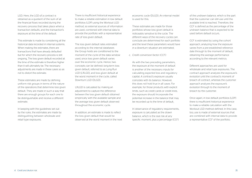LGD. Here, the LGD of a contract is obtained as a quotient of the sum of all the financial flows recorded during the recovery process that takes place when a transaction defaults, and the transaction's exposure at the time of the default.

This estimate is made by considering all the historical data recorded in internal systems. When making the estimates, there are transactions that have already defaulted but for which the recovery process is still ongoing. The loss given default recorded at the time of the estimate is therefore higher than it will ultimately be. The necessary adjustments are made in these cases so as not to distort the estimate.

These estimates are made by defining uniform risk groups in terms of the nature of the operations that determine loss given default. They are made in such a way that there are enough groups for each one to be distinguishable and receive a different estimate.

In keeping with the guidelines set out by the rules, the estimates are made by distinguishing between wholesale and retail type exposures.

There is insufficient historical experience to make a reliable estimation in low default portfolios (LDP) using the Workout LGD method, so external sources of information are used, combined with internal data to provide the portfolio with a representative rate of loss given default.

The loss given default rates estimated according to the internal databases the Group holds are conditioned to the moment of the cycle of the data window used, since loss given default varies over the economic cycle. Hence, two concepts can be defined: long-term loss given default, referred to as Long-Run LGD (LRLGD), and loss given default at the worst moment in the cycle, called Downturn LGD (DLGD).

LRLGD is calculated by making an adjustment to capture the difference between the loss given default obtained empirically with the available sample and the average loss given default observed throughout the economic cycle.

In addition, an estimate is made to reflect the loss given default that would be observed at the worst moment in the next economic cycle (DLGD). An internal model is used for this.

These estimates are made for those portfolios whose loss given default is noticeably sensitive to the cycle. The different ways of the recovery cycles can conclude are determined for each portfolio and the level these parameters would have in a downturn situation are estimated.

*c. Credit conversion factor (CCF)*

As with the two preceding parameters, the exposure at the moment of default is another of the necessary inputs for calculating expected loss and regulatory capital. A contract's exposure usually coincides with its balance. However, this does not hold true in all cases. For example, for those products with explicit limits, such as credit cards or credit lines, the exposure should incorporate the potential increase in the balance that may be recorded up to the time of default.

In observance of regulatory requirements, exposure is calculated as the drawn balance, which is the real risk at any specific moment, plus a percentage (CCF) of the undrawn balance, which is the part that the customer can still use until the available limit is reached. Therefore, the CCF is defined as the percentage of the undrawn balance that is expected to be used before default occurs.

CCF is estimated by using the cohort approach, analyzing how the exposure varies from a pre-established reference date through to the moment of default, obtaining the average performance according to the relevant metrics.

Different approaches are used for wholesale and retail type exposures. The contract approach analyzes the exposure's evolution until the contract's moment of breach of contract, whereas the customer approach analyzes the exposure's evolution through to the moment of breach by the customer.

Once again, in low default portfolios (LDP) there is insufficient historical experience to make a reliable calculation with the Workout LGD method defined. In this case, too, use is made of external sources that are combined with internal data to provide a representative CCF of the portfolio.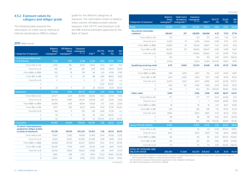#### 4.5.2. Exposure values by category and obligor grade

The following table presents the information on credit risk by method of internal classifications (IRB) by obligor

#### 2011 (Million euros)

| <b>Categories of exposure</b>                           | <b>Balance</b><br><b>Sheet</b><br>reassigned <sup>(1)</sup> | <b>Off Balance</b><br><b>Sheet</b><br>reassigned <sup>(2)</sup> | <b>Exposure</b><br>reassigned<br>$(3) = (1+2)$ | EAD <sup>(4)</sup> | <b>PD-TTC</b><br>$(\%)$ | <b>DLGD</b><br>(%) | <b>RW</b><br>$(\%)$ |
|---------------------------------------------------------|-------------------------------------------------------------|-----------------------------------------------------------------|------------------------------------------------|--------------------|-------------------------|--------------------|---------------------|
| <b>Central Governments and</b><br><b>Central Banks</b>  | 2,755                                                       | 993                                                             | 3.748                                          | 3,228              | 0.82                    | 33.92              | 17.60               |
| From AAA to AA-                                         | 2.282                                                       | 810                                                             | 3.092                                          | 2.664              | 0.03                    | 32.17              | 11.12               |
| From A+ to A-                                           | 265                                                         | 90                                                              | 355                                            | 309                | 0.08                    | 43.04              | 38.43               |
| From BBB+ to BBB-                                       | 102                                                         | 76                                                              | 178                                            | 141                | 0.21                    | 41.59              | 37.87               |
| From BB+ to BB-                                         | 82                                                          | 11                                                              | 93                                             | 88                 | 0.89                    | 38.60              | 83.18               |
| From B+ to B-                                           | $\overline{2}$                                              | $\overline{a}$                                                  | $\overline{2}$                                 | $\overline{2}$     | 2.57                    | 39.93              | n,s,                |
| С                                                       |                                                             |                                                                 |                                                | $\overline{a}$     | 21.22                   | 40.00              | n,s,                |
| $\Box$                                                  | 22                                                          | 5                                                               | 27                                             | 24                 | 100.00                  | 47.74              | 96.83               |
| <b>Institutions</b>                                     | 91,098                                                      | 7,674                                                           | 98,772                                         | 95,412             | 0.19                    | 23.95              | 16.40               |
| From AAA to AA-                                         | 24.377                                                      | 2.213                                                           | 26.589                                         | 25.646             | 0.03                    | 25.59              | 10.16               |
| From A+ to A-                                           | 46,244                                                      | 2.987                                                           | 49.231                                         | 47,934             | 0.07                    | 22.89              | 13.94               |
| From BBB+ to BBB-                                       | 16,458                                                      | 2.155                                                           | 18.614                                         | 17,628             | O.17                    | 24.31              | 22.64               |
| From BB+ to BB-                                         | 3.767                                                       | 305                                                             | 4,072                                          | 3.946              | 0.94                    | 23.59              | 50.60               |
| From B+ to B-                                           | 144                                                         | 11                                                              | 155                                            | 149                | 4.08                    | 37.26              | n,s,                |
| C                                                       | 53                                                          | 3                                                               | 56                                             | 55                 | 21.22                   | 45.00              | n,s,                |
| D                                                       | 54                                                          | $\overline{a}$                                                  | 54                                             | 54                 | 100.00                  | 32.52              | 83.06               |
| Corporates                                              | 91.360                                                      | 62.661                                                          | 154,021                                        | 123,761            | 7.26                    | 40.53              | 62.01               |
| Of which: Total exposures<br>assigned to obligor grades |                                                             |                                                                 |                                                |                    |                         |                    |                     |
| or pools of exposures.                                  | 81,238                                                      | 59,106                                                          | 140,343                                        | 111,901            | 7.26                    | 40.53              | 60.19               |
| From AAA to AA-                                         | 9.580                                                       | 5.265                                                           | 14.845                                         | 12.369             | 0.04                    | 29.08              | 13.29               |
| From A+ to A-                                           | 12.623                                                      | 18,317                                                          | 30,939                                         | 22,289             | 0.08                    | 37.89              | 22.41               |
| From BBB+ to BBB-                                       | 18,498                                                      | 23,729                                                          | 42,227                                         | 30,907             | 0.20                    | 41.72              | 40.56               |
| From BB+ to BB-                                         | 16.205                                                      | 7.706                                                           | 23.911                                         | 20.142             | 0.94                    | 44.15              | 79.06               |
| From $B+$ to $B-$                                       | 16.043                                                      | 3,460                                                           | 19.502                                         | 17.628             | 4.81                    | 41.97              | 127.21              |
| C                                                       | 1.840                                                       | 298                                                             | 2.137                                          | 1.990              | 21.20                   | 38.60              | 203.96              |
| $\Box$                                                  | 6.450                                                       | 332                                                             | 6.782                                          | 6,576              | 100.00                  | 50.96              | 87.66               |
|                                                         |                                                             |                                                                 |                                                |                    |                         |                    | (Continued)         |

grade for the different categories of exposure. The information shown is balancesheet volume, off-balance-sheet volume, exposure, EAD, PD-TTC and Downturn LGD and RW (internal estimates approved by the Bank of Spain):

|                                                      | <b>Balance</b>                            | Saldo fuera                             | <b>Exposure</b>             |                    |                         |                       |                     |
|------------------------------------------------------|-------------------------------------------|-----------------------------------------|-----------------------------|--------------------|-------------------------|-----------------------|---------------------|
| <b>Categories of exposure</b>                        | <b>Sheet</b><br>reassigned <sup>(1)</sup> | de balance<br>reasignado <sup>(2)</sup> | reassigned<br>$(3) = (1+2)$ | EAD <sup>(4)</sup> | <b>PD-TTC</b><br>$(\%)$ | <b>DLGD</b><br>$(\%)$ | <b>RW</b><br>$(\%)$ |
| <b>Retail</b>                                        | 76,550                                    | 5,880                                   | 82,430                      | 78,512             | 4.80                    | 24.16                 | 34.28               |
| Secured by real estate<br>collateral                 | 68,643                                    | 217                                     | 68,859                      | 68,668             | 4.23                    | 17.53                 | 27.74               |
| From AAA to AA-                                      | 571                                       | $\overline{a}$                          | 571                         | 571                | 0.04                    | 5.32                  | 0.70                |
| From A+ to A-                                        | 2.003                                     | 15                                      | 2.018                       | 2.004              | 0.08                    | 17.07                 | 3.75                |
| From BBB+ to BBB-                                    | 14.858                                    | 76                                      | 14.934                      | 14.867             | 0.23                    | 14.09                 | 6.63                |
| From BB+ to BB-                                      | 38.333                                    | 119                                     | 38.452                      | 38.347             | 0.99                    | 14.98                 | 19.47               |
| From B+ to B-                                        | 10,659                                    | 7                                       | 10,666                      | 10,660             | 3.75                    | 25.98                 | 77.56               |
| Ċ                                                    | 155                                       | $\overline{a}$                          | 155                         | 155                | 17.61                   | 27.40                 | 158.29              |
| D                                                    | 2,064                                     | $\overline{a}$                          | 2.064                       | 2,064              | 100.00                  | 49.32                 | 97.19               |
| Qualifying revolving retail                          | 4.711                                     | 5.663                                   | 10.374                      | 6.648              | 8.59                    | 81.79                 | 91.88               |
| From A+ to A-                                        | $\overline{a}$                            | $\overline{a}$                          | $\overline{a}$              | $\overline{a}$     | $\overline{a}$          | $\frac{1}{2}$         |                     |
| From BBB+ to BBB-                                    | 398                                       | 1.429                                   | 1.827                       | 742                | 0.25                    | 79.44                 | 14.87               |
| From BB+ to BB-                                      | 1.301                                     | 2.053                                   | 3,354                       | 1,971              | 0.98                    | 81.58                 | 35.02               |
| From B+ to B-                                        | 2,005                                     | 1,667                                   | 3,673                       | 2,689              | 5.05                    | 82.58                 | 105.73              |
| С                                                    | 843                                       | 513                                     | 1,356                       | 1,083              | 23.13                   | 81.04                 | 217.14              |
| D                                                    | 163                                       | 1                                       | 164                         | 163                | 100.00                  | 86.85                 | 69.16               |
| <b>Other retail</b>                                  | 3,196                                     | L,                                      | 3,196                       | 3,196              | 8.99                    | 46.67                 | 54.97               |
| From AAA to AA-                                      | 777                                       | $\overline{a}$                          | 777                         | 777                | 0.03                    | 44.99                 | 4.72                |
| From A+ to A-                                        | 1                                         |                                         | 1                           | 1                  | 0.08                    | 26.66                 | 5.68                |
| From BBB+ to BBB-                                    | 18                                        | $\overline{a}$                          | 18                          | 18                 | 0.21                    | 28.71                 | 10.86               |
| From BB+ to BB-                                      | 328                                       | $\overline{a}$                          | 328                         | 328                | 1.33                    | 45.78                 | 53.33               |
| From B+ to B-                                        | 1,806                                     | $\overline{a}$                          | 1,807                       | 1,807              | 5.70                    | 45.74                 | 72.52               |
| C                                                    | 99                                        | $\overline{a}$                          | 99                          | 99                 | 11.92                   | 43.57                 | 82.69               |
| D                                                    | 168                                       | $\overline{a}$                          | 168                         | 168                | 100.00                  | 69.99                 | 90.45               |
| <b>Equity PD/LGD method</b>                          | 4,730                                     | ÷,                                      | 4,730                       | 4,730              | 0.14                    | 83.35                 | 98.16               |
| From AAA to AA-                                      | 44                                        | $\overline{a}$                          | 44                          | 44                 | 0.09                    | 65.00                 | 69.65               |
| From A+ to A-                                        | 4,471                                     | $\overline{a}$                          | 4,471                       | 4,471              | O.1O                    | 84.14                 | 94.68               |
| From BBB+ to BBB-                                    | 85                                        | $\overline{a}$                          | 85                          | 85                 | 0.20                    | 65.00                 | 102.60              |
| From BB+ to BB-                                      | 60                                        | $\overline{a}$                          | 60                          | 60                 | 0.66                    | 86.19                 | 210.95              |
| From B+ to B-                                        | 70                                        | $\overline{a}$                          | 70                          | 70                 | 2.55                    | 65.00                 | 236.04              |
| <b>TOTAL BY CATEGORY AND</b><br><b>OBLIGOR GRADE</b> | 266.493                                   | 77.208                                  | 343.701                     | 305.643            | 4.24                    | 31.74                 | 40.74               |

(2) Amount not used included in memorandum accounts corresponding mainly to sums undrawn from credit lines and cards, as well as exposures in letters of credit and documentary credits.

(3) This refers to exposure following the application of risk mitigation techniques.

(4) Value of the exposure in the event of default.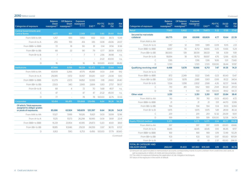#### 2010 (Million euros)

| <b>Categories of exposure</b>                                                     | <b>Balance</b><br><b>Sheet</b><br>reassigned <sup>(1)</sup> | <b>Off Balance</b><br><b>Sheet</b><br>reassigned <sup>(2)</sup> | <b>Exposure</b><br>reassigned<br>$(3) = (1+2)$ | EAD <sup>(4)</sup> | <b>PD-TTC</b><br>$(\%)$ | <b>DLGD</b><br>(%) | <b>RW</b><br>$(\%)$ |
|-----------------------------------------------------------------------------------|-------------------------------------------------------------|-----------------------------------------------------------------|------------------------------------------------|--------------------|-------------------------|--------------------|---------------------|
| <b>Central Governments and</b><br><b>Central Banks</b>                            | 1.677                                                       | 891                                                             | 2.568                                          | 2.132              | 0.85                    | 39.90              | 19.64               |
| From AAA to AA-                                                                   | 1.257                                                       | 693                                                             | 1.950                                          | 1.612              | 0.03                    | 39.73              | 13.39               |
| From A+ to A-                                                                     | 255                                                         | 159                                                             | 414                                            | 335                | 0.08                    | 43.06              | 24.37               |
| From BBB+ to BBB-                                                                 | 72                                                          | 18                                                              | 90                                             | 81                 | 0.14                    | 31.56              | 31.36               |
| From BB+ to BB-                                                                   | 68                                                          | 22                                                              | 90                                             | 79                 | 0.77                    | 38.59              | 87.05               |
| From $B+$ to $B-$                                                                 | $\overline{7}$                                              | $\overline{a}$                                                  | $\overline{7}$                                 | $\overline{7}$     | 2.56                    | 39.98              | n.s.                |
| $\mathsf{C}$                                                                      |                                                             | $\overline{\phantom{0}}$                                        | $\overline{a}$                                 | $\overline{a}$     | 21.22                   | 40.00              | n,s,                |
| D                                                                                 | 16                                                          |                                                                 | 16                                             | 16                 | 100.00                  | 40.00              | 96.82               |
| <b>Institutions</b>                                                               | 87.968                                                      | 8.156                                                           | 96.124                                         | 92.472             | 0.19                    | 22.64              | 14.41               |
| From AAA to AA-                                                                   | 43.909                                                      | 3.266                                                           | 47.175                                         | 45.881             | 0.03                    | 21.41              | 9.12                |
| From A+ to A-                                                                     | 29.085                                                      | 1.972                                                           | 31.057                                         | 30.120             | 0.07                    | 23.08              | 13.10               |
| From BBB+ to BBB-                                                                 | 12.279                                                      | 2.573                                                           | 14.852                                         | 13.593             | 0.18                    | 24.60              | 24.40               |
| From BB+ to BB-                                                                   | 2.503                                                       | 340                                                             | 2.843                                          | 2.684              | 0.83                    | 27.57              | 58.37               |
| From B+ to B-                                                                     | 68                                                          | 4                                                               | 72                                             | 70                 | 5.68                    | 45.17              | n,s,                |
| C                                                                                 | 47                                                          | $\overline{a}$                                                  | 47                                             | 47                 | 21.22                   | 45.00              | n,s,                |
| D                                                                                 | 77                                                          |                                                                 | 78                                             | 78                 | 100.00                  | 32.75              | 72.33               |
| <b>Corporates</b>                                                                 | 93.414                                                      | 66.455                                                          | 159.868                                        | 129.496            | 6.64                    | 38.26              | 56.20               |
| Of which: Total exposures<br>assigned to obligor grades<br>or pools of exposures. | 85,686                                                      | 63,924                                                          | 149,609                                        | 120,397            | 6.64                    | 38.26              | 54.31               |
| From AAA to AA-                                                                   | 11.527                                                      | 7999                                                            | 19.526                                         | 15.821             | 0.03                    | 33.99              | 12.96               |
| From A+ to A-                                                                     | 11.125                                                      | 15.173                                                          | 26.298                                         | 18.995             | 0.09                    | 39.91              | 22.41               |
| From BBB+ to BBB-                                                                 | 16,231                                                      | 23.954                                                          | 40.185                                         | 29,873             | 0.20                    | 40.61              | 38.61               |
| From BB+ to BB-                                                                   | 18.185                                                      | 10.846                                                          | 29.031                                         | 24.059             | 0.97                    | 36.70              | 67.07               |
| D                                                                                 | 6.163                                                       | 590                                                             | 6.753                                          | 6456               | 100.00                  | 57.79              | 80.60               |

| Retail                                               | 77,613                   | 5,902                    | 83,515                   | 79,873                   | 5.22                     | 17.55          | 27.42  |
|------------------------------------------------------|--------------------------|--------------------------|--------------------------|--------------------------|--------------------------|----------------|--------|
| Secured by real estate<br>collateral                 | 69,775                   | 224                      | 69,998                   | 69,809                   | 4.77                     | 10.64          | 22.39  |
| From AAA to AA-                                      |                          | $\overline{\phantom{0}}$ | $\overline{\phantom{a}}$ | $\overline{\phantom{a}}$ | $\overline{\phantom{a}}$ |                |        |
| From A+ to A-                                        | 1.187                    | 12                       | 1.199                    | 1.189                    | 0.09                     | 10.15          | 2.31   |
| From BBB+ to BBB-                                    | 8.657                    | 55                       | 8.712                    | 8.666                    | 0.25                     | 10.66          | 5.24   |
| From BB+ to BB-                                      | 38,000                   | 139                      | 38.139                   | 38,021                   | 118                      | 8.39           | 11.81  |
| From $B+$ to $B-$                                    | 18.694                   | 18                       | 18.713                   | 18.697                   | 4.76                     | 12.66          | 42.05  |
| C                                                    | 1,516                    | $\overline{\phantom{a}}$ | 1,516                    | 1,516                    | 16.16                    | 13.11          | 73.40  |
| D                                                    | 1.720                    |                          | 1.720                    | 1,720                    | 100.00                   | 36.44          | 97.87  |
| Qualifying revolving retail                          | 4,488                    | 5,678                    | 10,166                   | 6,713                    | 7.47                     | 81.35          | 74.21  |
| From A+ to A-                                        | $\overline{\phantom{a}}$ | $\frac{1}{2}$            | $\overline{\phantom{a}}$ | $\overline{\phantom{a}}$ | $\overline{\phantom{a}}$ | $\overline{a}$ |        |
| From BBB+ to BBB-                                    | 872                      | 2,249                    | 3,122                    | 1,545                    | 0.23                     | 80.43          | 13.47  |
| From BB+ to BB-                                      | 1,203                    | 1.678                    | 2,881                    | 1.901                    | 0.99                     | 81.22          | 34.04  |
| From B+ to B-                                        | 1.534                    | 1.298                    | 2.832                    | 2.168                    | 4.26                     | 82.57          | 94.46  |
| C                                                    | 710                      | 451                      | 1.162                    | 930                      | 23.41                    | 80.22          | 211.53 |
| D                                                    | 168                      | 1                        | 169                      | 169                      | 100.00                   | 81.62          | 66.72  |
| <b>Other retail</b>                                  | 3,351                    | ÷,                       | 3.351                    | 3,351                    | 10.17                    | 33.84          | 38.41  |
| From AAA to AA-                                      | 761                      | $\overline{a}$           | 761                      | 761                      | 0.03                     | 45.00          | 4.72   |
| From BBB+ to BBB-                                    | 21                       |                          | 21                       | 21                       | O.11                     | 44.70          | 12.89  |
| From BB+ to BB-                                      | 194                      |                          | 194                      | 194                      | 1.04                     | 31.03          | 32.84  |
| From B+ to B-                                        | 1,975                    | $\overline{\phantom{0}}$ | 1,975                    | 1,975                    | 5.81                     | 28.59          | 45.34  |
| C                                                    | 201                      |                          | 201                      | 201                      | 12.32                    | 26.09          | 50.11  |
| D                                                    | 199                      |                          | 199                      | 199                      | 100.00                   | 52.58          | 94.74  |
| <b>Equity PD/LGD method</b>                          | 5,375                    | ÷                        | 5,375                    | 5,375                    | 0.14                     | 83.77          | 99.26  |
| From AAA to AA-                                      | 397                      |                          | 397                      | 397                      | 0.09                     | 65.00          | 69.66  |
| From A+ to A-                                        | 4.645                    | $\overline{\phantom{0}}$ | 4.645                    | 4.645                    | O.1O                     | 86.45          | 97.17  |
| From BBB+ to BBB-                                    | 169                      |                          | 169                      | 169                      | O.19                     | 72.49          | 112.29 |
| From BB+ to BB-                                      | 103                      |                          | 103                      | 103                      | 0.97                     | 65.00          | 187.09 |
| From B+ to B-                                        | 61                       | $\overline{\phantom{a}}$ | 61                       | 61                       | 2.37                     | 65.00          | 266.31 |
| <b>TOTAL BY CATEGORY AND</b><br><b>OBLIGOR GRADE</b> | 266.047                  | 81.403                   | 347.450                  | 309.349                  | 4.19                     | 29.05          | 36.78  |

Balance Off Balance Exposure

Sheet reassigned

 $EAD<sup>(4)</sup>$ 

**Sheet** reassigned  $^{\text{\tiny{(1)}}}$  reassigned  $^{\text{\tiny{(2)}}}$ 

(2) Amount not used included in memorandum accounts corresponding mainly to sums undrawn from credit lines and cards, as well as exposures in letters of credit and documentary credits.

(3) This refers to exposure following the application of risk mitigation techniques.

(4) Value of the exposure in the event of default.

*(Continued)*

Categories of exposure

*(Continued)*

RW (%)

PD-TTC DLGD (%)

(%)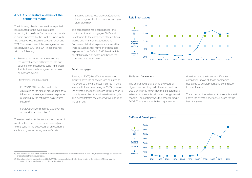#### 4.5.3. Comparative analysis of the estimates made

The following charts compare the expected loss adjusted to the cycle calculated according to the Group's core internal models in Spain approved by the Bank of Spain, with the effective loss incurred between 2001 and 2011. They also present the average effective loss between 2001 and 2011 in accordance with the following:

- Estimated expected loss calculated with the internal models calibrated to 2011, and adjusted to the economic cycle (light green line), i.e. the annual average expected loss in an economic cycle.
- Fffective loss (dark blue line):
	- For 2001-2007, the effective loss is calculated as the ratio of gross additions to NPA over the average observed exposure multiplied by the estimated point in time severity.<sup>(1)</sup>
	- For 2008-2011, the stressed LGD over the above NPA ratio is applied.<sup>(2)</sup>

The effective loss is the annual loss incurred. It must be less than the expected loss adjusted to the cycle in the best years of an economic cycle, and greater during years of crisis.

The comparison has been made for the portfolios of retail mortgages, SMEs and Developers. In the categories of Institutions (public and financial institutions) and Corporate, historical experience shows that there is such a small number of defaulted exposures (Low Default Portfolios) that it is not statistically significant, and hence the comparison is not shown.

#### Retail mortgages

Starting in 2007, the effective losses are slightly above the expected loss adjusted to the cycle, as they are losses incurred in crisis years, with their peak being in 2009. However, the average of effective losses in this period is notably lower than that adjusted to the cycle. This demonstrates the conservative nature of the estimate.

#### Retail mortgages



#### SMEs and Developers

The chart shows that during the years of biggest economic growth the effective loss was significantly lower than the expected loss adjusted to the cycle calculated using internal models. The contrary was the case starting in 2008. This is in line with the major economic 0,0

slowdown and the financial difficulties of companies, above all those companies dedicated to development and construction in recent years.

The expected loss adjusted to the cycle is still above the average of effective losses for the last nine years.

#### SMEs and Developers



<sup>(1)</sup> This criterion for calculation has been modified since the report published last year, as the LGD (PIT) methodology is a better way of calculating the observed losses.

<sup>•</sup> Effective average loss (2001-2011), which is the average of effective losses for each year (light blue line)

<sup>(2)</sup> It is not possible to obtain observed LGDs (PIT) for this period, given the limited maturity of the defaults. LGD downturn is considered to be a good approach for this period of crisis.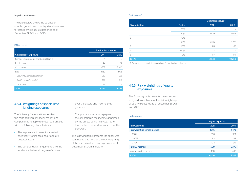#### Impairment losses

The table below shows the balance of specific, generic and country risk allowances for losses, by exposure categories, as of December 31, 2011 and 2010.

#### (Million euros)

|                                       | Fondos de cobertura |       |
|---------------------------------------|---------------------|-------|
| <b>Categories of Exposure</b>         | 2011                | 2010  |
| Central Governments and Central Banks | 4                   | 3     |
| Institutions                          | 44                  | 52    |
| Corporates                            | 3,357               | 3,396 |
| Retail                                | 1.059               | 996   |
| Secured by real estate collateral     | 392                 | 286   |
| Qualifying revolving retail           | 536                 | 546   |
| Other retail                          | 131                 | 164   |
| <b>TOTAL</b>                          | 4,464               | 4.446 |

#### 4.5.4. Weightings of specialized lending exposures

The Solvency Circular stipulates that the consideration of specialized lending companies is to apply to those legal entities with the following characteristics:

- The exposure is to an entity created specifically to finance and/or operate physical assets
- The contractual arrangements give the lender a substantial degree of control

over the assets and income they generate.

• The primary source of repayment of the obligation is the income generated by the assets being financed, rather than in the independent capacity of the borrower.

The following table presents the exposures assigned to each one of the risk weightings of the specialized lending exposures as of December 31, 2011 and 2010:

#### (Million euros)

|                       |        | Original exposure <sup>(1)</sup> |        |  |  |
|-----------------------|--------|----------------------------------|--------|--|--|
| <b>Risk weighting</b> | Factor | 2011                             | 2010   |  |  |
|                       | 50%    | $\overline{\phantom{0}}$         |        |  |  |
|                       | 70%    | 7,000                            | 4,407  |  |  |
| $\mathcal{P}$         | 70%    | $\overline{\phantom{0}}$         |        |  |  |
|                       | 90%    | 6,436                            | 5,727  |  |  |
| 3                     | 115%   | 85                               | 67     |  |  |
| $\overline{4}$        | 250%   | $\overline{\phantom{0}}$         |        |  |  |
| 5                     | 0%     | 157                              | 59     |  |  |
| <b>TOTAL</b>          |        | 13,678                           | 10,259 |  |  |

(1) Gross exposure prior to the application of risk mitigation techniques.

#### 4.5.5. Risk weightings of equity exposures

The following table presents the exposures assigned to each one of the risk weightings of equity exposures as of December 31, 2011 and 2010:

#### (Million euros)

|                              | Original exposure |       |  |  |
|------------------------------|-------------------|-------|--|--|
| Risk weighting               | 2011              | 2010  |  |  |
| Risk weighting simple method | 1,216             | 1,473 |  |  |
| 190%                         | 898               | 901   |  |  |
| 290%                         | 213               | 382   |  |  |
| 370%                         | 104               | 190   |  |  |
| PD/LGD method                | 4,730             | 5,375 |  |  |
| Internal models method       | 480               | 497   |  |  |
| <b>TOTAL</b>                 | 6,426             | 7,345 |  |  |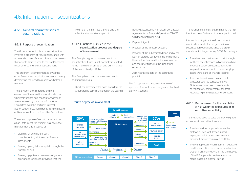### 4.6. Information on securitizations

#### 4.6.1. General characteristics of securitizations

#### 4.6.1.1. Purpose of securitization

The Group's current policy on securitization involves a program of recurrent issuance, with an intended diversification of securitized assets that adjusts their volume to the bank's capital requirements and to market conditions.

This program is complemented by all the other finance and equity instruments, thereby diversifying the need to resort to wholesale markets.

The definition of the strategy and the execution of the operations, as with all other wholesale finance and capital management, are supervised by the Assets & Liabilities Committee, with the pertinent internal authorizations obtained directly from the Board of Directors or from the Executive Committee.

The main purpose of securitization is to act as an instrument for efficient balance sheet management, as a source of:

- Liquidity at an efficient cost, complementing all the other finance instruments.
- Freeing up regulatory capital, through the transfer of risk.
- Freeing up potential excesses of generic allowances for losses, provided that the

volume of the first-loss tranche and the effective risk transfer so permit.

#### 4.6.1.2. Functions pursued in the securitization process and degree of involvement

The Group's degree of involvement in its securitization funds is not normally restricted to the mere role of assignor and administrator of the securitized portfolio.

The Group has commonly assumed such additional roles as:

• Direct counterparty of the swap, given that the Group's rating permits this through the Spanish

#### Group's degree of involvement



Banking Association's Framework Contractual Agreements for Financial Operations (CMOF) with the securitization fund.

- Payment Agent.
- Provider of the treasury account.
- Provider of the subordinated loan and of the loan for start-up costs, with the former being the one that finances the first-loss tranche, and the latter financing the fund's fixed expenditure.
- Administrative agent of the securitized portfolio.

The Group has not assumed the role of sponsor of securitizations originated by thirdparty institutions.

The Group's balance sheet maintains the firstloss tranches of all securitizations performed.

It is worth noting that the Group has not modified its model for the generation of securitization operations since the credit crunch, which began in July 2007. Accordingly:

- There has been no transfer of risk through synthetic securitizations. All operations have involved traditional securitizations with simple structures in which the underlying assets were loans or financial leasing.
- It has not been involved in recurrent structures such as conduits or SIVs. All its issues have been one-offs, with no mandatory commitments for asset repackaging or the replacement of loans.

#### 4.6.1.3. Methods used for the calculation of risk-weighted exposures in its securitization activity

The methods used to calculate risk-weighted exposures in securitizations are:

- The standardized approach: when this method is used for fully securitized exposures, in full or in a predominant manner if it involves a mixed portfolio.
- The IRB approach: when internal models are used for securitized exposures, in full or in a predominant manner. Within the alternatives of the IRB approach, use is made of the model based on external ratings.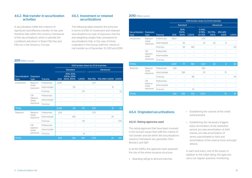#### 4.6.2. Risk transfer in securitization activities

A securitization fulfills the criterion of significant and effective transfer of risk, and therefore falls within the solvency framework of the securitizations, when it upholds the conditions laid down in Rules Fifty-five and Fifty-six in the Solvency Circular.

#### 4.6.3. Investment or retained securitizations

The following table presents the amounts in terms of EAD of investment and retained securitizations by type of exposure, tranche and weighting ranges that correspond to securitizations that, in the case of those originated in the Group, fulfill the criteria of risk transfer as of December 31, 2011 and 2010.

#### 2011 (Million euros)

|                        | EAD broken down by ECAI tranches      |                |                          |                                       |                          |                          |                                                       |     |
|------------------------|---------------------------------------|----------------|--------------------------|---------------------------------------|--------------------------|--------------------------|-------------------------------------------------------|-----|
|                        | Exposure<br>type                      |                |                          | <b>Standard</b>                       |                          |                          | Advanced                                              |     |
| Securitization<br>type |                                       | <b>Tranche</b> | 20%                      | 40%; 50%;<br>100%; 225%<br>350%, 650% | 1,250%                   | <b>RW&lt;15%</b>         | 15% <rw<1,250% 1,250%<="" th=""><th></th></rw<1,250%> |     |
| Investment             | Balance-                              | Preferential   | 5,295                    |                                       | $\overline{\phantom{0}}$ | 670                      |                                                       |     |
|                        | sheet<br>exposure                     | Intermediate   |                          | 90                                    | $\overline{\phantom{a}}$ | $\overline{a}$           | 15                                                    |     |
|                        |                                       | First-loss     |                          | $\overline{\phantom{0}}$              | 175                      | $\overline{a}$           | $\overline{\phantom{a}}$                              | 52  |
|                        | Off-<br>balance-<br>sheet<br>exposure | Preferential   |                          |                                       |                          |                          |                                                       |     |
|                        |                                       | Intermediate   |                          |                                       |                          |                          |                                                       |     |
|                        |                                       | First-loss     |                          |                                       |                          |                          |                                                       |     |
| <b>TOTAL</b>           |                                       |                | 5,295                    | 90                                    | 175                      | 670                      | 15                                                    | 52  |
| Retained               | Balance-<br>sheet<br>exposure         | Preferential   | 304                      |                                       | $\overline{\phantom{0}}$ | 1.175                    |                                                       |     |
|                        |                                       | Intermediate   | $\overline{\phantom{0}}$ | 196                                   | $\overline{\phantom{a}}$ | $\overline{a}$           | 25                                                    |     |
|                        |                                       | First-loss     | $\overline{\phantom{m}}$ | $\overline{a}$                        | 119                      | $\overline{\phantom{0}}$ | $\overline{a}$                                        | 109 |
|                        | Off-                                  | Preferential   | $\overline{\phantom{0}}$ |                                       | $\overline{a}$           |                          |                                                       |     |
|                        | balance-<br>sheet                     | Intermediate   |                          |                                       | $\overline{\phantom{a}}$ |                          |                                                       |     |
|                        | exposure                              | First-loss     |                          |                                       | 41                       | $\overline{a}$           |                                                       |     |
| <b>TOTAL</b>           |                                       |                | 304                      | 196                                   | 160                      | 1,175                    | 25                                                    | 109 |

#### 2010 (Million euros)

|                        |                                       |                | EAD broken down by ECAI tranches |                          |                          |                                 |                          |                          |        |
|------------------------|---------------------------------------|----------------|----------------------------------|--------------------------|--------------------------|---------------------------------|--------------------------|--------------------------|--------|
|                        |                                       |                | <b>Standard</b>                  |                          |                          |                                 |                          | Advanced                 |        |
| Securitization<br>type | Exposure<br>type                      | <b>Tranche</b> | 20%                              | 50%;<br>100%;<br>350%    | 1,250%                   | $6 - 10\%$<br>12-18%;<br>20-35% | 50-75%:<br>100%          | 250-425-<br>625%         | 1,250% |
| Investment             | Balance-                              | Preferential   | 4,601                            | $\overline{a}$           | $\overline{a}$           | 1,011                           | $\overline{a}$           | $\overline{a}$           |        |
|                        | sheet<br>exposure                     | Intermediate   | $\overline{a}$                   | 39                       | $\overline{\phantom{0}}$ | 10                              | 25                       | 4                        |        |
|                        |                                       | First-loss     | $\overline{\phantom{0}}$         | 38                       | 184                      | $\overline{\phantom{0}}$        |                          |                          | 69     |
|                        | Off-<br>balance-<br>sheet<br>exposure | Preferential   |                                  |                          |                          |                                 |                          |                          |        |
|                        |                                       | Intermediate   |                                  |                          |                          |                                 |                          |                          |        |
|                        |                                       | First-loss     |                                  |                          |                          |                                 |                          |                          |        |
| <b>TOTAL</b>           |                                       |                | 4,601                            | 77                       | 184                      | 1,021                           | 25                       | 4                        | 69     |
| Retained               | Balance-                              | Preferential   | 524                              |                          | $\overline{\phantom{0}}$ | 1.183                           | $\overline{\phantom{0}}$ | $\overline{a}$           |        |
|                        | sheet<br>exposure                     | Intermediate   | $\overline{\phantom{0}}$         | 338                      |                          | 25                              | $\overline{a}$           | 15                       |        |
|                        |                                       | First-loss     |                                  | $\overline{\phantom{0}}$ | 88                       | $\overline{a}$                  |                          | $\overline{a}$           | 94     |
|                        | Off-                                  | Preferential   |                                  |                          | $\overline{\phantom{a}}$ | $\overline{a}$                  |                          |                          |        |
|                        | balance-<br>sheet                     | Intermediate   |                                  |                          | $\overline{\phantom{a}}$ | $\overline{a}$                  |                          |                          |        |
|                        | exposure                              | First-loss     |                                  |                          | 35                       |                                 |                          | $\overline{\phantom{a}}$ |        |
| <b>TOTAL</b>           |                                       |                | 524                              | 338                      | 123                      | 1.207                           |                          | 15                       | 94     |

#### 4.6.4. Originated securitizations

#### 4.6.4.1. Rating agencies used

The rating agencies that have been involved in the Group's issues that fulfill the criteria of risk transfer and fall within the securitizations solvency framework are, generally, Fitch, Moody's and S&P.

In all the SSPEs, the agencies have assessed the risk of the entire issuance structure:

• Awarding ratings to all bond tranches.

- Establishing the volume of the credit enhancement.
- Establishing the necessary triggers (early termination of the restitution period, pro-rata amortization of AAA classes, pro-rata amortization of series subordinated to AAA and amortization of the reserve fund, amongst others).

In each and every one of the issues, in addition to the initial rating, the agencies carry out regular quarterly monitoring.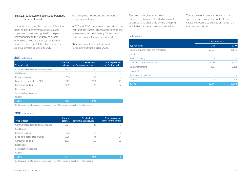#### 4.6.4.2. Breakdown of securitized balances by type of asset

The next tables give the current outstanding balance, non-performing exposures and impairment losses recognized in the period corresponding to the underlying assets of originated securitizations, in which risk transfer criteria are fulfilled, by type of asset, as of December 31, 2011 and 2010.

#### The Group has not securitized positions in revolving structures.

In 2011 and 2010, there were no securitizations that fulfill the transfer criteria according to the requirements of the Solvency Circular, and, therefore, no results were recognized.

BBVA has been the structurer of all transactions effected since 2006.

#### 2011 (Million euros)

| Type of asset                        | Current<br>balance | Of which: non-<br>performing exposures <sup>(1)</sup> | Total impairment<br>losses for the period |
|--------------------------------------|--------------------|-------------------------------------------------------|-------------------------------------------|
| Commercial and residential mortgages | 5.249              | 460                                                   | 6                                         |
| Credit cards                         |                    |                                                       |                                           |
| Financial leasing                    | 575                | 56                                                    |                                           |
| Lending to corporates or SMEs        | 1.021              | 100                                                   | 23                                        |
| Consumer lending                     | 1.009              | 75                                                    | 12                                        |
| Receivables                          |                    |                                                       |                                           |
| Securitization balances              |                    |                                                       |                                           |
| Others                               |                    |                                                       |                                           |
| <b>TOTAL</b>                         | 7.855              | 693                                                   | 41                                        |

(1) It includes the total amount of exposures impaired for reasons of default or for other reasons.

#### 2010 (Million euros)

| Type of asset                        | Current<br>balance       | Of which: non-<br>performing exposures <sup>(1)</sup> | <b>Total impairment</b><br>losses for the period |
|--------------------------------------|--------------------------|-------------------------------------------------------|--------------------------------------------------|
| Commercial and residential mortgages | 5.624                    | 125                                                   | 13                                               |
| Credit cards                         |                          |                                                       |                                                  |
| Financial leasing                    | 922                      | 87                                                    | 16                                               |
| Lending to corporates or SMEs        | 1.506                    | 134                                                   | 24                                               |
| Consumer lending                     | 1.695                    | 152                                                   | 65                                               |
| <b>Receivables</b>                   |                          |                                                       |                                                  |
| Securitization balances              | $\overline{\phantom{0}}$ | $\overline{\phantom{0}}$                              |                                                  |
| Others                               | $\overline{\phantom{a}}$ | $\overline{\phantom{a}}$                              |                                                  |
| <b>TOTAL</b>                         | 9.747                    | 498                                                   | 118                                              |

(1) It includes the total amount of exposures impaired for reasons of default or for other reasons.

The next table gives the current outstanding balance of underlying assets of securitizations originated by the Group, in which risk transfer criteria are not fulfilled.

These therefore do not enter within the solvency framework of securitizations; the capital exposed is calculated as if they had not been securitized:

#### (Million euros)

|                                      | <b>Current balance</b> |        |  |
|--------------------------------------|------------------------|--------|--|
| Type of asset                        | 2011                   | 2010   |  |
| Commercial and residential mortgages | 23.684                 | 23,876 |  |
| Credit cards                         |                        |        |  |
| Financial leasing                    | 18                     | 23     |  |
| Lending to corporates or SMEs        | 6,285                  | 6,178  |  |
| Consumer lending                     | 1,933                  | 2,481  |  |
| Receivables                          |                        |        |  |
| Securitization balances              |                        |        |  |
| Others                               | 124                    | 154    |  |
| <b>TOTAL</b>                         | 32.044                 | 32,712 |  |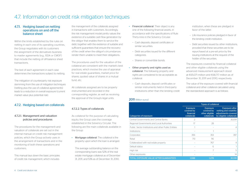## 4.7. Information on credit risk mitigation techniques

#### 4.7.1. Hedging based on netting operations on and off the balance sheet

Within the limits established by the rules on netting in each one of its operating countries, the Group negotiates with its customers the assignment of the derivatives business to master agreements (e.g., ISDA or CMOF) that include the netting of off-balance sheet transactions.

The text of each agreement in each case determines the transactions subject to netting.

The mitigation of counterparty risk exposure stemming from the use of mitigation techniques (netting plus the use of collateral agreements) leads to a reduction in overall exposure (current market value plus potential risk).

#### 4.7.2. Hedging based on collaterals

#### 4.7.2.1. Management and valuation policies and procedures

The procedures for the management and valuation of collaterals are set out in the internal manual on credit risk management policies, which the Group actively uses in the arrangement of transactions and in the monitoring of both these operations and customers.

This manual lays down the basic principles of credit risk management, which includes

the management of the collaterals assigned in transactions with customers. Accordingly, the risk management model jointly values the existence of a suitable cash flow generation by the obligor that enables them to service the debt, together with the existence of suitable and sufficient guarantees that ensure the recovery of the credit when the obligor's circumstances render them unable to meet their obligations.

The procedures used for the valuation of the collateral are consistent with the market's best practices, which involve the use of appraisal for real estate guarantees, market price for shares, quoted value of shares in a mutual fund, etc.

All collaterals assigned are to be properly instrumented and recorded in the corresponding register, as well as receiving the approval of the Group's legal units.

#### 4.7.2.2. Types of collaterals

As collateral for the purpose of calculating equity, the Group uses the coverage established in the Solvency Circular. The following are the main collaterals available in the Group:

• Mortgage collateral: The collateral is the property upon which the loan is arranged.

The average outstanding balance on the corresponding loans was 52% of the real estate mortgage collateral as of December 31, 2011, and 53% as of December 31, 2010.

- Financial collateral: Their object is any one of the following financial assets, in accordance with the specifications of Rule Thirty-nine in the Solvency Circular:
	- Cash deposits, deposit certificates or similar securities.
	- Debt securities issued for the different categories.
	- Shares or convertible bonds.
- Other property and rights used as collateral: The following property and rights are considered to be acceptable as collateral:
	- Cash deposits, deposit certificates or similar instruments held in third-party institutions other than the lending credit

#### 2011 (Million euros)

institution, when these are pledged in favor of the latter.

- Life insurance policies pledged in favor of the lending credit institution.
- Debt securities issued by other institutions, provided that these securities are to be repurchased at a pre-set price by the issuing institutions at the request of the holder of the securities.

The exposures covered by financial collateral and other eligible collaterals using the advanced measurement approach stood at €65,071 million and €68,717 million as of December 31, 2011 and 2010, respectively.

The value of the exposure covered with financial collateral and other collateral calculated using the standardized approach is as follows:

|                                                       | <b>Types of collateral</b>                                |                                                                |                                                                                                   |  |  |
|-------------------------------------------------------|-----------------------------------------------------------|----------------------------------------------------------------|---------------------------------------------------------------------------------------------------|--|--|
| Categories of exposure                                | <b>Exposure</b><br>covered by<br>financial<br>collaterals | <b>Exposure</b><br>covered by<br>other eligible<br>collaterals | <b>Exposure after</b><br>netting and volatility<br>adjustments covered<br>by eligible collaterals |  |  |
| Central Governments and Central Banks                 | 2                                                         |                                                                | 30,091                                                                                            |  |  |
| Regional Governments and Local Authorities            | 17                                                        | 28                                                             |                                                                                                   |  |  |
| Public, Sector Institutions and other Public Entities |                                                           |                                                                | 4                                                                                                 |  |  |
| Institutions                                          |                                                           |                                                                |                                                                                                   |  |  |
| Corporates                                            | 356                                                       | 353                                                            | 397                                                                                               |  |  |
| Retail                                                | 713                                                       | 116                                                            |                                                                                                   |  |  |
| Collateralized with real estate property              |                                                           | 767                                                            | 4                                                                                                 |  |  |
| Default status                                        |                                                           | 6                                                              |                                                                                                   |  |  |
| High risk                                             |                                                           | 7                                                              | 5                                                                                                 |  |  |
| Other exposures                                       |                                                           |                                                                | 14                                                                                                |  |  |
| <b>TOTAL EXPOSURE VALUE AFTER GUARANTEES</b>          | 1.088                                                     | 1.278                                                          | 30,518                                                                                            |  |  |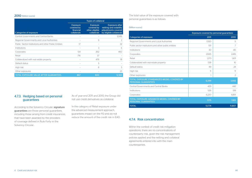#### 2010 (Million euros)

|                                                      | <b>Types of collateral</b>                                |                                                                |                                                                                                   |  |  |
|------------------------------------------------------|-----------------------------------------------------------|----------------------------------------------------------------|---------------------------------------------------------------------------------------------------|--|--|
| Categories of exposure                               | <b>Exposure</b><br>covered by<br>financial<br>collaterals | <b>Exposure</b><br>covered by<br>other eligible<br>collaterals | <b>Exposure after</b><br>netting and volatility<br>adjustments covered<br>by eligible collaterals |  |  |
| Central Governments and Central Banks                |                                                           |                                                                | 12,416                                                                                            |  |  |
| Regional Governments and Local Authorities           |                                                           | 9                                                              | 2                                                                                                 |  |  |
| Public Sector Institutions and other Public Entities | 17                                                        |                                                                | 32                                                                                                |  |  |
| Institutions                                         |                                                           | 3                                                              | 6                                                                                                 |  |  |
| Corporates                                           | 134                                                       | 262                                                            | 460                                                                                               |  |  |
| Retail                                               | 716                                                       | 37                                                             |                                                                                                   |  |  |
| Collateralized with real estate property             |                                                           | 476                                                            | 18                                                                                                |  |  |
| Default status                                       |                                                           | 5                                                              |                                                                                                   |  |  |
| High risk                                            |                                                           | 8                                                              | 5                                                                                                 |  |  |
| Other exposures                                      |                                                           |                                                                | 23                                                                                                |  |  |
| <b>TOTAL EXPOSURE VALUE AFTER GUARANTEES</b>         | 867                                                       | 800                                                            | 12.961                                                                                            |  |  |

#### 4.7.3. Hedging based on personal guarantees

According to the Solvency Circular, signature guarantees are those personal guarantees, including those arising from credit insurances, that have been awarded by the providers of coverage defined in Rule Forty in the Solvency Circular.

As of year-end 2011 and 2010, the Group did not use credit derivatives as collateral.

In the category of Retail exposure under the advanced measurement approach, guarantees impact on the PD and do not reduce the amount of the credit risk in EAD.

The total value of the exposure covered with personal guarantees is as follows:

#### (Million euros)

|                                                                               | Exposure covered by personal guarantees |               |  |
|-------------------------------------------------------------------------------|-----------------------------------------|---------------|--|
| Categories of exposure                                                        | 2011                                    | 2010          |  |
| Regional Governments and Local Authorities                                    | 1.930                                   | 9             |  |
| Public sector institutions and other public entities                          | 1O1                                     | 7             |  |
| Institutions                                                                  | 30                                      | 40            |  |
| Corporates                                                                    | 2.665                                   | 2.416         |  |
| Retail                                                                        | 1.273                                   | 1.431         |  |
| Collateralized with real estate property                                      | 538                                     | 16            |  |
| Default status                                                                | 49                                      | 24            |  |
| High risk                                                                     | 11                                      | 11            |  |
| Other exposures                                                               |                                         | $\mathcal{P}$ |  |
| TOTAL EXPOSURE STANDARIZED MODEL COVERED BY<br><b>PERSONAL GUARANTEES</b>     | 6.599                                   | 3.956         |  |
| Central Governments and Central Banks                                         | 429                                     | 442           |  |
| Institutions                                                                  | 526                                     | 518           |  |
| Corporates                                                                    | 6.220                                   | 6.891         |  |
| <b>TOTAL EXPOSURE ADVANCED MODEL COVERED BY</b><br><b>PERSONAL GUARANTEES</b> | 7.175                                   | 7.851         |  |
| <b>TOTAL</b>                                                                  | 13.774                                  | 11,807        |  |

#### 4.7.4. Risk concentration

Within the context of credit risk mitigation operations, there are no concentrations of counterparty risk, given the risk management policies applied and the netting and collateral agreements entered into with the main counterparties.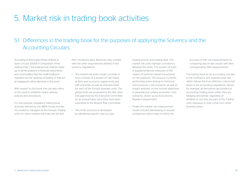## 5. Market risk in trading book activities

## 5.1. Differences in the trading book for the purposes of applying the Solvency and the Accounting Circulars

According to Rule Eighty-Three of Bank of Spain Circular 3/2008 ("Composition of the trading book"), "the trading book shall be made up of all the positions in financial instruments and commodities that the credit institution maintains for the 'purpose of trading' or that act as hedging for other elements in this book."

With respect to this book, the rule also refers to the need to establish clearly defined policies and procedures.

For this purpose, regulatory trading book activities defined by the BBVA Group include the positions managed by the Group's Trading units, for which market risk limits are set and

then monitored daily. Moreover, they comply with the other requirements defined in the solvency regulations.

- The market-risk limits model currently in force consists of a system of VaR (Value at Risk) and economic capital limits and VaR sub-limits, as well as stop-loss limits for each of the Group's business units. The global limits are proposed by the Risk Area and approved by the Executive Committee on an annual basis, once they have been submitted to the Board's Risk Committee.
- This limits structure is developed by identifying specific risks by type,

trading activity and trading desk. The market risk units maintain consistency between the limits. This system of limits is supplemented by measures of the impact of extreme market movements on risk positions. The Group is currently performing stress testing on historical and economic crisis scenarios, as well as impact analyses on the income statement in plausible but unlikely economic crisis scenarios, drawn up by its Economic Research Department.

• Finally, the market risk measurement model includes backtesting or ex-post comparison which helps to refine the

accuracy of the risk measurements by comparing day-on-day results with their corresponding VaR measurements.

The trading book as an accounting concept is not confined to any business area, but rather follows the true reflection criteria laid down in the accounting regulations. Hence, for example, all derivatives are booked as accounting trading book unless they are hedging derivatives, regardless of whether or not they are part of the Trading units' exposure or they come from other business areas.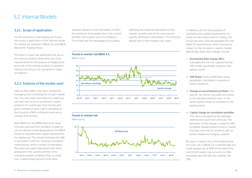### 5.2. Internal Models

#### 5.2.1. Scope of application

For the purposes of calculating own funds, the scope of application of the internal model for market risk extends to BBVA S.A. and BBVA Bancomer Trading Floors.

The Bank of Spain has authorized the use of the internal model to determine own fund requirements for the purpose of hedging the price risk of the trading portfolio of positions held by the Group in its operations in Spain and Mexico.

#### 5.2.2. Features of the models used

Value at Risk (VaR) is the basic variable for managing and controlling the Group's market risk. This risk metric estimates the maximum loss that may occur in a portfolio's market positions for a particular time horizon and given confidence level. VaR is calculated in the Group at a 99% confidence level and a oneday time horizon.

Both BBVA S.A. and BBVA Bancomer have received approval from the Bank of Spain to use an internal model developed by the BBVA Group to calculate bank capital requirements for market risk. This model estimates the VaR in accordance with the "historical simulation" methodology, which consists of estimating the losses and gains that would have been produced in the current portfolio if the changing market conditions that occurred over a determined period of time were

repeated. Based on this information, it infers the maximum foreseeable loss in the current portfolio with a given level of confidence. The model has the advantage of accurately

reflecting the historical distribution of the market variables and of not requiring any specific distribution assumption. The historical period used in this model is two years.

#### Trends in market risk BBVA S.A.





Trends in market risk



In addition, and for the purposes of calculating the capital requirements for financial instruments held for trading, the Group has since 2011 incorporated the new Basel 2.5 requirements, which has had an impact on the increase in capital charges. Specifically, these new charges include:

#### 1. Incremental Risk Charge (IRC):

Calculates the risk not captured by the VaR model, specifically migration and default events.

- 2. VaR Stress: Gives a VaR figure using parameters calculated in a period of stress conditions.
- 3. Charge on securitization portfolio: The specific risk will be calculated according to the standard method rules, i.e. the same capital charge as a position in the banking book.
- 4. Capital charge on correlation portfolio: The risk is calculated by the standard method and supervisory formula. The perimeter of this charge is related to Nthto-default market positions and/or market tranches, and only for positions with an active market and hedging capacity.

By type of market risk on the trading book, the main risk in BBVA S.A. is interest-rate and credit spread risk, at 55% of the total at the 2 end of 2011; equity risk accounts for 10%, 1 exchange-rate risk 10% and volatility risk 25%.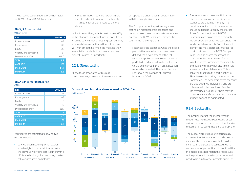The following tables show VaR by risk factor for BBVA S.A. and BBVA Bancomer:

#### BBVA, S.A. market risk

(Million euros)

| <b>Risk</b>                | 30-12-2011 |
|----------------------------|------------|
| Interest + Spread          | 16.9       |
| Exchange rate              | 32         |
| Equity                     | 27         |
| Volatility and correlation | 81         |
| Diversification effect     | (19.2)     |
| <b>TOTAL</b>               | 11.7       |
| <b>AVERAGE</b>             | 16.1       |
| <b>MAXIMUM</b>             | 30.0       |
| <b>MINIMUM</b>             | 8.8        |

#### BBVA Bancomer market risk

(Million euros)

| <b>Risk</b>                | 30-12-2011 |
|----------------------------|------------|
| Interest + Spread          | 37         |
| Exchange rate              | 0.3        |
| Equity                     | 16         |
| Volatility and correlation | 13         |
| Diversification effect     | (36)       |
| <b>TOTAL</b>               | 3.3        |
| <b>AVERAGE</b>             | 4.6        |
| <b>MAXIMUM</b>             | 10.1       |
| <b>MINIMUM</b>             | 29         |

VaR figures are estimated following two methodologies:

• VaR without smoothing, which awards equal weight to the daily information for the previous two years. This is currently the official methodology for measuring market risks vis-à-vis limits compliance.

• VaR with smoothing, which weighs more recent market information more heavily. This metric is supplementary to the one above.

VaR with smoothing adapts itself more swiftly to the changes in financial market conditions, whereas VaR without smoothing is, in general, a more stable metric that will tend to exceed VaR with smoothing when the markets show less volatile trends, but be lower when they present upturns in uncertainty.

#### 5.2.3. Stress testing

All the tasks associated with stress, methodologies, scenarios of market variables



The Group is currently performing stress testing on historical crisis scenarios and impacts based on economic crisis scenarios prepared by BBVA Research. They can be seen in the following chart:

• Historical crisis scenarios: Once the critical periods that are to be used have been defined, the development of the risk factors is applied to reevaluate the current portfolio in order to estimate the loss that would be incurred if this market situation were to be repeated. The base historical scenario is the collapse of Lehman Brothers in 2008.



• Economic stress scenarios: Unlike the historical scenarios, economic stress scenarios are updated monthly. The decision about which of the scenarios should be used is taken by the Market Stress Committee, in which BBVA Research takes an active part through the construction of ad hoc scenarios. The fundamental aim of this Committee is to identify the most significant market risk positions in each of the BBVA Group's treasuries and assess the impact of changes in their risk drivers. For this task, the Stress Committee must identify and quantify unlikely but plausible crisis scenarios in financial markets. This is achieved thanks to the participation of BBVA Research as a key member of the Committee. The economic stress scenarios are also designed individually and are coherent with the positions of each of the treasuries. As a result, there may be no coherence at Group level and thus the impacts cannot be aggregated.

#### 5.2.4. Backtesting

The Group's market risk measurement model needs to have a backtesting or self-1 validation program that assures that the risk measurements being made are appropriate. needs to have a backtesting or selfvup's market risk measu

The Global Markets Risk unit periodically approves the risk valuation models used to estimate the maximum loss that could be incurred in the positions assessed with a certain level of probability. If it is noticed that the model does not match the real results of the positions in question, checks would need to be run to offset possible errors, or -38 -50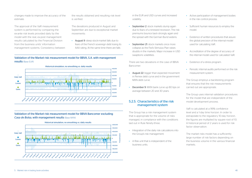changes made to improve the accuracy of the estimate.

The approval of the VaR measurement system is performed by comparing the ex-ante risk levels provided daily by the model with the real, ex-post management results calculated by the Financial Division from the business units' information management systems. Consistency between the results obtained and resulting risk level is verified.

The deviations produced in August and September are due to exceptional market movements:

• August 9: steep stock-market falls due to fears of the French sovereign debt losing its AAA rating. At the same time there are falls

Validation of the Market risk measurement model for BBVA, S.A. with management results (Base EUR)



Validation of the Market risk measurement model for BBVA Bancomer excluding *Casa de Bolsa*, with management results (Base MXN)



in the EUR and USD curves and increased volatility.

- September 2: stock markets slump again due to fears of a renewed recession. The risk premiums bounce back strongly again and the spread with the German Bund widens.
- September 21: stock markets once more collapse as the Fed's Stimulus Plan raises doubts in the markets. Major increase in USD swaptions volatilities.

There are two deviations in the case of BBVA Bancomer:

- August 22: bigger than expected movement in Pemex debt curve and in the government MXN debt curve.
- December 9: MXN bank curve up 80 bps on average between 20 and 30 years. -30000

#### 5.2.5. Characteristics of the risk management system

The Group has a risk management system that is appropriate for the volume of risks managed, in compliance with the conditions laid out in Rule Ninety-three.

- Integration of the daily risk calculations into the Group's risk management.
- A Risk unit that is independent of the business units.
- Active participation of management bodies in the risk control process.
- Sufficient human resources to employ the model.
- Existence of written procedures that assure the global precision of the internal model used for calculating VaR.
- Accreditation of the degree of accuracy of the internal model used for calculated VaR.
- Existence of a stress program.
- Periodic internal audits performed on the risk measurement system.

The Group employs a backtesting program that ensures that the risk measurements carried out are appropriate.

The Group uses internal validation procedures for the model that are independent of the model development process.

VaR is calculated at a 99% confidence level and a 1-day time horizon. In order to extrapolate to the regulatory 10-day horizon, the figures are multiplied by square root of 10. A historical period of 2 years is used for risk factor observation. <sup>200000</sup> VaR neg

> The market risks model has a sufficiently large number of risk factors depending on the business volume in the various financial markets.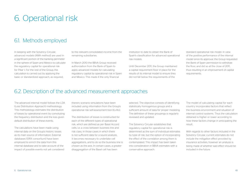## 6. Operational risk

### 6.1. Methods employed

In keeping with the Solvency Circular, advanced models (AMA method) are used in a significant portion of the banking perimeter in the sphere of Spain and Mexico to calculate the regulatory capital for operational risk for Pillar I. For the rest of the Group, the calculation is carried out by applying the basic or standardized approach, as required,

to the relevant consolidated income from the remaining subsidiaries.

In March 2010 the BBVA Group received authorization from the Bank of Spain to apply advanced models for calculating regulatory capital by operational risk in Spain and Mexico. This made it the only financial

institution to date to obtain the Bank of Spain's classification for advanced operational risk models.

Until December 2011, the Group maintained a capital requirement floor in place for the results of its internal model to ensure they did not fall below the requirements of the

standard operational risk model. In view of the positive performance of the internal model since its approval, the Group requested the Bank of Spain permission to withdraw the floor, and did so at the close of 2011, thus resulting in an improvement of capital requirements.

### 6.2. Description of the advanced measurement approaches

The advanced internal model follows the LDA (Loss Distribution Approach) methodology. This methodology estimates the distribution of losses by operational event by convoluting the frequency distribution and the loss given default distribution of these events.

The calculations have been made using internal data on the Group's historic losses as its main source of information. External databases (ORX consortium) have been employed to enrich the data from this internal database and to take account of the impact of possible events not yet considered therein; scenario simulations have been included using information from the Group's operational risk self-assessment tool (Ev-Ro).

The distribution of losses is constructed for each of the different types of operational risk, which are defined as per Basel Accord cells: i.e. a cross between business line and risk class. In those cases in which there is not sufficient data for a sound analysis, it becomes necessary to undertake cell aggregations, and to do so the business line is chosen as the axis. In certain cases, a greater disaggregation of the Basel cell has been

selected. The objective consists of identifying statistically homogenous groups and a sufficient amount of data for proper modeling. The definition of these groupings is regularly reviewed and updated.

The Solvency Circular establishes that regulatory capital for operational risk is determined as the sum of individual estimates by type of risk, but the option of incorporating the effect of the correlation among them is contemplated. This impact has been taken into consideration in BBVA estimates with a conservative approach.

The model of calculating capital for each country incorporates factors that reflect the business environment and situation of internal control systems. Thus the calculation obtained is higher or lower according to how these factors change in anticipating the result.

With regards to other factors included in the Solvency Circular, current estimates do not include the mitigation effect provided by insurance activities, however an analysis is being made of whether said effect should be included in the future.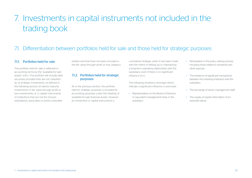## 7. Investments in capital instruments not included in the trading book

## 7.1. Differentiation between portfolios held for sale and those held for strategic purposes

#### 7.1.1. Portfolios held for sale

The portfolio held for sale is reflected in accounting terms by the "available-for-sale assets" entry. This portfolio will include debt securities provided they are not classified as: a) strategic investments, as defined in the following section; b) held-to-maturity investments or fair value through profit or loss investments; or c) capital instruments of institutions that are not the Group's subsidiaries, associates or jointly-controlled

entities and that have not been included in the fair value through profit or loss category.

#### 7.1.2. Portfolios held for strategic purposes

As in the previous section, the portfolio held for strategic purposes is included for accounting purposes under the heading of available-for-sale financial assets. However, an investment in capital instruments is

considered strategic when it has been made with the intent of setting up or maintaining a long-term operating relationship with the subsidiary, even if there is no significant influence on it.

The following situations, amongst others, indicate a significant influence is exercised:

• Representation on the Board of Directors or equivalent management body in the subsidiary.

- Participation in the policy setting process. including those related to dividends and other payouts.
- The existence of significant transactions between the investing institution and the subsidiary.
- The exchange of senior management staff.
- The supply of expert information of an essential nature.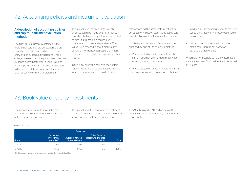A description of accounting policies and capital instrument valuation methods

The financial instruments contained in the available-for-sale financial assets portfolio are valued at their fair value both in their initial entry and on subsequent valuations. These changes are recorded in equity unless objective evidence exists that the fall in value is due to asset impairment where the amounts recorded will be written-off from equity and they will be taken directly to the income statement.

The fair value is the amount for which an asset could be made over or a liability cancelled, between duly informed interested parties in a transaction carried out in conditions of mutual independence. The fair value is reached without making any deduction for transaction costs that might be incurred due to sale or disposal by other means.

In the initial entry, the best evidence of fair value is the listing price on an active market. When these prices are not available, recent

transactions on the same instrument will be consulted or valuation techniques based solely on data observable in the market will be used.

In subsequent valuations, fair value will be obtained by one of the following methods:

- Prices quoted on active markets for the same instrument, i.e., without modification or reorganizing in any way.
- Prices quoted on active markets for similar instruments or other valuation techniques

in which all the meaningful inputs are used based on directly or indirectly observable market data.

• Valuation techniques in which some meaningful input is not based on observable market data.

When it is not possible to reliably estimate a capital instrument's fair value, it will be valued at its cost.

### 7.3. Book value of equity investments

The accompanying table shows the book values of portfolios held for sale and those held for strategic purposes.

The fair value of the permanent investment portfolio, calculated on the basis of the official listing price of the listed companies, was

€1,779 million and €694 million below the book value as of December 31, 2011 and 2010, respectively.

#### (Million euros)

|          | <b>Book value</b>                                   |                                        |                                                         |              |  |  |
|----------|-----------------------------------------------------|----------------------------------------|---------------------------------------------------------|--------------|--|--|
| Item     | Permanent<br>investment<br>portfolio <sup>(1)</sup> | Available-for-sale<br>financial assets | <b>Other financial</b><br>assets with changes<br>in P&L | <b>Total</b> |  |  |
| 31/12/11 | 7.941                                               | 5.139                                  | 556                                                     | 13.637       |  |  |
| 31/12/10 | 6/79                                                | 5.493                                  | 578                                                     | 12.851       |  |  |

7.2. Accounting policies and instrument valuation

(1) It includes investments in associates and jointly-controlled entities.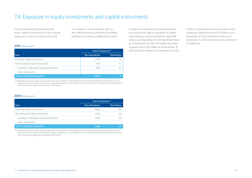## 7.4. Exposure in equity investments and capital instruments

The accompanying table shows the types, nature and amounts of the original exposures in equity investments listed

or unlisted on a stock market, with an item differentiating sufficiently diversified portfolios and other unlisted instruments.

#### 2011 (Million euros)

| Type of exposure <sup>(1)</sup>                 |                 |                          |
|-------------------------------------------------|-----------------|--------------------------|
| Item                                            | Non-derivatives | <b>Derivatives</b>       |
| Exchange Traded Instruments                     | 4.434           | 27                       |
| Non-Exchange Traded Instruments                 | 1974            | -10                      |
| Included in sufficiently diversified portfolios | 1974            | -10                      |
| Other instruments                               |                 | $\overline{\phantom{a}}$ |
| <b>TOTAL POSITIONS IN EQUITY</b>                | 6.409           | 17                       |

(1) Depending on their nature, equity instruments not included in Trading Book Activity will be separated into derivatives and nonderivatives. The amount shown refers to original exposure, i.e. gross exposure of value corrections through asset impairment and provisions, before applying risk mitigation techniques.

Furthermore, the amount of profits recorded as a result of the sale or liquidation of capital instruments or equity investments was €108 million as of December 31, 2011 and €224 million as of December 31, 2010. The profits recorded in equity were €372 million as of December 31, 2011 and €1120 million as of December 31, 2010.

Profits in capital instruments included under additional capital stood at €173 million as of December 31, 2011 and €563 million as of December 31, 2010, most from the investment in Telefónica.

#### 2010 (Million euros)

|                                                 | Type of exposure <sup>(1)</sup> |                    |
|-------------------------------------------------|---------------------------------|--------------------|
| Item                                            | Non-derivatives                 | <b>Derivatives</b> |
| Exchange Traded Instruments                     | 4.809                           | 102                |
| Non-Exchange Traded Instruments                 | 2.476                           | -42                |
| Included in sufficiently diversified portfolios | 2.476                           | $-42$              |
| Other instruments                               |                                 |                    |
| <b>TOTAL POSITIONS IN EQUITY</b>                | 7.285                           | 60                 |

(1) Depending on their nature, equity instruments not included in Trading Book Activity will be separated into derivatives and nonderivatives. The amount shown refers to original exposure, i.e. gross exposure of value corrections through asset impairment and provisions, before applying risk mitigation techniques.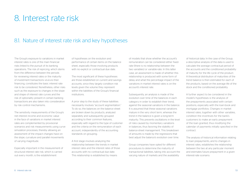## 8. Interest rate risk

## 8.1. Nature of interest rate risk and key hypotheses

The Group's exposure to variations in market interest rates is one of the main financial risks linked to the pursuit of its banking operations. The risk of repricing, which stems from the difference between the periods for reviewing interest rates or the maturity of investment transactions vis-à-vis their financing, constitutes the basic interest rate risk to be considered. Nonetheless, other risks such as the exposure to changes in the slope and shape of interest rate curves and the risk of optionality present in certain banking transactions are also taken into consideration by risk control mechanisms.

The sensitivity measurements of the Group's net interest income and economic value in the face of variations in market interest rates are complemented by provisional scenarios and risk measurements using curve simulation processes, thereby allowing an assessment of the impact changes have on the slope, curvature and parallel movements of varying magnitude.

Especially important in the measurement of structural interest rate risk, which is carried out every month, is the establishment

of hypotheses on the evolution and performance of certain items on the balance sheet, especially those involving products with no explicit or contractual due date.

The most significant of these hypotheses are those established on current and savings accounts, since they largely condition risk levels given the volume they represent within the liabilities of the Group's financial institutions.

A prior step to the study of these liabilities necessarily involves "account segmentation." To do so, the balances on the balance sheet are broken down by products, analyzed separately and subsequently grouped according to their common features, especially with regard to the type of customer and the criteria on the remuneration of each account, independently of the accounting standards on grouping.

A first stage involves analyzing the relationship between the trends in market interest rates and the interest rates of those accounts with no contractual due date. This relationship is established by means

of models that show whether the account's remuneration can be considered either fixedrate (there is no relationship between the two variables) or variable-rate. In this latter case, an assessment is made of whether this relationship is produced with some form of delay and what the percentage impact of the variations in market interest rates is on the account's interest rate.

Subsequently, an analysis is made of the evolution over time of the balances in each category in order to establish their trend, against the seasonal variations in the balance. It is assumed that these seasonal variations mature in the very short term, whereas the trend in the balance is given a long-term maturity. This prevents oscillations in the level of risks caused by momentary variations in balances, thus favoring the stability of balance-sheet management. This breakdown of amounts is made by the regressions that best adjust the balance's evolution over time.

Group companies have opted for different procedures to determine the maturity of transactional liabilities, taking into account the varying nature of markets and the availability

of historical data. In the case of the Group, a descriptive analysis of the data is used to calculate the average contractual period of the accounts and the conditioned probability of maturity for the life cycle of the product. A theoretical distribution of maturities of the trend balance is then estimated for each of the products, based on the average life of the stock and the conditioned probability.

A further aspect to be considered in the model's hypotheses is the analysis of the prepayments associated with certain positions, especially with the loan-book and mortgage portfolios. Changes in market interest rates, together with other variables, condition the incentives for the bank's customers to make an early prepayment of the loan granted, thus modifying the calendar of payments initially specified in the contract.

The analysis of historical information relating to loan prepayments, and to changes in interest rates, establishes the relationship between the two at any particular moment and estimates future prepayment in a given interest-rate scenario.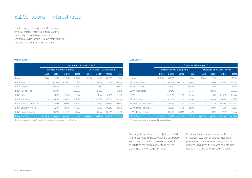### 8.2. Variations in interest rates

The following tables present the average levels of interest rate risk in terms of the sensitivity of net interest income and economic value for the Group's main financial institutions as of December 31, 2011:

#### (Million euros)

|                               | Net interest income impac <sup>(1)</sup> |               |                          |                              |                          |               |           |              |
|-------------------------------|------------------------------------------|---------------|--------------------------|------------------------------|--------------------------|---------------|-----------|--------------|
|                               | Increase of 100 basis points             |               |                          | Decrease of 100 basis points |                          |               |           |              |
|                               | Euro.                                    | <b>Dollar</b> | Other                    | <b>Total</b>                 | Euro                     | <b>Dollar</b> | Other     | <b>Total</b> |
| Europe                        | $-3.38%$                                 | $+0.38%$      | $+0.07%$                 | $-2.94\%$                    | +3.73%                   | $-0.41%$      | $+0.03%$  | $+6.74%$     |
| <b>BBVA Bancomer</b>          | $\overline{\phantom{0}}$                 | $+100%$       | +2.44%                   | +3.43%                       | $\overline{\phantom{0}}$ | $-1.00\%$     | $-2.44\%$ | $-3.43%$     |
| <b>BBVA Compass</b>           |                                          | +3.86%        | -                        | +4.14%                       | $\overline{\phantom{0}}$ | $-3.46%$      |           | -3.46%       |
| <b>BBVA Puerto Rico</b>       | ÷.                                       | +2.83%        | $\overline{\phantom{0}}$ | +2.83%                       | $\overline{\phantom{0}}$ | $-2.75%$      |           | $-2.75%$     |
| <b>BBVA Chile</b>             | ÷.                                       | $+0.17%$      | $-3.33\%$                | $-3.15%$                     |                          | $-0.19%$      | +3.32%    | +3.14%       |
| <b>BBVA Colombia</b>          |                                          | $+0.18%$      | $+1.06%$                 | $+1.23%$                     | $\overline{\phantom{0}}$ | $-0.18\%$     | $-1.07\%$ | $-1.25%$     |
| <b>BBVA Banco Continental</b> | $\overline{\phantom{0}}$                 | $+0.69%$      | $+1.18%$                 | $+1.87\%$                    | $\overline{\phantom{0}}$ | $-1.16%$      | $-0.68%$  | $-1.85%$     |
| <b>BBVA Banco Provincial</b>  | $\overline{\phantom{0}}$                 | $+0.28%$      | $+1.50%$                 | $+1.78%$                     | $\overline{\phantom{0}}$ | $-1.37%$      | $-0.28%$  | $-1.66%$     |
| BBVA Banco Francés            | $\overline{\phantom{0}}$                 | $+0.09%$      | $+0.87%$                 | $+0.96%$                     | $\overline{\phantom{0}}$ | $-0.10%$      | $-0.87%$  | $-0.97%$     |
| <b>BBVA GROUP</b>             | $-0.94%$                                 | $+1.01%$      | $+0.99%$                 | $+1.10%$                     | $+1.03%$                 | $-1.12%$      | $-0.80%$  | $+0.06%$     |

(1) Percentage relating to "1 year" net interest income forecast in each entity.

#### (Million euros)

|                               | Economic value impact <sup>(1)</sup> |               |                          |                              |                          |               |                          |              |
|-------------------------------|--------------------------------------|---------------|--------------------------|------------------------------|--------------------------|---------------|--------------------------|--------------|
|                               | Increase of 100 basis points         |               |                          | Decrease of 100 basis points |                          |               |                          |              |
|                               | Euro                                 | <b>Dollar</b> | Other                    | <b>Total</b>                 | Euro                     | <b>Dollar</b> | Other                    | <b>Total</b> |
| Europe                        | $+0.43%$                             | $+0.23%$      | $\overline{a}$           | $+0.65%$                     | $-0.66\%$                | $-0.25%$      |                          | $-0.91%$     |
| <b>BBVA Bancomer</b>          | $\overline{\phantom{m}}$             | $+164%$       | $+0.03%$                 | $+167%$                      | $\qquad \qquad -$        | $-1.65%$      | $-0.74%$                 | $-2.40\%$    |
| <b>BBVA Compass</b>           | $\overline{\phantom{0}}$             | $+3.62%$      | $\overline{\phantom{0}}$ | +3.62%                       | $\qquad \qquad -$        | $-8.13%$      | $\overline{\phantom{a}}$ | $-8.13%$     |
| <b>BBVA Puerto Rico</b>       | $\overline{\phantom{0}}$             | $-2.45%$      | $\overline{\phantom{0}}$ | $-2.45%$                     |                          | +3.95%        |                          | +3.95%       |
| <b>BBVA Chile</b>             | $\qquad \qquad -$                    | $+0.30%$      | $-11.74\%$               | $-11.44\%$                   | $\overline{\phantom{0}}$ | $-0.38%$      | +10.65%                  | $+10.27%$    |
| <b>BBVA Colombia</b>          | $\overline{\phantom{0}}$             | $+0.13%$      | $-0.32%$                 | $-0.19%$                     | $\qquad \qquad -$        | $-0.13%$      | $+0.02%$                 | $-0.12%$     |
| <b>BBVA Banco Continental</b> | $\overline{\phantom{0}}$             | $-167%$       | $-7.71%$                 | $-9.38%$                     | $\qquad \qquad -$        | $+1.73%$      | +8.28%                   | $+10.02%$    |
| <b>BBVA Banco Provincial</b>  | $\overline{\phantom{0}}$             | $-0.03%$      | $-1.47%$                 | $-1.50%$                     | $\overline{\phantom{0}}$ | $+0.03%$      | $+1.52%$                 | $+1.55%$     |
| BBVA Banco Francés            | $\overline{\phantom{0}}$             | $-0.07\%$     | $-1.26%$                 | $-1.32\%$                    | $\overline{\phantom{0}}$ | $+0.07%$      | $+1.28%$                 | $+1.35%$     |
| <b>BBVA GROUP</b>             | $+0.36%$                             | $+0.89%$      | $-0.54%$                 | $+0.71%$                     | $-0.55%$                 | $-1.45%$      | $+0.39%$                 | $-1.61%$     |

(1) Percentage relating to each entity's capital Base.

The negative/positive sensitivity to a rise/fall in interest rates in the euro zone is temporary and limited to the first quarters, as a result of liabilities repricing quicker than assets (basically the mortgage portfolio).

However, the economic impact of this rise in interest rates on net interest income is positive, as once the mortgage portfolio is repriced, and given the weight of customer deposits, the customer spread increases.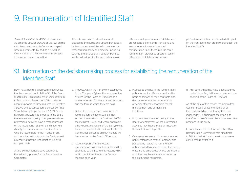## 9. Remuneration of Identified Staff

Bank of Spain Circular 4/2011 of November 30 amends Circular 3/2008 of May 22, on the calculation and control of minimum capital base requirements, by adding a new Rule One Hundred and Seventeen bis relating to information on remuneration.

This rule lays down that entities must disclose to the public and update periodically (at least once a year) the information on its remuneration policy and practice, including salaries and discretionary pension benefits, for the following: directors and other senior

officers; employees who are risk takers or are responsible for control functions; and any other employees whose total remuneration takes them into the same remuneration bracket as directors, senior officers and risk takers, and whose

professional activities have a material impact on the institution's risk profile (hereinafter, "the Identified Staff").

## 9.1. Information on the decision-making process for establishing the remuneration of the Identified Staff

BBVA has a Remuneration Committee whose functions are set out in Article 36 of the Board of Directors' Regulations, which were amended in February and December 2011 in order to adapt its powers to those required by Directive 76/2010 and its subsequent transposition into Spanish law by Royal Decree 771/2011. One of its express powers is to propose to the Board the remuneration policy of employees whose professional activities have a material impact on the institution's risk profile and supervise directly the remuneration of senior officers who are responsible for risk management and compliance functions in the Bank, as well as ensuring that the remuneration policy is complied with.

Article 36 mentioned above establishes the following powers for the Remuneration Committee:

- a. Propose, within the framework established in the Company Bylaws, the remuneration system for the Board of Directors as a whole, in terms of both items and amounts and the form in which they are paid.
- b. Determine the extent and amount of the remuneration, entitlements and other economic rewards for the Chairman & CEO, the President & COO and, where applicable, other executive directors of the Bank, so that these can be reflected in their contracts. The Committee's proposals on such matters will be submitted to the Board of Directors.
- c. Issue a Report on the directors' remuneration policy each year. This will be submitted to the Board of Directors, which will in turn inform the Annual General Meeting each year.
- d. Propose to the Board the remuneration policy for senior officers, as well as the basic conditions of their contracts, and directly supervise the remuneration of senior officers responsible for risk management and compliance functions.
- e. Propose a remuneration policy to the Board for employees whose professional activities may have a material impact on the institution's risk profile.
- f. Oversee observance of the remuneration policy established by the Company and periodically review the remuneration policy applied to executive directors, senior officers and employees whose professional activities may have a material impact on the institution's risk profile.

g. Any others that may have been assigned under these Regulations or conferred by a decision of the Board of Directors.

As of the date of this report, the Committee was composed of five members, all of them external directors; four of them are independent, including its chairman, and therefore none of its members have executive positions in the entity.

In compliance with its functions, the BBVA Remuneration Committee met nine times in 2011 to deal with such questions as were considered relevant to it.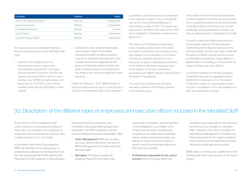| Full name                       | <b>Position</b> | <b>Status</b>   |
|---------------------------------|-----------------|-----------------|
| Carlos Loring Martínez de Irujo | Chairman        | Independent     |
| Ignacio Ferrero Jordi           | Member          | Independent     |
| José Maldonado Ramos            | Member          | <b>Fxternal</b> |
| Juan Pillorens                  | Member          | Independent     |
| Susana Rodríguez Vidarte        | Member          | Independent     |

Among the questions analyzed relating to the remuneration policy of the Identified Staff were:

- Analysis of the legal situation of remuneration issues in Spain and internationally, specifically of the laws that transpose EU Directive 76/2010 into Spanish law (Law 6/2011 of April 11, which amends Law 13/1985 on bank capital, and Royal Decree 771/2011 of June 3, which modifies Royal Decree 216/2008 on bank capital),
- Definition of a new variable share-based remuneration system for the BBVA management team, as well as a specific scheme for settlement and payment of the variable remuneration applicable to the group of employees whose activities may have a material impact on the institution's risk profile or who are responsible for control functions.

Finally, on February 1, 2012, BBVA's Board of Directors approved the report on the Board of Directors' remuneration policy that had been

submitted by the Remuneration Committee. It also agreed to subject it to a consultative vote at the Annual General Meeting of shareholders in March 2012. The report was approved by 96.34% of the votes at the AGM and is available on the Bank's website (www. bbva.com).

The report on the Board's remuneration policy includes a description of the basic principles of the Bank's remuneration policy with respect to the members of the Board of Directors, whether executive or nonexecutive, as well as a detailed presentation of the different elements making up their remuneration. It has been prepared in accordance with BBVA's Bylaws and the Board of Directors' Regulations.

The report also includes the principles and basic elements of the Bank's general remuneration policy.

In accordance with the functions listed above, the Remuneration Committee carries out a key role in questions pertaining to the remuneration of the Bank's Board of Directors and of those employees whose professional activities may have a material impact on the Bank's risk profile.

It is worth noting here that the decisions on remuneration made by the Remuneration Committee and the Board of Directors in the exercise of their functions have been made with the advice of BBVA's internal services, as well as information provided by Towers Watson, a global leader in consulting on remuneration for board members and senior officers.

In 2011 the members of the Remuneration Committee received an aggregate total of €282,000 for their work on it. The Board of Directors' report on remuneration policy includes a breakdown of the remuneration by item and committee member.

## 9.2. Description of the different types of employees and executive officers included in the Identified Staff

Royal Decree 771/2011 establishes that credit institutions must present the Bank of Spain with a list indicating the categories of employees whose professional activities have a material impact on its risk profile.

In accordance with Article 76.quinquies.1.a), BBVA has identified the following groups of professionals as affected by the requirements of this new law (the Identified Staff), following the December 10, 2010 Guidelines on Remuneration Policies and Practices prepared by the Committee of European Banking Supervisors (hereinafter "the CEBS Guidelines"), now the European Banking Association (hereinafter "EBA"):

- Senior Management: BBVA has included executive directors and other members of BBVA's Management Committee within the Identified Staff.
- Risk takers: This group includes the following: Those who form part of the

various Risk Committees, and the members of the management committees of the Group's business areas. The Bank also considers as risk takers those employees whose variable annual remuneration, as defined in section 9.3 below, is above a specific benchmark level and higher than their fixed remuneration.

• Professionals responsible for the control function: Within this group, BBVA has

identified those responsible for the following functions as to be included as "Identified Staff": members of the Risk Committee, the Internal Audit Management Committee and those responsible for the Legal Compliance Human Resources and Global Accounting & Informational Management functions.

BBVA keeps a continuously updated list of the professionals who make up each of the above groups.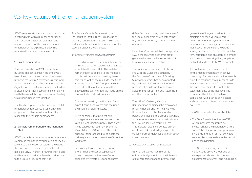### 9.3. Key features of the remuneration system

BBVA's remuneration system is applied to the Identified Staff with a number of particular features under a special settlement and payment system for their variable annual remuneration, as explained below. The remuneration system is made up of:

#### 1. Fixed remuneration

Fixed remuneration in BBVA is established by taking into consideration the employee's level of responsibility and professional career history in the Group. A reference salary is fixed for each function that reflects its value for the Organization. This reference salary is defined by analyzing what is fair internally and comparing it with the market through the advice of leading firms specializing in remuneration.

The fixed component in the employee's total remuneration represents a sufficiently high proportion to allow maximum flexibility with respect to the variable components.

#### 2. Variable remuneration of the Identified Staff

BBVA's variable remuneration represents a key element in the Bank's remuneration policy, as it rewards the creation of value in the Group through each of the áreas and units that make up BBVA. In short, it rewards individuals and teams and their combined contributions to the Group's recurrent earnings.

The Annual Variable Remuneration of the Identified Staff in BBVA is made up of ordinary variable remuneration paid in cash and a share-based variable remuneration. Its essential aspects are as follows:

*a) Ordinary variable cash remuneration*

The ordinary variable remuneration model in BBVA is based on value creation targets established for each Unit. The variable remuneration to be paid to the members of this Unit depends on meeting these targets, as well as the results for the Unit's Area and those of the Group as a whole. The distribution of the remuneration between the staff members is made on the basis of individual performance.

The targets used by the Unit are of two types: financial indicators; and the unit's own non-financial indicators.

BBVA considers that prudent risk management is a key element within its variable remuneration policy. That is why it has established recurrent Economic Value Added (EVA) as one of the main financial indicators used to calculate the ordinary variable remuneration of its entire workforce.

Technically, EVA is recurring economic profit minus the cost of capital used in each business or the rate of return expected by investors. Economic profit differs from accounting profit because of the use of economic criteria rather than regulatory accounting criteria in some operations.

It can therefore be said that conceptually, EVA is the recurring economic profit generated above market expectations in terms of capital remuneration.

This indicator is considered to be in line with the Guidelines issued by the European Committee of Banking Supervisors, which has been adopted by the Bank of Spain, as an adequate measure of results, as it incorporates adjustments for current and future risks and the cost of capital.

Thus BBVA's Ordinary Variable Remuneration combines the employees' results (financial and non-financial) with those of their Unit, the Area to which they belong and those of the Group as a whole; and it uses as the main financial indicator the Group's adjusted recurring EVA. This indicator also incorporates present and future risks, and mitigates possible volatility from singularities that may occur in any one year.

#### *b) Variable share-based remuneration*

BBVA understands that in order to optimize its alignment with the interests of its shareholders and to promote the

generation of long-term value, it must maintain a specific variable sharebased remuneration system for the Bank's executive managers, considering their special influence on the Group's strategy and results. This specific variable remuneration is also an essential element with the aim of ensuring this group is as motivated and loyal to BBVA as possible.

The system is based on an incentive for the management team (Incentive) consisting of an annual allocation to each executive manager of a number of units that will serve as a basis for determining the number of shares to grant at the settlement date of the incentive. The number will be linked to the level of compliance with a series of indicators at Group level, which will be determined every year.

For 2012 these indicators will be linked to:

- The Total Shareholder Return (TSR), which measures the return on investment for the shareholder as the sum of the change in share price plus dividends and other similar concepts received by shareholders in the period under consideration.
- The Group's recurring Economic Value Added (EVA) without one-offs. As explained above, this includes adjustments for current and future risks.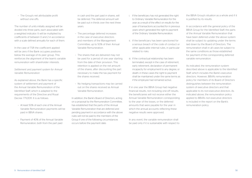– The Group's net attributable profit without one-offs.

The number of units initially assigned will be divided into three parts, each associated with a weighted indicator. It will be multiplied by coefficients of between 0 and 2 in accordance with a scale defined annually for each of them.

In the case of TSR the coefficient applied will be zero if the Bank occupies positions below the average of its peer group. This reinforces the alignment of the team's variable remuneration with shareholder interests.

*Settlement and payment system for Annual Variable Remuneration*

As explained above, the Bank has a specific system of settlement and payment of the Annual Variable Remuneration of the Identified Staff, which is adapted to the requirements of the Directive and Royal Decree 771/2011. It is as follows:

- At least 50% of each one of the Annual Variable Remuneration payments will be paid in BBVA shares.
- Payment of 40% of the Annual Variable Remuneration, both from the part paid

in cash and the part paid in shares, will be deferred. The deferred amount will be paid out in thirds over the next three years.

- The percentage deferred increases in the case of executive directors and members of the Management Committee, up to 50% of their Annual Variable Remuneration.
- The shares that are delivered may not be used for a period of one year starting from the date of their provision. This retention is applied on the net amount of the shares, after discounting the part necessary to make the tax payment for the shares received.
- No hedging transactions may be carried out on the shares received as Annual Variable Remuneration.

In addition, the Bank's Board of Directors, acting on a proposal by the Remuneration Committee, has established that the parts of the Annual Variable Remuneration that are deferred and pending payment in accordance with the above rules will not be paid to the members of the Group if one of the following circumstances occurs before the payment date:

- i. If the beneficiary has not generated the right to Ordinary Variable Remuneration for the year as a result of the effect on results for the year of transactions accounted for in previous years which generated the right to payment of the Ordinary Variable Remuneration.
- ii. If the beneficiary has been sanctioned for a serious breach of the code of conduct or other applicable internal rules, in particular related to risks.
- iii. If the contractual relationship has been terminated, except in the case of retirement, early retirement, declaration of permanent incapacity for employment to any degree, or death: in these cases the right to payment shall be maintained under the same terms as if the employee had remained active.

If in one year the BBVA Group had negative financial results, not including one-off results, the beneficiaries will not receive either the Annual Variable Remuneration corresponding to the year of the losses, or the deferred amounts that were payable for the year in which the annual accounts reflecting these negative results were approved.

In any event, the variable remuneration shall be paid only if it is sustainable with respect to

the BBVA Group's situation as a whole and if it is justified by its results.

In accordance with the general policy of the BBVA Group for the Identified Staff, the parts of the Annual Variable Remuneration that have been deferred under the above system shall be subject to updating under the terms laid down by the Board of Directors. The remuneration shall in all cases be subject to the same conditions as those established for payment of the corresponding deferred variable remuneration.

As indicated, the remuneration system described above is applicable to the Identified Staff, which includes the Bank's executive directors. However, BBVA's remuneration policy for members of its Board of Directors distinguishes between the remuneration system of executive directors and that applicable to its non-executive directors. As indicated above, the remuneration policy applied to BBVA's non-executive directors is included in the report on the Bank's remuneration policy.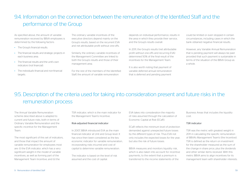## 94. Information on the connection between the remuneration of the Identified Staff and the performance of the Group

As specified above, the amount of variable remuneration received by BBVA employees is determined by the following factors:

- The Group's financial results.
- The financial results and strategic projects in each business area.
- The financial results and the unit's own indicators (not financial).
- The individual's financial and non-financial targets

The ordinary variable incentives of the executive directors depend mainly on the Group's results, based on the recurrent EVA and net attributable profit without one-offs.

- Similarly, the ordinary variable incentives of the Management Committee are linked to both the Group's results and those of their management area.
- For the rest of the members of the Identified Staff, the amount of variable remuneration

depends on individual performance, results in the area in which they provide their service, and the Group's results overall.

In 2011, the Group's results (net attributable profit without one-offs and recurring EVA) determined 50% of the final result of the incentives for the Management Team.

It is also worth noting that payment of variable deferred annual remuneration that is deferred and pending payment

could be limited or even stopped in certain circumstances, including cases in which the bank obtained negative financial results.

However, any Variable Annual Remuneration that is pending payment will always be paid provided that such payment is sustainable in terms of the situation of the BBVA Group as a whole.

## 9.5. Description of the criteria used for taking into consideration present and future risks in the remuneration process

The Annual Variable Remuneration scheme described above is adapted to current and future risks, both in terms of Ordinary Variable Remuneration and the specific incentive for the Management Team.

The most significant of this set of indicators, and those that impact the amount of variable remuneration for employees most are: (i) the EVA indicator, which has a very significant weight in the model of variable incentives, as well as forming part of the Management Team Incentive; and (ii) the

TSR indicator, which is the main indicator for the Management Team's Incentive.

#### Risk-adjusted financial indicator

In 2007, BBVA introduced EVA as the main financial indicator at Unit and Group level. It has since then been considered as the key economic indicator for variable remuneration, incorporating risks incurred and cost of capital to determine variable remuneration.

The indicator is based on the level of risk assumed and the cost of capital.

EVA takes into consideration the majority of risks assumed through the calculation of Economic Capital at Risk (ECaR).

ECaR reflects the minimum level of protection demanded against unexpected future losses by the different types of risk. Thus EVA not only includes the expected losses for the year, but also the risk of future losses.

BBVA measures and monitors liquidity risk, which is also taken into account for incentive payments, to the extent that a premium is transferred to the income statements of the

Business Areas that includes the liquidity cost.

#### TSR indicator

TSR was the metric with greatest weight in 2011 in calculating the specific remuneration of BBVA's Management Team's (the Incentive). TSR is defined as the return on investment for the shareholder measured as the sum of the change in share price, plus the dividends and other similar items received. With this metric BBVA aims to align incentives for its management team with shareholder interests.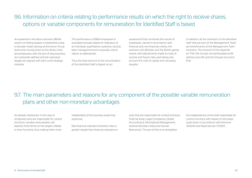## 9.6. Information on criteria relating to performance results on which the right to receive shares, options or variable components for remuneration for Identified Staff is based

As explained in the above sections, BBVA's system of setting targets is established using a cascade model starting at the senior Group levels and moving down to the Areas, Units and employees, with the aim of ensuring they are coherently defined and the individual targets are aligned with each unit's strategic interests.

The performance of BBVA employees is evaluated annually based on indicators of an individual, quantitative, customer, tactical, team management and corporate culture nature, as appropriate.

Thus the total amount of the remuneration of the Identified Staff is based on an

assessment that combines the results of employees, valued in accordance with financial and non-financial criteria, the business unit affected, and the Bank's global results, with adjustments made by type of current and future risks, and taking into account the cost of capital and necessary liquidity.

In addition, all the members of the Identified Staff that are part of the Management Team are beneficiaries of the Management Team Incentive. The amount of this depends on TSR, the Group's net attributable profit without one-offs and the Group's recurrent EVA.

## 9.7. The main parameters and reasons for any component of the possible variable remuneration plans and other non-monetary advantages

As already mentioned, in the case of employees who are responsible for control functions, variable remuneration will depend more firmly on the targets related to their functions, thus making them more

independent of the business areas they supervise.

Non-financial indicators therefore have a greater weight than financial indicators in units that are responsible for control functions (Internal Audit, Legal Compliance, Global Accounting & Informational Management, General Secretary, Risks and Human Resources). The aim of this is to strengthen

the independence of the staff responsible for control functions with respect to the areas supervised, in accordance with Directive 76/2010 and Royal Decree 771/2011.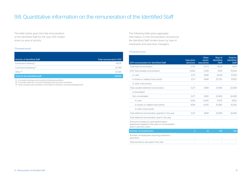## 9.8. Quantitative information on the remuneration of the Identified Staff

The table below gives the total remuneration of the Identified Staff for the year 2011, broken down by area of activity:

#### (Thousand euros)

| <b>Activity of Identified Staff</b> | <b>Total remuneration 2011</b> |
|-------------------------------------|--------------------------------|
| Investment banking <sup>(1)</sup>   | 44.011                         |
| Commercial banking <sup>(2)</sup>   | 22.799                         |
| $[O]$ ther $(3)$                    | 67.345                         |
| Total for the identified staff      | 134.156                        |

(1) It includes wholesale and investment banking activitities.

(2) It includes retail and commercial banking and insurance activitities.

(3) Other activities, plus members of the Board of Directors and Asset Management.

The following table gives aggregate information on the remuneration received by the Identified Staff, broken down by type of employees and executive managers:

#### (Thousand euros)

|                                                                                                                    |                               | Other                | Rest of                           | <b>Total for</b>                  |
|--------------------------------------------------------------------------------------------------------------------|-------------------------------|----------------------|-----------------------------------|-----------------------------------|
| 2011 remuneration for Identified Staff                                                                             | <b>Executive</b><br>directors | senior<br>executives | <b>Identified</b><br><b>Staff</b> | <b>Identified</b><br><b>Staff</b> |
| Total fixed remuneration                                                                                           | 3.747                         | 10,173               | 45.191                            | 59,111                            |
| 2011 Total variable remuneration                                                                                   | 6.542                         | 17.361               | 51,141                            | 75,044                            |
| In cash                                                                                                            | 3.271                         | 8.681                | 25,441                            | 37,393                            |
| In shares or related instruments                                                                                   | 3.271                         | 8.681                | 25,700                            | 37,652                            |
| In other instruments                                                                                               |                               |                      |                                   |                                   |
| Total variable deferred remuneration                                                                               | 3.271                         | 8.681                | 20.456                            | 32.408                            |
| Consolidated                                                                                                       |                               |                      |                                   |                                   |
| Not consolidated                                                                                                   | 3.271                         | 8.681                | 20.456                            | 32.408                            |
| In cash                                                                                                            | 1.636                         | 4.340                | 10.176                            | 16.152                            |
| In shares or related instruments                                                                                   | 1.636                         | 4.340                | 10.280                            | 16,256                            |
| In other instruments                                                                                               |                               |                      |                                   |                                   |
| Total deferred remuneration granted in the year                                                                    | 3.271                         | 8.681                | 20.456                            | 32,408                            |
| Total deferred remuneration paid in the year                                                                       |                               |                      |                                   |                                   |
| Amount of explicit ex post performance<br>adjustment applied in the year on remuneration<br>paid in previous years |                               |                      |                                   |                                   |
| <b>Number of beneficiaries</b>                                                                                     | $\overline{2}$                | 13                   | 125                               | 140                               |
| Number of employees receiving severance<br>payments                                                                |                               |                      |                                   |                                   |
| Total severance pay paid in the year                                                                               |                               |                      |                                   |                                   |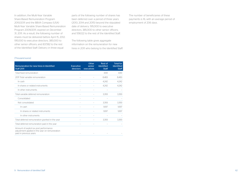In addition, the Multi-Year Variable Share-Based Remuneration Program 2010/2011 and the BBVA Compass (USA) Multi-Year Variable Share-Based Remuneration Program 2009/2011, expired on December 31, 2011. As a result, the following number of shares must be delivered before April 15, 2012: 195,000 to executive directors; 385,000 to other senior officers; and 837,182 to the rest of the Identified Staff. Delivery in three equal

parts of the following number of shares has been deferred over a period of three years (2013, 2014 and 2015) beyond the stipulated date of delivery: 195,000 to executive directors; 385,000 to other senior officers; and 558,122 to the rest of the Identified Staff.

The following table gives aggregate information on the remuneration for new hires in 2011 who belong to the Identified Staff:

The number of beneficiaries of these payments is 16, with an average period of employment of 206 days.

#### (Thousand euros)

| Remuneration for new hires in Identified<br><b>Staff 2011</b>                                                      | <b>Executive</b><br>directors | Other<br>senior<br>executives | Rest of<br><b>Identified</b><br><b>Staff</b> | <b>Total for</b><br><b>Identified</b><br><b>Staff</b> |
|--------------------------------------------------------------------------------------------------------------------|-------------------------------|-------------------------------|----------------------------------------------|-------------------------------------------------------|
| Total fixed remuneration                                                                                           |                               |                               | 4.161                                        | 4.161                                                 |
| 2011 Total variable remuneration                                                                                   |                               |                               | 8,483                                        | 8,483                                                 |
| In cash                                                                                                            | $\overline{a}$                |                               | 4.242                                        | 4,242                                                 |
| In shares or related instruments                                                                                   |                               |                               | 4,242                                        | 4.242                                                 |
| In other instruments                                                                                               |                               |                               |                                              |                                                       |
| Total variable deferred remuneration                                                                               |                               |                               | 3.393                                        | 3,393                                                 |
| Consolidated                                                                                                       |                               |                               |                                              |                                                       |
| Not consolidated                                                                                                   |                               |                               | 3.393                                        | 3,393                                                 |
| In cash                                                                                                            | $\overline{a}$                |                               | 1.697                                        | 1.697                                                 |
| In shares or related instruments                                                                                   |                               |                               | 1.697                                        | 1.697                                                 |
| In other instruments                                                                                               |                               |                               |                                              |                                                       |
| Total deferred remuneration granted in the year                                                                    |                               |                               | 3.393                                        | 3.393                                                 |
| Total deferred remuneration paid in the year                                                                       |                               |                               |                                              |                                                       |
| Amount of explicit ex post performance<br>adjustment applied in the year on remuneration<br>paid in previous years |                               |                               |                                              |                                                       |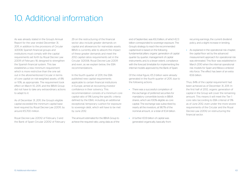## 10. Additional information

As was already stated in the Group's Annual Report for the year ended December 31, 2011, in addition to the provisions of Circular 3/2008, Spanish financial groups and institutions must comply with the capital requirements set forth by Royal Decree Law 2/2011 of February 18, designed to strengthen the Spanish financial system. This law establishes a new minimum requirement which is more restrictive than the one set out in the aforementioned Circular in terms of core capital on risk-weighted assets, of 8% or 10%, as appropriate. The requirement took effect on March 10, 2011, and the BBVA Group did not have to take any extraordinary actions to adapt to it.

As of December 31, 2011, the Group's eligible capital exceeded the minimum capital base level required by Royal Decree-Law 2/2011, by around €5,700 million.

Royal Decree-Law 2/2012 of February 3 and the Bank of Spain Circular 2/2012 of February 29 on the restructuring of the financial sector also include greater demands on capital and allowances for real-estate assets. BBVA is currently able to absorb the impact of these greater demands and meet the 2012 capital ratios requirements set in the Circular 3/2008, Royal Decree-Law 2/2011 and even, as we explain below, the EBA recommendations.

In the fourth quarter of 2011, the EBA published new capital requirements applicable to certain financial institutions in Europe, aimed at recovering investor confidence in their solvency. This recommendation consists of a minimum core capital ratio of 9% (using the specific criteria defined by the EBA), including an additional exceptional, temporary cushion for exposure to sovereign debt, which will have to be met by June 2012.

The amount estimated for the BBVA Group to achieve the required ratio, using data as of the end of September, was €6.3 billion, of which €2.3 billion corresponded to sovereign exposure. The Group's strategy to reach the recommended capital level is based on the following fundamental pillars: organic generation of capital quarter by quarter; management of capital instruments; and, to a lesser extent, compliance with the forecast timetable for implementing the internal models approved by the Bank of Spain.

Of the initial figure, €5.3 billion were already generated in the fourth quarter of 2011, due to the following actions:

- There was a successful completion of the exchange of preferred securities for mandatory convertible bonds in BBVA shares, which are 100% eligible as core capital. The exchange was subscribed by nearly all the investors, at 98.7% of the nominal amount, or a total of €3.4 billion.
- A further  $f(09)$  billion of capital was generated organically, basically from

recurring earnings, the current dividend policy, and a slight increase in lending.

• As explained in the operational risk chapter, the capital floor set by the advanced measurement approach for operational risk was eliminated. This floor was established in March 2010 when the internal operational risk models for Spain and Mexico entered into force. The effect has been of an extra €0.6 billion.

Thus, 84% of the capital requirement had been achieved as of December 31, 2011. In the first half of 2012, organic generation of capital in the Group will cover the remaining amount. This means it will meet the Tier 1 core ratio (according to EBA criteria) of 9% as of June 2012, even under the more severe requirements of the Circular and the Royal Decree-Law 2/2012 on restructuring the financial sector.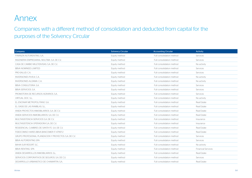## Annex

Companies with a different method of consolidation and deducted from capital for the purposes of the Solvency Circular

| Company                                                | <b>Solvency Circular</b> | <b>Accounting Circular</b> | <b>Activity</b>           |
|--------------------------------------------------------|--------------------------|----------------------------|---------------------------|
| FINANZIA AUTORENTING, S.A.                             | Equity method            | Full consolidation method  | Services                  |
| INGENIERIA EMPRESARIAL MULTIBA. S.A. DE C.V.           | Equity method            | Full consolidation method  | Services                  |
| CASA DE CAMBIO MULTIDIVISAS. S,A, DE C,V,              | Equity method            | Full consolidation method  | No activity               |
| <b>BBVA NOMINEES LIMITED</b>                           | Equity method            | Full consolidation method  | Services                  |
| PRO-SALUD, C.A.                                        | Equity method            | Full consolidation method  | Services                  |
| INVERSIONES P.H.R.4. C.A.                              | Equity method            | Full consolidation method  | No activity               |
| INVERSIONES ALDAMA. C.A.                               | Equity method            | Full consolidation method  | No activity               |
| BBVA CONSULTORIA. S.A.                                 | Equity method            | Full consolidation method  | Services                  |
| BBVA SERVICIOS. S.A.                                   | Equity method            | Full consolidation method  | Services                  |
| PROMOTORA DE RECURSOS AGRARIOS, S.A.                   | Equity method            | Full consolidation method  | Services                  |
| VIRTUAL DOC. S.L.                                      | Equity method            | Full consolidation method  | No activity               |
| EL ENCINAR METROPOLITANO, S.A.                         | Equity method            | Full consolidation method  | Real Estate               |
| EL OASIS DE LAS RAMBLAS. S.L.                          | Equity method            | Full consolidation method  | Real Estate               |
| ANIDA PROYECTOS INMOBILIARIOS, S.A. DE C.V.            | Equity method            | Full consolidation method  | Real Estate               |
| ANIDA SERVICIOS INMOBILIARIOS. S,A, DE C,V,            | Equity method            | Full consolidation method  | Real Estate               |
| MULTIASISTENCIA SERVICIOS S,A, DE C,V,                 | Equity method            | Full consolidation method  | Insurance                 |
| MULTIASISTENCIA OPERADORA S,A, DE C,V,                 | Equity method            | Full consolidation method  | Insurance                 |
| RESIDENCIAL CUMBRES DE SANTA FE. S,A, DE C,V,          | Equity method            | Full consolidation method  | Real Estate               |
| FIDEICOMISO HARES BBVA BANCOMER F/ 47997-2             | Equity method            | Full consolidation method  | Real Estate               |
| GRUPO PROFESIONAL PLANEACION Y PROYECTOS. S,A, DE C,V, | Equity method            | Full consolidation method  | Services                  |
| <b>BBVA AUTORENTING SPA</b>                            | Equity method            | Full consolidation method  | Services                  |
| <b>BAHIA SUR RESORT. S.C.</b>                          | Equity method            | Full consolidation method  | No activity               |
| <b>BBVA RENTING, SPA</b>                               | Equity method            | Full consolidation method  | <b>Financial Services</b> |
| ANIDA DESARROLLOS INMOBILIARIOS. S,L,                  | Equity method            | Full consolidation method  | Real Estate               |
| SERVICIOS CORPORATIVOS DE SEGUROS. S,A, DE C,V,        | Equity method            | Full consolidation method  | Services                  |
| DESARROLLO URBANISTICO DE CHAMARTIN. S,A,              | Equity method            | Full consolidation method  | Real Estate               |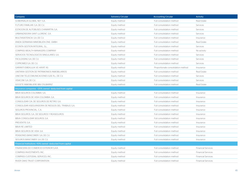| Company                                                  | <b>Solvency Circular</b> | <b>Accounting Circular</b>         | <b>Activity</b>           |
|----------------------------------------------------------|--------------------------|------------------------------------|---------------------------|
| GOBERNALIA GLOBAL NET. S.A.                              | Equity method            | Full consolidation method          | Real Estate               |
| FUTURO FAMILIAR. S,A, DE C,V,                            | Equity method            | Full consolidation method          | Services                  |
| ESTACION DE AUTOBUSES CHAMARTIN, S.A.                    | Equity method            | Full consolidation method          | Services                  |
| URBANIZADORA SANT LLORENC. S,A,                          | Equity method            | Full consolidation method          | Services                  |
| MULTIASISTENCIA. S, A, DE C, V,                          | Equity method            | Full consolidation method          | Insurance                 |
| ANIDA GERMANIA IMMOBILIEN ONE. GMBH                      | Equity method            | Full consolidation method          | Real Estate               |
| ECONTA GESTION INTEGRAL. S.L.                            | Equity method            | Full consolidation method          | Services                  |
| COMPASS WEALTH MANAGERS COMPANY                          | Equity method            | Full consolidation method          | No activity               |
| SERVICIOS TECNOLOGICOS SINGULARES. S.A.                  | Equity method            | Full consolidation method          | Services                  |
| FACILEASING S, A, DE C, V,                               | Equity method            | Full consolidation method          | Services                  |
| COPROMED S,A, DE C,V,                                    | Equity method            | Full consolidation method          | Services                  |
| <b>GARANTI EMEKLILIK VE HAYAT AS</b>                     | Equity method            | Proportionate consolidation method | Insurance                 |
| UNITARIA GESTION DE PATRIMONIOS INMOBILIARIOS            | Equity method            | Full consolidation method          | Real Estate               |
| UNICOM TELECOMUNICACIONES S, DE R, L, DE C, V,           | Equity method            | Full consolidation method          | Services                  |
| VISACOM. S, A, DE C, V,                                  | Equity method            | Full consolidation method          | Services                  |
| SOCIETE INMOBILIERE BBV D'ILBARRIZ                       | Equity method            | Full consolidation method          | Real Estate               |
| Insurance companies >20% owned -deducted from capital    |                          |                                    |                           |
| BBVA SEGUROS COLOMBIA. S.A.                              | Equity method            | Full consolidation method          | Insurance                 |
| BBVA SEGUROS DE VIDA COLOMBIA. S,A,                      | Equity method            | Full consolidation method          | Insurance                 |
| CONSOLIDAR CIA, DE SEGUROS DE RETIRO. S,A,               | Equity method            | Full consolidation method          | Insurance                 |
| CONSOLIDAR ASEGURADORA DE RIESGOS DEL TRABAJO. S,A,      | Equity method            | Full consolidation method          | Insurance                 |
| SEGUROS PROVINCIAL. C,A,                                 | Equity method            | Full consolidation method          | Insurance                 |
| BBVA SEGUROS. S,A,. DE SEGUROS Y REASEGUROS              | Equity method            | Full consolidation method          | Insurance                 |
| BBVA CONSOLIDAR SEGUROS, S.A.                            | Equity method            | Full consolidation method          | Insurance                 |
| PREVENTIS. S,A,                                          | Equity method            | Full consolidation method          | Insurance                 |
| <b>BBVA RE LIMITED</b>                                   | Equity method            | Full consolidation method          | Insurance                 |
| BBVA SEGUROS DE VIDA. S, A,                              | Equity method            | Full consolidation method          | Insurance                 |
| PENSIONES BANCOMER. S, A, DE C, V,                       | Equity method            | Full consolidation method          | Insurance                 |
| SEGUROS BANCOMER, S.A. DE C.V.                           | Equity method            | Full consolidation method          | Insurance                 |
| Financial Institutions >10% owned -deducted from capital |                          |                                    |                           |
| FINANCEIRA DO COMERCIO EXTERIOR S,A,R,                   | Equity method            | Full consolidation method          | <b>Financial Services</b> |
| COMPASS INVESTMENTS. INC,                                | Equity method            | Full consolidation method          | <b>Financial Services</b> |
| COMPASS CUSTODIAL SERVICES. INC.                         | Equity method            | Full consolidation method          | <b>Financial Services</b> |
| RIVER OAKS TRUST CORPORATION                             | Equity method            | Full consolidation method          | <b>Financial Services</b> |